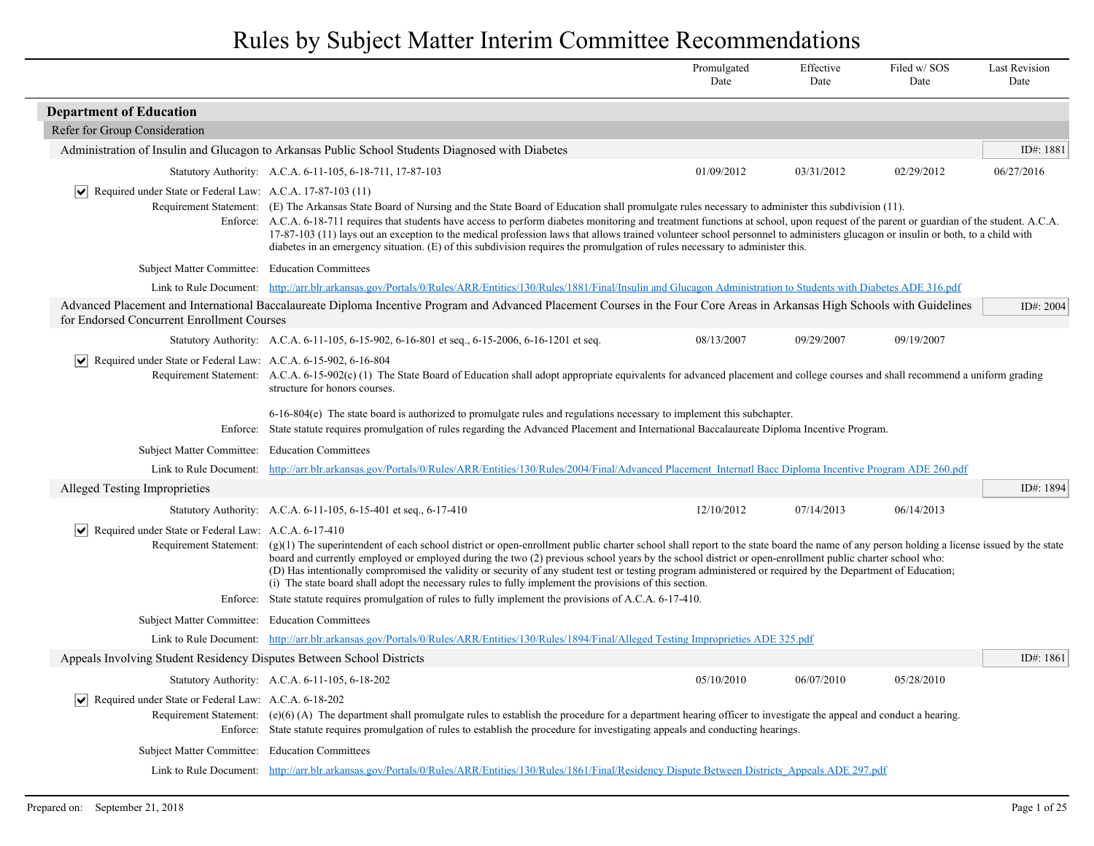|                                                                                  |                                                                                                                                                                                                                                                                                                                                                                                                                                                                                                                                                                                                                                                                                                                                                                   | Promulgated<br>Date | Effective<br>Date | Filed w/SOS<br>Date | <b>Last Revision</b><br>Date |
|----------------------------------------------------------------------------------|-------------------------------------------------------------------------------------------------------------------------------------------------------------------------------------------------------------------------------------------------------------------------------------------------------------------------------------------------------------------------------------------------------------------------------------------------------------------------------------------------------------------------------------------------------------------------------------------------------------------------------------------------------------------------------------------------------------------------------------------------------------------|---------------------|-------------------|---------------------|------------------------------|
| <b>Department of Education</b>                                                   |                                                                                                                                                                                                                                                                                                                                                                                                                                                                                                                                                                                                                                                                                                                                                                   |                     |                   |                     |                              |
| Refer for Group Consideration                                                    |                                                                                                                                                                                                                                                                                                                                                                                                                                                                                                                                                                                                                                                                                                                                                                   |                     |                   |                     |                              |
|                                                                                  | Administration of Insulin and Glucagon to Arkansas Public School Students Diagnosed with Diabetes                                                                                                                                                                                                                                                                                                                                                                                                                                                                                                                                                                                                                                                                 |                     |                   |                     | ID#: 1881                    |
|                                                                                  | Statutory Authority: A.C.A. 6-11-105, 6-18-711, 17-87-103                                                                                                                                                                                                                                                                                                                                                                                                                                                                                                                                                                                                                                                                                                         | 01/09/2012          | 03/31/2012        | 02/29/2012          | 06/27/2016                   |
| $ \mathbf{v} $ Required under State or Federal Law: A.C.A. 17-87-103 (11)        | Requirement Statement: (E) The Arkansas State Board of Nursing and the State Board of Education shall promulgate rules necessary to administer this subdivision (11).<br>Enforce: A.C.A. 6-18-711 requires that students have access to perform diabetes monitoring and treatment functions at school, upon request of the parent or guardian of the student. A.C.A.<br>17-87-103 (11) lays out an exception to the medical profession laws that allows trained volunteer school personnel to administers glucagon or insulin or both, to a child with<br>diabetes in an emergency situation. (E) of this subdivision requires the promulgation of rules necessary to administer this.                                                                            |                     |                   |                     |                              |
| Subject Matter Committee: Education Committees                                   |                                                                                                                                                                                                                                                                                                                                                                                                                                                                                                                                                                                                                                                                                                                                                                   |                     |                   |                     |                              |
|                                                                                  | Link to Rule Document: http://arr.blr.arkansas.gov/Portals/0/Rules/ARR/Entities/130/Rules/1881/Final/Insulin and Glucagon Administration to Students with Diabetes ADE 316.pdf                                                                                                                                                                                                                                                                                                                                                                                                                                                                                                                                                                                    |                     |                   |                     |                              |
| for Endorsed Concurrent Enrollment Courses                                       | Advanced Placement and International Baccalaureate Diploma Incentive Program and Advanced Placement Courses in the Four Core Areas in Arkansas High Schools with Guidelines                                                                                                                                                                                                                                                                                                                                                                                                                                                                                                                                                                                       |                     |                   |                     | ID#: 2004                    |
|                                                                                  | Statutory Authority: A.C.A. 6-11-105, 6-15-902, 6-16-801 et seq., 6-15-2006, 6-16-1201 et seq.                                                                                                                                                                                                                                                                                                                                                                                                                                                                                                                                                                                                                                                                    | 08/13/2007          | 09/29/2007        | 09/19/2007          |                              |
| Required under State or Federal Law: A.C.A. 6-15-902, 6-16-804<br>$ \mathsf{v} $ | Requirement Statement: A.C.A. 6-15-902(c) (1) The State Board of Education shall adopt appropriate equivalents for advanced placement and college courses and shall recommend a uniform grading<br>structure for honors courses.                                                                                                                                                                                                                                                                                                                                                                                                                                                                                                                                  |                     |                   |                     |                              |
|                                                                                  | 6-16-804(e) The state board is authorized to promulgate rules and regulations necessary to implement this subchapter.<br>Enforce: State statute requires promulgation of rules regarding the Advanced Placement and International Baccalaureate Diploma Incentive Program.                                                                                                                                                                                                                                                                                                                                                                                                                                                                                        |                     |                   |                     |                              |
| Subject Matter Committee: Education Committees                                   |                                                                                                                                                                                                                                                                                                                                                                                                                                                                                                                                                                                                                                                                                                                                                                   |                     |                   |                     |                              |
|                                                                                  | Link to Rule Document: http://arr.blr.arkansas.gov/Portals/0/Rules/ARR/Entities/130/Rules/2004/Final/Advanced Placement Internatl Bacc Diploma Incentive Program ADE 260.pdf                                                                                                                                                                                                                                                                                                                                                                                                                                                                                                                                                                                      |                     |                   |                     |                              |
| Alleged Testing Improprieties                                                    |                                                                                                                                                                                                                                                                                                                                                                                                                                                                                                                                                                                                                                                                                                                                                                   |                     |                   |                     | ID#: 1894                    |
|                                                                                  | Statutory Authority: A.C.A. 6-11-105, 6-15-401 et seq., 6-17-410                                                                                                                                                                                                                                                                                                                                                                                                                                                                                                                                                                                                                                                                                                  | 12/10/2012          | 07/14/2013        | 06/14/2013          |                              |
| Required under State or Federal Law: A.C.A. 6-17-410<br>$ \bm{\mathsf{v}} $      |                                                                                                                                                                                                                                                                                                                                                                                                                                                                                                                                                                                                                                                                                                                                                                   |                     |                   |                     |                              |
|                                                                                  | Requirement Statement: $(g)(1)$ The superintendent of each school district or open-enrollment public charter school shall report to the state board the name of any person holding a license issued by the state<br>board and currently employed or employed during the two (2) previous school years by the school district or open-enrollment public charter school who:<br>(D) Has intentionally compromised the validity or security of any student test or testing program administered or required by the Department of Education;<br>(i) The state board shall adopt the necessary rules to fully implement the provisions of this section.<br>Enforce: State statute requires promulgation of rules to fully implement the provisions of A.C.A. 6-17-410. |                     |                   |                     |                              |
|                                                                                  |                                                                                                                                                                                                                                                                                                                                                                                                                                                                                                                                                                                                                                                                                                                                                                   |                     |                   |                     |                              |
| Subject Matter Committee: Education Committees                                   | Link to Rule Document: http://arr.blr.arkansas.gov/Portals/0/Rules/ARR/Entities/130/Rules/1894/Final/Alleged Testing Improprieties ADE 325.pdf                                                                                                                                                                                                                                                                                                                                                                                                                                                                                                                                                                                                                    |                     |                   |                     |                              |
| Appeals Involving Student Residency Disputes Between School Districts            |                                                                                                                                                                                                                                                                                                                                                                                                                                                                                                                                                                                                                                                                                                                                                                   |                     |                   |                     | ID#: $1861$                  |
|                                                                                  | Statutory Authority: A.C.A. 6-11-105, 6-18-202                                                                                                                                                                                                                                                                                                                                                                                                                                                                                                                                                                                                                                                                                                                    | 05/10/2010          | 06/07/2010        | 05/28/2010          |                              |
| $ \mathsf{v} $<br>Required under State or Federal Law: A.C.A. 6-18-202           | Requirement Statement: (e)(6) (A) The department shall promulgate rules to establish the procedure for a department hearing officer to investigate the appeal and conduct a hearing.<br>Enforce: State statute requires promulgation of rules to establish the procedure for investigating appeals and conducting hearings.                                                                                                                                                                                                                                                                                                                                                                                                                                       |                     |                   |                     |                              |
| Subject Matter Committee: Education Committees                                   |                                                                                                                                                                                                                                                                                                                                                                                                                                                                                                                                                                                                                                                                                                                                                                   |                     |                   |                     |                              |
|                                                                                  | Link to Rule Document: http://arr.blr.arkansas.gov/Portals/0/Rules/ARR/Entities/130/Rules/1861/Final/Residency Dispute Between Districts Appeals ADE 297.pdf                                                                                                                                                                                                                                                                                                                                                                                                                                                                                                                                                                                                      |                     |                   |                     |                              |
|                                                                                  |                                                                                                                                                                                                                                                                                                                                                                                                                                                                                                                                                                                                                                                                                                                                                                   |                     |                   |                     |                              |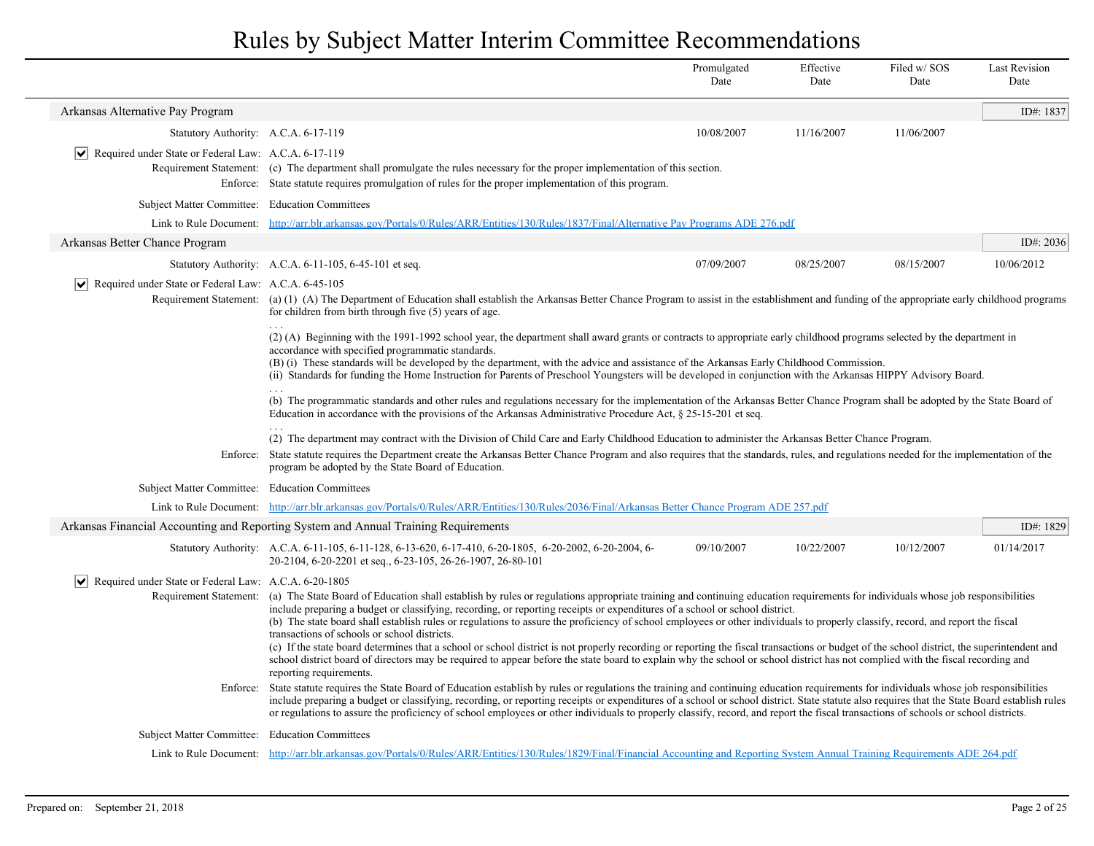| Arkansas Alternative Pay Program<br>ID#: 1837<br>10/08/2007<br>Statutory Authority: A.C.A. 6-17-119<br>11/16/2007<br>11/06/2007<br>$ \mathbf{v} $ Required under State or Federal Law: A.C.A. 6-17-119<br>Requirement Statement: (c) The department shall promulgate the rules necessary for the proper implementation of this section.<br>Enforce: State statute requires promulgation of rules for the proper implementation of this program.<br>Subject Matter Committee: Education Committees<br>Link to Rule Document: http://arr.blr.arkansas.gov/Portals/0/Rules/ARR/Entities/130/Rules/1837/Final/Alternative Pay Programs ADE 276.pdf<br>Arkansas Better Chance Program<br>ID#: $2036$<br>Statutory Authority: A.C.A. 6-11-105, 6-45-101 et seq.<br>07/09/2007<br>08/25/2007<br>08/15/2007<br>10/06/2012<br>$ \mathbf{v} $ Required under State or Federal Law: A.C.A. 6-45-105<br>Requirement Statement: (a) (1) (A) The Department of Education shall establish the Arkansas Better Chance Program to assist in the establishment and funding of the appropriate early childhood programs<br>for children from birth through five (5) years of age.<br>(2) (A) Beginning with the 1991-1992 school year, the department shall award grants or contracts to appropriate early childhood programs selected by the department in<br>accordance with specified programmatic standards.<br>(B) (i) These standards will be developed by the department, with the advice and assistance of the Arkansas Early Childhood Commission.<br>(ii) Standards for funding the Home Instruction for Parents of Preschool Youngsters will be developed in conjunction with the Arkansas HIPPY Advisory Board.<br>$\cdots$<br>(b) The programmatic standards and other rules and regulations necessary for the implementation of the Arkansas Better Chance Program shall be adopted by the State Board of<br>Education in accordance with the provisions of the Arkansas Administrative Procedure Act, § 25-15-201 et seq.<br>(2) The department may contract with the Division of Child Care and Early Childhood Education to administer the Arkansas Better Chance Program.<br>Enforce: State statute requires the Department create the Arkansas Better Chance Program and also requires that the standards, rules, and regulations needed for the implementation of the<br>program be adopted by the State Board of Education.<br>Subject Matter Committee: Education Committees<br>Link to Rule Document: http://arr.blr.arkansas.gov/Portals/0/Rules/ARR/Entities/130/Rules/2036/Final/Arkansas Better Chance Program ADE 257.pdf<br>Arkansas Financial Accounting and Reporting System and Annual Training Requirements<br>ID#: 1829<br>01/14/2017<br>Statutory Authority: A.C.A. 6-11-105, 6-11-128, 6-13-620, 6-17-410, 6-20-1805, 6-20-2002, 6-20-2004, 6-<br>09/10/2007<br>10/22/2007<br>10/12/2007<br>20-2104, 6-20-2201 et seq., 6-23-105, 26-26-1907, 26-80-101<br>$ \mathbf{v} $ Required under State or Federal Law: A.C.A. 6-20-1805<br>Requirement Statement: (a) The State Board of Education shall establish by rules or regulations appropriate training and continuing education requirements for individuals whose job responsibilities<br>include preparing a budget or classifying, recording, or reporting receipts or expenditures of a school or school district.<br>(b) The state board shall establish rules or regulations to assure the proficiency of school employees or other individuals to properly classify, record, and report the fiscal<br>transactions of schools or school districts.<br>(c) If the state board determines that a school or school district is not properly recording or reporting the fiscal transactions or budget of the school district, the superintendent and<br>school district board of directors may be required to appear before the state board to explain why the school or school district has not complied with the fiscal recording and<br>reporting requirements.<br>State statute requires the State Board of Education establish by rules or regulations the training and continuing education requirements for individuals whose job responsibilities<br>Enforce:<br>include preparing a budget or classifying, recording, or reporting receipts or expenditures of a school or school district. State statute also requires that the State Board establish rules<br>or regulations to assure the proficiency of school employees or other individuals to properly classify, record, and report the fiscal transactions of schools or school districts.<br>Subject Matter Committee: Education Committees<br>Link to Rule Document: http://arr.blr.arkansas.gov/Portals/0/Rules/ARR/Entities/130/Rules/1829/Final/Financial Accounting and Reporting System Annual Training Requirements ADE 264.pdf |  | Promulgated<br>Date | Effective<br>Date | Filed w/SOS<br>Date | <b>Last Revision</b><br>Date |  |  |  |
|-------------------------------------------------------------------------------------------------------------------------------------------------------------------------------------------------------------------------------------------------------------------------------------------------------------------------------------------------------------------------------------------------------------------------------------------------------------------------------------------------------------------------------------------------------------------------------------------------------------------------------------------------------------------------------------------------------------------------------------------------------------------------------------------------------------------------------------------------------------------------------------------------------------------------------------------------------------------------------------------------------------------------------------------------------------------------------------------------------------------------------------------------------------------------------------------------------------------------------------------------------------------------------------------------------------------------------------------------------------------------------------------------------------------------------------------------------------------------------------------------------------------------------------------------------------------------------------------------------------------------------------------------------------------------------------------------------------------------------------------------------------------------------------------------------------------------------------------------------------------------------------------------------------------------------------------------------------------------------------------------------------------------------------------------------------------------------------------------------------------------------------------------------------------------------------------------------------------------------------------------------------------------------------------------------------------------------------------------------------------------------------------------------------------------------------------------------------------------------------------------------------------------------------------------------------------------------------------------------------------------------------------------------------------------------------------------------------------------------------------------------------------------------------------------------------------------------------------------------------------------------------------------------------------------------------------------------------------------------------------------------------------------------------------------------------------------------------------------------------------------------------------------------------------------------------------------------------------------------------------------------------------------------------------------------------------------------------------------------------------------------------------------------------------------------------------------------------------------------------------------------------------------------------------------------------------------------------------------------------------------------------------------------------------------------------------------------------------------------------------------------------------------------------------------------------------------------------------------------------------------------------------------------------------------------------------------------------------------------------------------------------------------------------------------------------------------------------------------------------------------------------------------------------------------------------------------------------------------------------------------------------------------------------------------------------------------------------------------------------------------------------------------------------------------------------------------------------------------------------------------------------------------------------------------------------------------------------------------------------------------------------------------------------------------------------------------------------------------------------------------------------------------------------------------------------------------------------------------------------------------------|--|---------------------|-------------------|---------------------|------------------------------|--|--|--|
|                                                                                                                                                                                                                                                                                                                                                                                                                                                                                                                                                                                                                                                                                                                                                                                                                                                                                                                                                                                                                                                                                                                                                                                                                                                                                                                                                                                                                                                                                                                                                                                                                                                                                                                                                                                                                                                                                                                                                                                                                                                                                                                                                                                                                                                                                                                                                                                                                                                                                                                                                                                                                                                                                                                                                                                                                                                                                                                                                                                                                                                                                                                                                                                                                                                                                                                                                                                                                                                                                                                                                                                                                                                                                                                                                                                                                                                                                                                                                                                                                                                                                                                                                                                                                                                                                                                                                                                                                                                                                                                                                                                                                                                                                                                                                                                                                                                                               |  |                     |                   |                     |                              |  |  |  |
|                                                                                                                                                                                                                                                                                                                                                                                                                                                                                                                                                                                                                                                                                                                                                                                                                                                                                                                                                                                                                                                                                                                                                                                                                                                                                                                                                                                                                                                                                                                                                                                                                                                                                                                                                                                                                                                                                                                                                                                                                                                                                                                                                                                                                                                                                                                                                                                                                                                                                                                                                                                                                                                                                                                                                                                                                                                                                                                                                                                                                                                                                                                                                                                                                                                                                                                                                                                                                                                                                                                                                                                                                                                                                                                                                                                                                                                                                                                                                                                                                                                                                                                                                                                                                                                                                                                                                                                                                                                                                                                                                                                                                                                                                                                                                                                                                                                                               |  |                     |                   |                     |                              |  |  |  |
|                                                                                                                                                                                                                                                                                                                                                                                                                                                                                                                                                                                                                                                                                                                                                                                                                                                                                                                                                                                                                                                                                                                                                                                                                                                                                                                                                                                                                                                                                                                                                                                                                                                                                                                                                                                                                                                                                                                                                                                                                                                                                                                                                                                                                                                                                                                                                                                                                                                                                                                                                                                                                                                                                                                                                                                                                                                                                                                                                                                                                                                                                                                                                                                                                                                                                                                                                                                                                                                                                                                                                                                                                                                                                                                                                                                                                                                                                                                                                                                                                                                                                                                                                                                                                                                                                                                                                                                                                                                                                                                                                                                                                                                                                                                                                                                                                                                                               |  |                     |                   |                     |                              |  |  |  |
|                                                                                                                                                                                                                                                                                                                                                                                                                                                                                                                                                                                                                                                                                                                                                                                                                                                                                                                                                                                                                                                                                                                                                                                                                                                                                                                                                                                                                                                                                                                                                                                                                                                                                                                                                                                                                                                                                                                                                                                                                                                                                                                                                                                                                                                                                                                                                                                                                                                                                                                                                                                                                                                                                                                                                                                                                                                                                                                                                                                                                                                                                                                                                                                                                                                                                                                                                                                                                                                                                                                                                                                                                                                                                                                                                                                                                                                                                                                                                                                                                                                                                                                                                                                                                                                                                                                                                                                                                                                                                                                                                                                                                                                                                                                                                                                                                                                                               |  |                     |                   |                     |                              |  |  |  |
|                                                                                                                                                                                                                                                                                                                                                                                                                                                                                                                                                                                                                                                                                                                                                                                                                                                                                                                                                                                                                                                                                                                                                                                                                                                                                                                                                                                                                                                                                                                                                                                                                                                                                                                                                                                                                                                                                                                                                                                                                                                                                                                                                                                                                                                                                                                                                                                                                                                                                                                                                                                                                                                                                                                                                                                                                                                                                                                                                                                                                                                                                                                                                                                                                                                                                                                                                                                                                                                                                                                                                                                                                                                                                                                                                                                                                                                                                                                                                                                                                                                                                                                                                                                                                                                                                                                                                                                                                                                                                                                                                                                                                                                                                                                                                                                                                                                                               |  |                     |                   |                     |                              |  |  |  |
|                                                                                                                                                                                                                                                                                                                                                                                                                                                                                                                                                                                                                                                                                                                                                                                                                                                                                                                                                                                                                                                                                                                                                                                                                                                                                                                                                                                                                                                                                                                                                                                                                                                                                                                                                                                                                                                                                                                                                                                                                                                                                                                                                                                                                                                                                                                                                                                                                                                                                                                                                                                                                                                                                                                                                                                                                                                                                                                                                                                                                                                                                                                                                                                                                                                                                                                                                                                                                                                                                                                                                                                                                                                                                                                                                                                                                                                                                                                                                                                                                                                                                                                                                                                                                                                                                                                                                                                                                                                                                                                                                                                                                                                                                                                                                                                                                                                                               |  |                     |                   |                     |                              |  |  |  |
|                                                                                                                                                                                                                                                                                                                                                                                                                                                                                                                                                                                                                                                                                                                                                                                                                                                                                                                                                                                                                                                                                                                                                                                                                                                                                                                                                                                                                                                                                                                                                                                                                                                                                                                                                                                                                                                                                                                                                                                                                                                                                                                                                                                                                                                                                                                                                                                                                                                                                                                                                                                                                                                                                                                                                                                                                                                                                                                                                                                                                                                                                                                                                                                                                                                                                                                                                                                                                                                                                                                                                                                                                                                                                                                                                                                                                                                                                                                                                                                                                                                                                                                                                                                                                                                                                                                                                                                                                                                                                                                                                                                                                                                                                                                                                                                                                                                                               |  |                     |                   |                     |                              |  |  |  |
|                                                                                                                                                                                                                                                                                                                                                                                                                                                                                                                                                                                                                                                                                                                                                                                                                                                                                                                                                                                                                                                                                                                                                                                                                                                                                                                                                                                                                                                                                                                                                                                                                                                                                                                                                                                                                                                                                                                                                                                                                                                                                                                                                                                                                                                                                                                                                                                                                                                                                                                                                                                                                                                                                                                                                                                                                                                                                                                                                                                                                                                                                                                                                                                                                                                                                                                                                                                                                                                                                                                                                                                                                                                                                                                                                                                                                                                                                                                                                                                                                                                                                                                                                                                                                                                                                                                                                                                                                                                                                                                                                                                                                                                                                                                                                                                                                                                                               |  |                     |                   |                     |                              |  |  |  |
|                                                                                                                                                                                                                                                                                                                                                                                                                                                                                                                                                                                                                                                                                                                                                                                                                                                                                                                                                                                                                                                                                                                                                                                                                                                                                                                                                                                                                                                                                                                                                                                                                                                                                                                                                                                                                                                                                                                                                                                                                                                                                                                                                                                                                                                                                                                                                                                                                                                                                                                                                                                                                                                                                                                                                                                                                                                                                                                                                                                                                                                                                                                                                                                                                                                                                                                                                                                                                                                                                                                                                                                                                                                                                                                                                                                                                                                                                                                                                                                                                                                                                                                                                                                                                                                                                                                                                                                                                                                                                                                                                                                                                                                                                                                                                                                                                                                                               |  |                     |                   |                     |                              |  |  |  |
|                                                                                                                                                                                                                                                                                                                                                                                                                                                                                                                                                                                                                                                                                                                                                                                                                                                                                                                                                                                                                                                                                                                                                                                                                                                                                                                                                                                                                                                                                                                                                                                                                                                                                                                                                                                                                                                                                                                                                                                                                                                                                                                                                                                                                                                                                                                                                                                                                                                                                                                                                                                                                                                                                                                                                                                                                                                                                                                                                                                                                                                                                                                                                                                                                                                                                                                                                                                                                                                                                                                                                                                                                                                                                                                                                                                                                                                                                                                                                                                                                                                                                                                                                                                                                                                                                                                                                                                                                                                                                                                                                                                                                                                                                                                                                                                                                                                                               |  |                     |                   |                     |                              |  |  |  |
|                                                                                                                                                                                                                                                                                                                                                                                                                                                                                                                                                                                                                                                                                                                                                                                                                                                                                                                                                                                                                                                                                                                                                                                                                                                                                                                                                                                                                                                                                                                                                                                                                                                                                                                                                                                                                                                                                                                                                                                                                                                                                                                                                                                                                                                                                                                                                                                                                                                                                                                                                                                                                                                                                                                                                                                                                                                                                                                                                                                                                                                                                                                                                                                                                                                                                                                                                                                                                                                                                                                                                                                                                                                                                                                                                                                                                                                                                                                                                                                                                                                                                                                                                                                                                                                                                                                                                                                                                                                                                                                                                                                                                                                                                                                                                                                                                                                                               |  |                     |                   |                     |                              |  |  |  |
|                                                                                                                                                                                                                                                                                                                                                                                                                                                                                                                                                                                                                                                                                                                                                                                                                                                                                                                                                                                                                                                                                                                                                                                                                                                                                                                                                                                                                                                                                                                                                                                                                                                                                                                                                                                                                                                                                                                                                                                                                                                                                                                                                                                                                                                                                                                                                                                                                                                                                                                                                                                                                                                                                                                                                                                                                                                                                                                                                                                                                                                                                                                                                                                                                                                                                                                                                                                                                                                                                                                                                                                                                                                                                                                                                                                                                                                                                                                                                                                                                                                                                                                                                                                                                                                                                                                                                                                                                                                                                                                                                                                                                                                                                                                                                                                                                                                                               |  |                     |                   |                     |                              |  |  |  |
|                                                                                                                                                                                                                                                                                                                                                                                                                                                                                                                                                                                                                                                                                                                                                                                                                                                                                                                                                                                                                                                                                                                                                                                                                                                                                                                                                                                                                                                                                                                                                                                                                                                                                                                                                                                                                                                                                                                                                                                                                                                                                                                                                                                                                                                                                                                                                                                                                                                                                                                                                                                                                                                                                                                                                                                                                                                                                                                                                                                                                                                                                                                                                                                                                                                                                                                                                                                                                                                                                                                                                                                                                                                                                                                                                                                                                                                                                                                                                                                                                                                                                                                                                                                                                                                                                                                                                                                                                                                                                                                                                                                                                                                                                                                                                                                                                                                                               |  |                     |                   |                     |                              |  |  |  |
|                                                                                                                                                                                                                                                                                                                                                                                                                                                                                                                                                                                                                                                                                                                                                                                                                                                                                                                                                                                                                                                                                                                                                                                                                                                                                                                                                                                                                                                                                                                                                                                                                                                                                                                                                                                                                                                                                                                                                                                                                                                                                                                                                                                                                                                                                                                                                                                                                                                                                                                                                                                                                                                                                                                                                                                                                                                                                                                                                                                                                                                                                                                                                                                                                                                                                                                                                                                                                                                                                                                                                                                                                                                                                                                                                                                                                                                                                                                                                                                                                                                                                                                                                                                                                                                                                                                                                                                                                                                                                                                                                                                                                                                                                                                                                                                                                                                                               |  |                     |                   |                     |                              |  |  |  |
|                                                                                                                                                                                                                                                                                                                                                                                                                                                                                                                                                                                                                                                                                                                                                                                                                                                                                                                                                                                                                                                                                                                                                                                                                                                                                                                                                                                                                                                                                                                                                                                                                                                                                                                                                                                                                                                                                                                                                                                                                                                                                                                                                                                                                                                                                                                                                                                                                                                                                                                                                                                                                                                                                                                                                                                                                                                                                                                                                                                                                                                                                                                                                                                                                                                                                                                                                                                                                                                                                                                                                                                                                                                                                                                                                                                                                                                                                                                                                                                                                                                                                                                                                                                                                                                                                                                                                                                                                                                                                                                                                                                                                                                                                                                                                                                                                                                                               |  |                     |                   |                     |                              |  |  |  |
|                                                                                                                                                                                                                                                                                                                                                                                                                                                                                                                                                                                                                                                                                                                                                                                                                                                                                                                                                                                                                                                                                                                                                                                                                                                                                                                                                                                                                                                                                                                                                                                                                                                                                                                                                                                                                                                                                                                                                                                                                                                                                                                                                                                                                                                                                                                                                                                                                                                                                                                                                                                                                                                                                                                                                                                                                                                                                                                                                                                                                                                                                                                                                                                                                                                                                                                                                                                                                                                                                                                                                                                                                                                                                                                                                                                                                                                                                                                                                                                                                                                                                                                                                                                                                                                                                                                                                                                                                                                                                                                                                                                                                                                                                                                                                                                                                                                                               |  |                     |                   |                     |                              |  |  |  |
|                                                                                                                                                                                                                                                                                                                                                                                                                                                                                                                                                                                                                                                                                                                                                                                                                                                                                                                                                                                                                                                                                                                                                                                                                                                                                                                                                                                                                                                                                                                                                                                                                                                                                                                                                                                                                                                                                                                                                                                                                                                                                                                                                                                                                                                                                                                                                                                                                                                                                                                                                                                                                                                                                                                                                                                                                                                                                                                                                                                                                                                                                                                                                                                                                                                                                                                                                                                                                                                                                                                                                                                                                                                                                                                                                                                                                                                                                                                                                                                                                                                                                                                                                                                                                                                                                                                                                                                                                                                                                                                                                                                                                                                                                                                                                                                                                                                                               |  |                     |                   |                     |                              |  |  |  |
|                                                                                                                                                                                                                                                                                                                                                                                                                                                                                                                                                                                                                                                                                                                                                                                                                                                                                                                                                                                                                                                                                                                                                                                                                                                                                                                                                                                                                                                                                                                                                                                                                                                                                                                                                                                                                                                                                                                                                                                                                                                                                                                                                                                                                                                                                                                                                                                                                                                                                                                                                                                                                                                                                                                                                                                                                                                                                                                                                                                                                                                                                                                                                                                                                                                                                                                                                                                                                                                                                                                                                                                                                                                                                                                                                                                                                                                                                                                                                                                                                                                                                                                                                                                                                                                                                                                                                                                                                                                                                                                                                                                                                                                                                                                                                                                                                                                                               |  |                     |                   |                     |                              |  |  |  |
|                                                                                                                                                                                                                                                                                                                                                                                                                                                                                                                                                                                                                                                                                                                                                                                                                                                                                                                                                                                                                                                                                                                                                                                                                                                                                                                                                                                                                                                                                                                                                                                                                                                                                                                                                                                                                                                                                                                                                                                                                                                                                                                                                                                                                                                                                                                                                                                                                                                                                                                                                                                                                                                                                                                                                                                                                                                                                                                                                                                                                                                                                                                                                                                                                                                                                                                                                                                                                                                                                                                                                                                                                                                                                                                                                                                                                                                                                                                                                                                                                                                                                                                                                                                                                                                                                                                                                                                                                                                                                                                                                                                                                                                                                                                                                                                                                                                                               |  |                     |                   |                     |                              |  |  |  |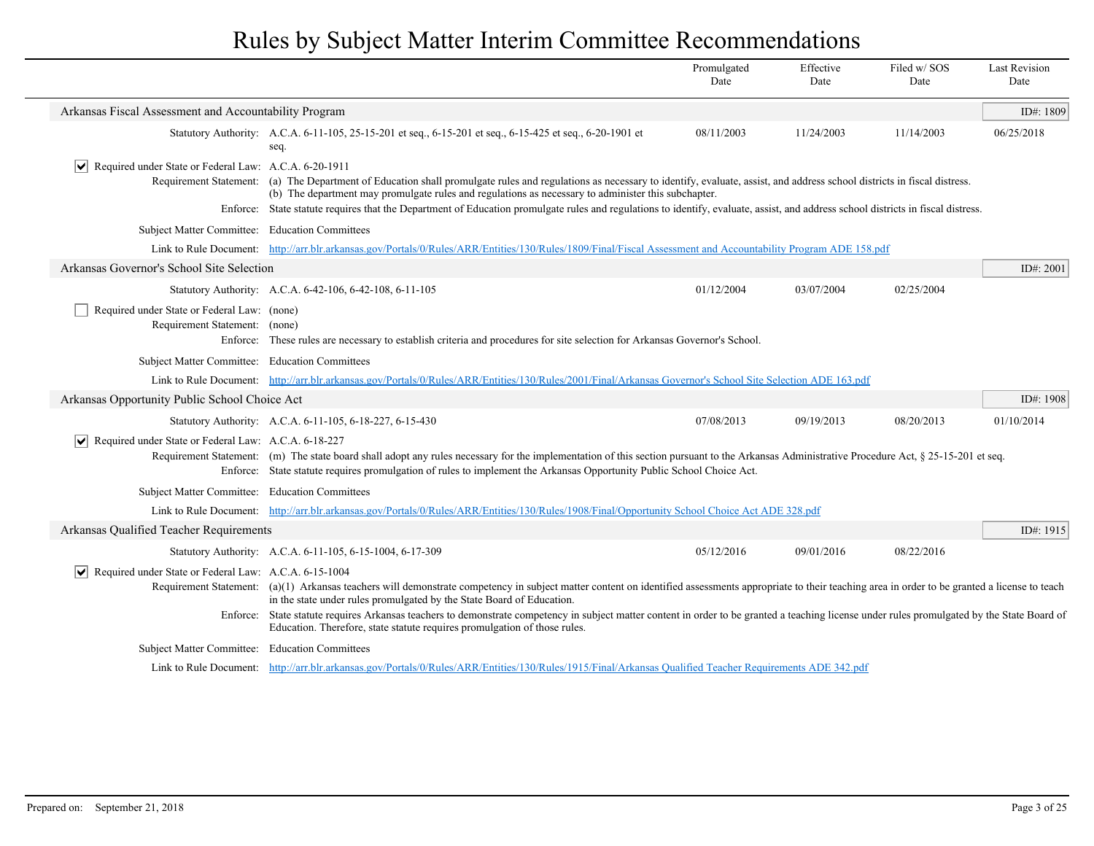|                                                                              |                                                                                                                                                                                                                                                                                                                       | Promulgated<br>Date                                                                                                                                                                                                                                                                                                                                                                                                                                                                    | Effective<br>Date | Filed w/SOS<br>Date | <b>Last Revision</b><br>Date |  |  |  |
|------------------------------------------------------------------------------|-----------------------------------------------------------------------------------------------------------------------------------------------------------------------------------------------------------------------------------------------------------------------------------------------------------------------|----------------------------------------------------------------------------------------------------------------------------------------------------------------------------------------------------------------------------------------------------------------------------------------------------------------------------------------------------------------------------------------------------------------------------------------------------------------------------------------|-------------------|---------------------|------------------------------|--|--|--|
| Arkansas Fiscal Assessment and Accountability Program                        |                                                                                                                                                                                                                                                                                                                       |                                                                                                                                                                                                                                                                                                                                                                                                                                                                                        |                   |                     | ID#: 1809                    |  |  |  |
|                                                                              | Statutory Authority: A.C.A. 6-11-105, 25-15-201 et seq., 6-15-201 et seq., 6-15-425 et seq., 6-20-1901 et<br>seq                                                                                                                                                                                                      | 08/11/2003                                                                                                                                                                                                                                                                                                                                                                                                                                                                             | 11/24/2003        | 11/14/2003          | 06/25/2018                   |  |  |  |
| Required under State or Federal Law: A.C.A. 6-20-1911                        |                                                                                                                                                                                                                                                                                                                       | Requirement Statement: (a) The Department of Education shall promulgate rules and regulations as necessary to identify, evaluate, assist, and address school districts in fiscal distress.<br>(b) The department may promulgate rules and regulations as necessary to administer this subchapter.<br>Enforce: State statute requires that the Department of Education promulgate rules and regulations to identify, evaluate, assist, and address school districts in fiscal distress. |                   |                     |                              |  |  |  |
| Subject Matter Committee: Education Committees                               |                                                                                                                                                                                                                                                                                                                       |                                                                                                                                                                                                                                                                                                                                                                                                                                                                                        |                   |                     |                              |  |  |  |
|                                                                              | Link to Rule Document: http://arr.blr.arkansas.gov/Portals/0/Rules/ARR/Entities/130/Rules/1809/Final/Fiscal Assessment and Accountability Program ADE 158.pdf                                                                                                                                                         |                                                                                                                                                                                                                                                                                                                                                                                                                                                                                        |                   |                     |                              |  |  |  |
| Arkansas Governor's School Site Selection                                    |                                                                                                                                                                                                                                                                                                                       |                                                                                                                                                                                                                                                                                                                                                                                                                                                                                        |                   |                     | ID#: 2001                    |  |  |  |
|                                                                              | Statutory Authority: A.C.A. 6-42-106, 6-42-108, 6-11-105                                                                                                                                                                                                                                                              | 01/12/2004                                                                                                                                                                                                                                                                                                                                                                                                                                                                             | 03/07/2004        | 02/25/2004          |                              |  |  |  |
| Required under State or Federal Law: (none)<br>Requirement Statement: (none) | Enforce: These rules are necessary to establish criteria and procedures for site selection for Arkansas Governor's School.                                                                                                                                                                                            |                                                                                                                                                                                                                                                                                                                                                                                                                                                                                        |                   |                     |                              |  |  |  |
| Subject Matter Committee: Education Committees                               |                                                                                                                                                                                                                                                                                                                       |                                                                                                                                                                                                                                                                                                                                                                                                                                                                                        |                   |                     |                              |  |  |  |
|                                                                              | Link to Rule Document: http://arr.blr.arkansas.gov/Portals/0/Rules/ARR/Entities/130/Rules/2001/Final/Arkansas Governor's School Site Selection ADE 163.pdf                                                                                                                                                            |                                                                                                                                                                                                                                                                                                                                                                                                                                                                                        |                   |                     |                              |  |  |  |
| Arkansas Opportunity Public School Choice Act                                |                                                                                                                                                                                                                                                                                                                       |                                                                                                                                                                                                                                                                                                                                                                                                                                                                                        |                   |                     | ID#: 1908                    |  |  |  |
|                                                                              | Statutory Authority: A.C.A. 6-11-105, 6-18-227, 6-15-430                                                                                                                                                                                                                                                              | 07/08/2013                                                                                                                                                                                                                                                                                                                                                                                                                                                                             | 09/19/2013        | 08/20/2013          | 01/10/2014                   |  |  |  |
| $ \mathbf{v} $<br>Required under State or Federal Law: A.C.A. 6-18-227       | Requirement Statement: (m) The state board shall adopt any rules necessary for the implementation of this section pursuant to the Arkansas Administrative Procedure Act, § 25-15-201 et seq.<br>Enforce: State statute requires promulgation of rules to implement the Arkansas Opportunity Public School Choice Act. |                                                                                                                                                                                                                                                                                                                                                                                                                                                                                        |                   |                     |                              |  |  |  |
| Subject Matter Committee: Education Committees                               |                                                                                                                                                                                                                                                                                                                       |                                                                                                                                                                                                                                                                                                                                                                                                                                                                                        |                   |                     |                              |  |  |  |
|                                                                              | Link to Rule Document: http://arr.blr.arkansas.gov/Portals/0/Rules/ARR/Entities/130/Rules/1908/Final/Opportunity School Choice Act ADE 328.pdf                                                                                                                                                                        |                                                                                                                                                                                                                                                                                                                                                                                                                                                                                        |                   |                     |                              |  |  |  |
| Arkansas Qualified Teacher Requirements                                      |                                                                                                                                                                                                                                                                                                                       |                                                                                                                                                                                                                                                                                                                                                                                                                                                                                        |                   |                     | ID#: 1915                    |  |  |  |
|                                                                              | Statutory Authority: A.C.A. 6-11-105, 6-15-1004, 6-17-309                                                                                                                                                                                                                                                             | 05/12/2016                                                                                                                                                                                                                                                                                                                                                                                                                                                                             | 09/01/2016        | 08/22/2016          |                              |  |  |  |
| Required under State or Federal Law: A.C.A. 6-15-1004<br>VI                  | Requirement Statement: (a)(1) Arkansas teachers will demonstrate competency in subject matter content on identified assessments appropriate to their teaching area in order to be granted a license to teach<br>in the state under rules promulgated by the State Board of Education.                                 |                                                                                                                                                                                                                                                                                                                                                                                                                                                                                        |                   |                     |                              |  |  |  |
|                                                                              | Enforce: State statute requires Arkansas teachers to demonstrate competency in subject matter content in order to be granted a teaching license under rules promulgated by the State Board of<br>Education. Therefore, state statute requires promulgation of those rules.                                            |                                                                                                                                                                                                                                                                                                                                                                                                                                                                                        |                   |                     |                              |  |  |  |
| Subject Matter Committee: Education Committees                               |                                                                                                                                                                                                                                                                                                                       |                                                                                                                                                                                                                                                                                                                                                                                                                                                                                        |                   |                     |                              |  |  |  |
|                                                                              | Link to Rule Document: http://arr.blr.arkansas.gov/Portals/0/Rules/ARR/Entities/130/Rules/1915/Final/Arkansas Qualified Teacher Requirements ADE 342.pdf                                                                                                                                                              |                                                                                                                                                                                                                                                                                                                                                                                                                                                                                        |                   |                     |                              |  |  |  |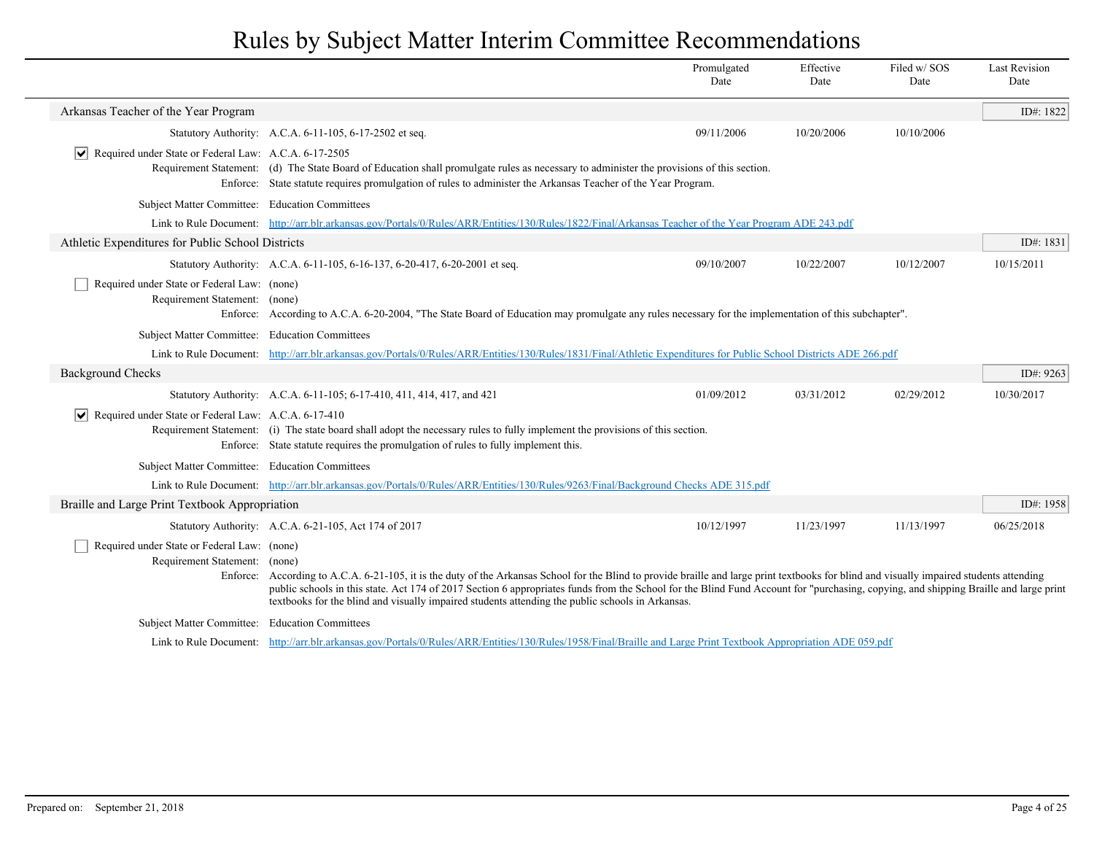|                                                                                          |                                                                                                                                                                                                                                                                                                                                                                                                                                                                               | Promulgated<br>Date | Effective<br>Date | Filed w/SOS<br>Date | <b>Last Revision</b><br>Date |
|------------------------------------------------------------------------------------------|-------------------------------------------------------------------------------------------------------------------------------------------------------------------------------------------------------------------------------------------------------------------------------------------------------------------------------------------------------------------------------------------------------------------------------------------------------------------------------|---------------------|-------------------|---------------------|------------------------------|
| Arkansas Teacher of the Year Program                                                     |                                                                                                                                                                                                                                                                                                                                                                                                                                                                               |                     |                   |                     | ID#: 1822                    |
|                                                                                          | Statutory Authority: A.C.A. 6-11-105, 6-17-2502 et seq.                                                                                                                                                                                                                                                                                                                                                                                                                       | 09/11/2006          | 10/20/2006        | 10/10/2006          |                              |
| $ \mathbf{v} $ Required under State or Federal Law: A.C.A. 6-17-2505                     | Requirement Statement: (d) The State Board of Education shall promulgate rules as necessary to administer the provisions of this section.<br>Enforce: State statute requires promulgation of rules to administer the Arkansas Teacher of the Year Program.                                                                                                                                                                                                                    |                     |                   |                     |                              |
| Subject Matter Committee: Education Committees                                           |                                                                                                                                                                                                                                                                                                                                                                                                                                                                               |                     |                   |                     |                              |
|                                                                                          | Link to Rule Document: http://arr.blr.arkansas.gov/Portals/0/Rules/ARR/Entities/130/Rules/1822/Final/Arkansas Teacher of the Year Program ADE 243.pdf                                                                                                                                                                                                                                                                                                                         |                     |                   |                     |                              |
| Athletic Expenditures for Public School Districts                                        |                                                                                                                                                                                                                                                                                                                                                                                                                                                                               |                     |                   |                     | ID#: 1831                    |
|                                                                                          | Statutory Authority: A.C.A. 6-11-105, 6-16-137, 6-20-417, 6-20-2001 et seq.                                                                                                                                                                                                                                                                                                                                                                                                   | 09/10/2007          | 10/22/2007        | 10/12/2007          | 10/15/2011                   |
| Required under State or Federal Law: (none)<br>Requirement Statement: (none)             | Enforce: According to A.C.A. 6-20-2004, "The State Board of Education may promulgate any rules necessary for the implementation of this subchapter".                                                                                                                                                                                                                                                                                                                          |                     |                   |                     |                              |
| Subject Matter Committee: Education Committees                                           |                                                                                                                                                                                                                                                                                                                                                                                                                                                                               |                     |                   |                     |                              |
|                                                                                          | Link to Rule Document: http://arr.blr.arkansas.gov/Portals/0/Rules/ARR/Entities/130/Rules/1831/Final/Athletic Expenditures for Public School Districts ADE 266.pdf                                                                                                                                                                                                                                                                                                            |                     |                   |                     |                              |
| <b>Background Checks</b>                                                                 |                                                                                                                                                                                                                                                                                                                                                                                                                                                                               |                     |                   |                     | ID#: 9263                    |
|                                                                                          | Statutory Authority: A.C.A. 6-11-105; 6-17-410, 411, 414, 417, and 421                                                                                                                                                                                                                                                                                                                                                                                                        | 01/09/2012          | 03/31/2012        | 02/29/2012          | 10/30/2017                   |
| $ \mathbf{v} $ Required under State or Federal Law: A.C.A. 6-17-410                      | Requirement Statement: (i) The state board shall adopt the necessary rules to fully implement the provisions of this section.<br>Enforce: State statute requires the promulgation of rules to fully implement this.                                                                                                                                                                                                                                                           |                     |                   |                     |                              |
| Subject Matter Committee: Education Committees                                           |                                                                                                                                                                                                                                                                                                                                                                                                                                                                               |                     |                   |                     |                              |
|                                                                                          | Link to Rule Document: http://arr.blr.arkansas.gov/Portals/0/Rules/ARR/Entities/130/Rules/9263/Final/Background Checks ADE 315.pdf                                                                                                                                                                                                                                                                                                                                            |                     |                   |                     |                              |
| Braille and Large Print Textbook Appropriation                                           |                                                                                                                                                                                                                                                                                                                                                                                                                                                                               |                     |                   |                     | ID#: 1958                    |
|                                                                                          | Statutory Authority: A.C.A. 6-21-105, Act 174 of 2017                                                                                                                                                                                                                                                                                                                                                                                                                         | 10/12/1997          | 11/23/1997        | 11/13/1997          | 06/25/2018                   |
| Required under State or Federal Law: (none)<br>Requirement Statement: (none)<br>Enforce: | According to A.C.A. 6-21-105, it is the duty of the Arkansas School for the Blind to provide braille and large print textbooks for blind and visually impaired students attending<br>public schools in this state. Act 174 of 2017 Section 6 appropriates funds from the School for the Blind Fund Account for "purchasing, copying, and shipping Braille and large print<br>textbooks for the blind and visually impaired students attending the public schools in Arkansas. |                     |                   |                     |                              |
| Subject Matter Committee: Education Committees                                           |                                                                                                                                                                                                                                                                                                                                                                                                                                                                               |                     |                   |                     |                              |
|                                                                                          | Link to Rule Document: http://arr.blr.arkansas.gov/Portals/0/Rules/ARR/Entities/130/Rules/1958/Final/Braille and Large Print Textbook Appropriation ADE 059.pdf                                                                                                                                                                                                                                                                                                               |                     |                   |                     |                              |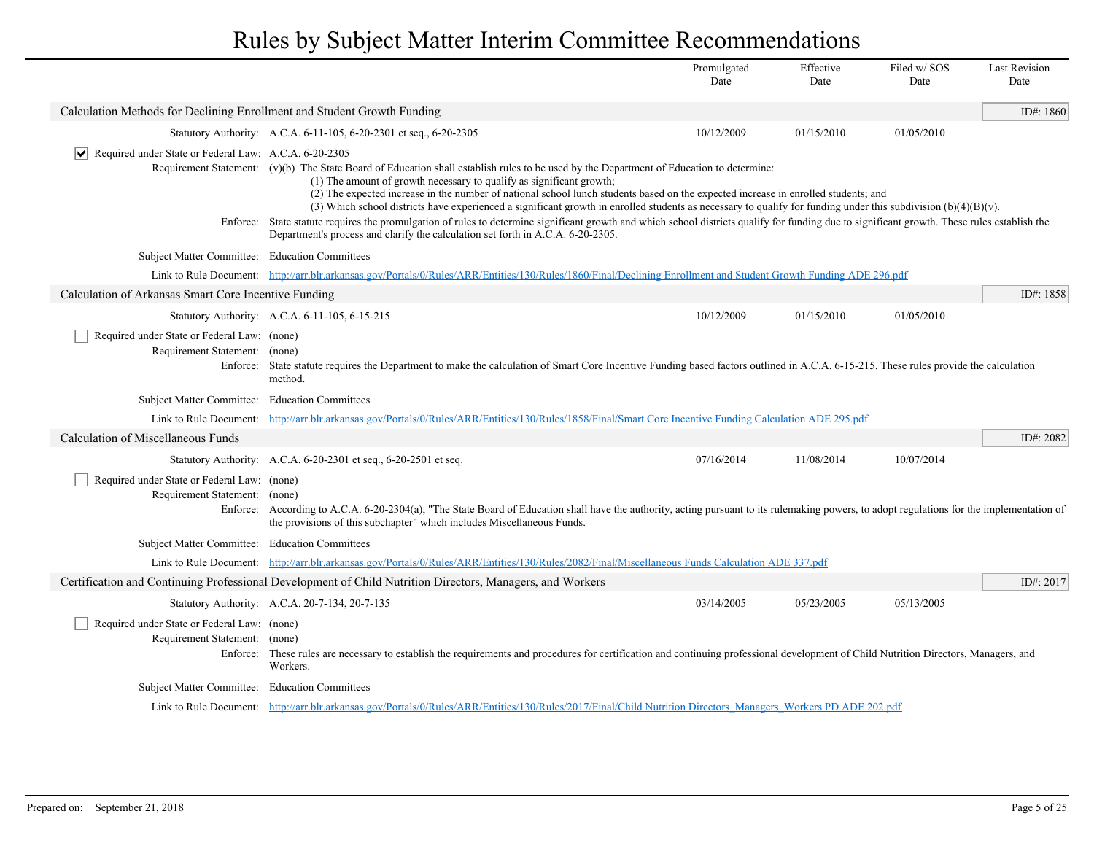|                                                                                          |                                                                                                                                                                                                                                                                                                                                                                                                                                                                                                                               | Promulgated<br>Date | Effective<br>Date | Filed w/SOS<br>Date | <b>Last Revision</b><br>Date |
|------------------------------------------------------------------------------------------|-------------------------------------------------------------------------------------------------------------------------------------------------------------------------------------------------------------------------------------------------------------------------------------------------------------------------------------------------------------------------------------------------------------------------------------------------------------------------------------------------------------------------------|---------------------|-------------------|---------------------|------------------------------|
| Calculation Methods for Declining Enrollment and Student Growth Funding                  |                                                                                                                                                                                                                                                                                                                                                                                                                                                                                                                               |                     |                   |                     | ID#: $1860$                  |
|                                                                                          | Statutory Authority: A.C.A. 6-11-105, 6-20-2301 et seq., 6-20-2305                                                                                                                                                                                                                                                                                                                                                                                                                                                            | 10/12/2009          | 01/15/2010        | 01/05/2010          |                              |
| Required under State or Federal Law: A.C.A. 6-20-2305<br>$\vert\bm{\mathsf{v}}\vert$     | Requirement Statement: $(v)(b)$ The State Board of Education shall establish rules to be used by the Department of Education to determine:<br>(1) The amount of growth necessary to qualify as significant growth;<br>(2) The expected increase in the number of national school lunch students based on the expected increase in enrolled students; and<br>(3) Which school districts have experienced a significant growth in enrolled students as necessary to qualify for funding under this subdivision $(b)(4)(B)(v)$ . |                     |                   |                     |                              |
|                                                                                          | Enforce: State statute requires the promulgation of rules to determine significant growth and which school districts qualify for funding due to significant growth. These rules establish the<br>Department's process and clarify the calculation set forth in A.C.A. 6-20-2305.                                                                                                                                                                                                                                              |                     |                   |                     |                              |
| Subject Matter Committee: Education Committees                                           |                                                                                                                                                                                                                                                                                                                                                                                                                                                                                                                               |                     |                   |                     |                              |
|                                                                                          | Link to Rule Document: http://arr.blr.arkansas.gov/Portals/0/Rules/ARR/Entities/130/Rules/1860/Final/Declining Enrollment and Student Growth Funding ADE 296.pdf                                                                                                                                                                                                                                                                                                                                                              |                     |                   |                     |                              |
| Calculation of Arkansas Smart Core Incentive Funding                                     |                                                                                                                                                                                                                                                                                                                                                                                                                                                                                                                               |                     |                   |                     | ID#: 1858                    |
|                                                                                          | Statutory Authority: A.C.A. 6-11-105, 6-15-215                                                                                                                                                                                                                                                                                                                                                                                                                                                                                | 10/12/2009          | 01/15/2010        | 01/05/2010          |                              |
| Required under State or Federal Law: (none)<br>Requirement Statement: (none)<br>Enforce: | State statute requires the Department to make the calculation of Smart Core Incentive Funding based factors outlined in A.C.A. 6-15-215. These rules provide the calculation<br>method.                                                                                                                                                                                                                                                                                                                                       |                     |                   |                     |                              |
| Subject Matter Committee: Education Committees                                           |                                                                                                                                                                                                                                                                                                                                                                                                                                                                                                                               |                     |                   |                     |                              |
|                                                                                          | Link to Rule Document: http://arr.blr.arkansas.gov/Portals/0/Rules/ARR/Entities/130/Rules/1858/Final/Smart Core Incentive Funding Calculation ADE 295.pdf                                                                                                                                                                                                                                                                                                                                                                     |                     |                   |                     |                              |
| Calculation of Miscellaneous Funds                                                       |                                                                                                                                                                                                                                                                                                                                                                                                                                                                                                                               |                     |                   |                     | ID#: 2082                    |
|                                                                                          | Statutory Authority: A.C.A. 6-20-2301 et seq., 6-20-2501 et seq.                                                                                                                                                                                                                                                                                                                                                                                                                                                              | 07/16/2014          | 11/08/2014        | 10/07/2014          |                              |
| Required under State or Federal Law: (none)<br>Requirement Statement: (none)             | Enforce: According to A.C.A. 6-20-2304(a), "The State Board of Education shall have the authority, acting pursuant to its rulemaking powers, to adopt regulations for the implementation of<br>the provisions of this subchapter" which includes Miscellaneous Funds.                                                                                                                                                                                                                                                         |                     |                   |                     |                              |
| Subject Matter Committee: Education Committees                                           |                                                                                                                                                                                                                                                                                                                                                                                                                                                                                                                               |                     |                   |                     |                              |
|                                                                                          | Link to Rule Document: http://arr.blr.arkansas.gov/Portals/0/Rules/ARR/Entities/130/Rules/2082/Final/Miscellaneous Funds Calculation ADE 337.pdf                                                                                                                                                                                                                                                                                                                                                                              |                     |                   |                     |                              |
|                                                                                          | Certification and Continuing Professional Development of Child Nutrition Directors, Managers, and Workers                                                                                                                                                                                                                                                                                                                                                                                                                     |                     |                   |                     | ID#: 2017                    |
|                                                                                          | Statutory Authority: A.C.A. 20-7-134, 20-7-135                                                                                                                                                                                                                                                                                                                                                                                                                                                                                | 03/14/2005          | 05/23/2005        | 05/13/2005          |                              |
| Required under State or Federal Law: (none)<br>Requirement Statement: (none)             | Enforce: These rules are necessary to establish the requirements and procedures for certification and continuing professional development of Child Nutrition Directors, Managers, and<br>Workers.                                                                                                                                                                                                                                                                                                                             |                     |                   |                     |                              |
| Subject Matter Committee: Education Committees                                           |                                                                                                                                                                                                                                                                                                                                                                                                                                                                                                                               |                     |                   |                     |                              |
|                                                                                          | Link to Rule Document: http://arr.blr.arkansas.gov/Portals/0/Rules/ARR/Entities/130/Rules/2017/Final/Child Nutrition Directors Managers Workers PD ADE 202.pdf                                                                                                                                                                                                                                                                                                                                                                |                     |                   |                     |                              |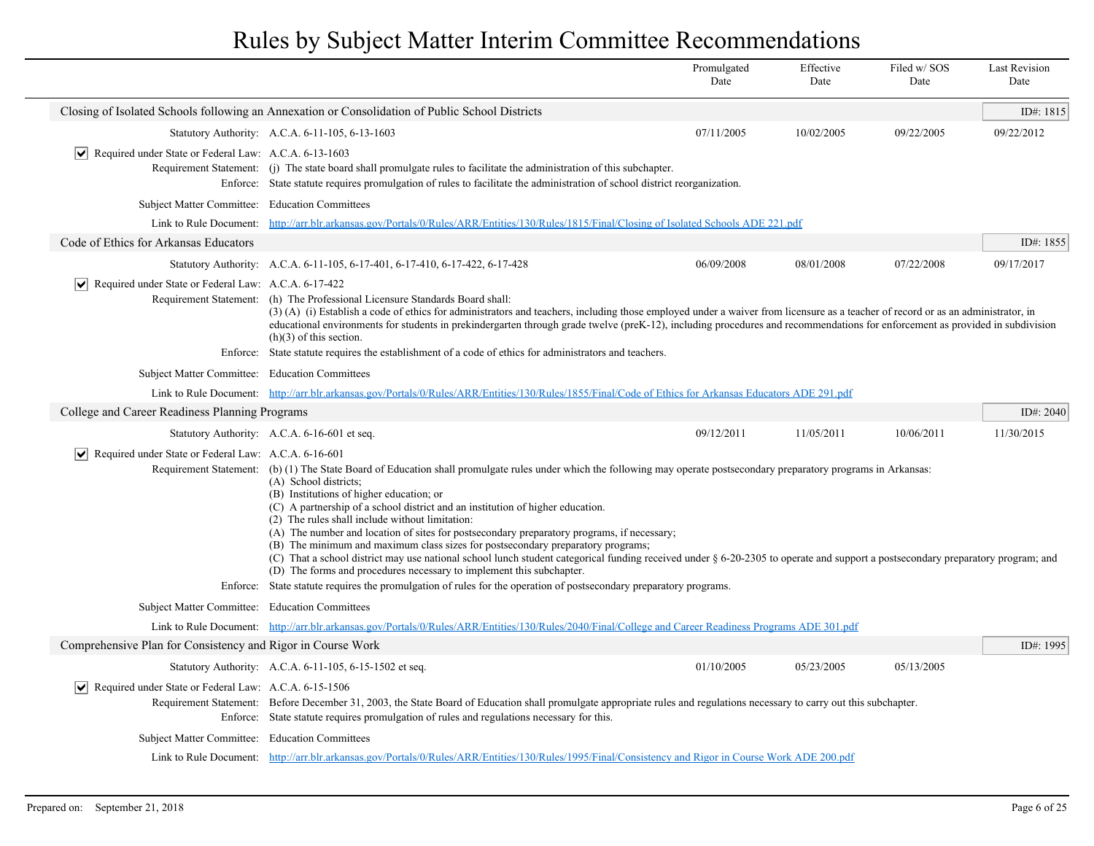|                                                                             |                                                                                                                                                                                                                                                                                                                                                                                                                                                                                                                                                                                                                                                                                                                                                                                                                                                                                                                                                      | Promulgated<br>Date | Effective<br>Date | Filed w/SOS<br>Date | <b>Last Revision</b><br>Date |
|-----------------------------------------------------------------------------|------------------------------------------------------------------------------------------------------------------------------------------------------------------------------------------------------------------------------------------------------------------------------------------------------------------------------------------------------------------------------------------------------------------------------------------------------------------------------------------------------------------------------------------------------------------------------------------------------------------------------------------------------------------------------------------------------------------------------------------------------------------------------------------------------------------------------------------------------------------------------------------------------------------------------------------------------|---------------------|-------------------|---------------------|------------------------------|
|                                                                             | Closing of Isolated Schools following an Annexation or Consolidation of Public School Districts                                                                                                                                                                                                                                                                                                                                                                                                                                                                                                                                                                                                                                                                                                                                                                                                                                                      |                     |                   |                     | ID#: 1815                    |
|                                                                             | Statutory Authority: A.C.A. 6-11-105, 6-13-1603                                                                                                                                                                                                                                                                                                                                                                                                                                                                                                                                                                                                                                                                                                                                                                                                                                                                                                      | 07/11/2005          | 10/02/2005        | 09/22/2005          | 09/22/2012                   |
| $ \mathbf{v} $ Required under State or Federal Law: A.C.A. 6-13-1603        | Requirement Statement: (j) The state board shall promulgate rules to facilitate the administration of this subchapter.<br>Enforce: State statute requires promulgation of rules to facilitate the administration of school district reorganization.                                                                                                                                                                                                                                                                                                                                                                                                                                                                                                                                                                                                                                                                                                  |                     |                   |                     |                              |
| Subject Matter Committee: Education Committees                              |                                                                                                                                                                                                                                                                                                                                                                                                                                                                                                                                                                                                                                                                                                                                                                                                                                                                                                                                                      |                     |                   |                     |                              |
| Link to Rule Document:                                                      | http://arr.blr.arkansas.gov/Portals/0/Rules/ARR/Entities/130/Rules/1815/Final/Closing of Isolated Schools ADE 221.pdf                                                                                                                                                                                                                                                                                                                                                                                                                                                                                                                                                                                                                                                                                                                                                                                                                                |                     |                   |                     |                              |
| Code of Ethics for Arkansas Educators                                       |                                                                                                                                                                                                                                                                                                                                                                                                                                                                                                                                                                                                                                                                                                                                                                                                                                                                                                                                                      |                     |                   |                     | ID#: 1855                    |
|                                                                             | Statutory Authority: A.C.A. 6-11-105, 6-17-401, 6-17-410, 6-17-422, 6-17-428                                                                                                                                                                                                                                                                                                                                                                                                                                                                                                                                                                                                                                                                                                                                                                                                                                                                         | 06/09/2008          | 08/01/2008        | 07/22/2008          | 09/17/2017                   |
| Required under State or Federal Law: A.C.A. 6-17-422<br>$ \bm{\mathsf{v}} $ | Requirement Statement: (h) The Professional Licensure Standards Board shall:<br>(3) (A) (i) Establish a code of ethics for administrators and teachers, including those employed under a waiver from licensure as a teacher of record or as an administrator, in<br>educational environments for students in prekindergarten through grade twelve (preK-12), including procedures and recommendations for enforcement as provided in subdivision<br>$(h)(3)$ of this section.                                                                                                                                                                                                                                                                                                                                                                                                                                                                        |                     |                   |                     |                              |
|                                                                             | Enforce: State statute requires the establishment of a code of ethics for administrators and teachers.                                                                                                                                                                                                                                                                                                                                                                                                                                                                                                                                                                                                                                                                                                                                                                                                                                               |                     |                   |                     |                              |
| Subject Matter Committee: Education Committees                              |                                                                                                                                                                                                                                                                                                                                                                                                                                                                                                                                                                                                                                                                                                                                                                                                                                                                                                                                                      |                     |                   |                     |                              |
|                                                                             | Link to Rule Document: http://arr.blr.arkansas.gov/Portals/0/Rules/ARR/Entities/130/Rules/1855/Final/Code of Ethics for Arkansas Educators ADE 291.pdf                                                                                                                                                                                                                                                                                                                                                                                                                                                                                                                                                                                                                                                                                                                                                                                               |                     |                   |                     |                              |
| College and Career Readiness Planning Programs                              |                                                                                                                                                                                                                                                                                                                                                                                                                                                                                                                                                                                                                                                                                                                                                                                                                                                                                                                                                      |                     |                   |                     | ID#: $2040$                  |
|                                                                             | Statutory Authority: A.C.A. 6-16-601 et seq.                                                                                                                                                                                                                                                                                                                                                                                                                                                                                                                                                                                                                                                                                                                                                                                                                                                                                                         | 09/12/2011          | 11/05/2011        | 10/06/2011          | 11/30/2015                   |
| Required under State or Federal Law: A.C.A. 6-16-601<br>$ \bm{\mathsf{v}} $ | Requirement Statement: (b) (1) The State Board of Education shall promulgate rules under which the following may operate postsecondary preparatory programs in Arkansas:<br>(A) School districts;<br>(B) Institutions of higher education; or<br>(C) A partnership of a school district and an institution of higher education.<br>(2) The rules shall include without limitation:<br>(A) The number and location of sites for postsecondary preparatory programs, if necessary;<br>(B) The minimum and maximum class sizes for postsecondary preparatory programs;<br>(C) That a school district may use national school lunch student categorical funding received under § 6-20-2305 to operate and support a postsecondary preparatory program; and<br>(D) The forms and procedures necessary to implement this subchapter.<br>Enforce: State statute requires the promulgation of rules for the operation of postsecondary preparatory programs. |                     |                   |                     |                              |
|                                                                             |                                                                                                                                                                                                                                                                                                                                                                                                                                                                                                                                                                                                                                                                                                                                                                                                                                                                                                                                                      |                     |                   |                     |                              |
| Subject Matter Committee: Education Committees                              | Link to Rule Document: http://arr.blr.arkansas.gov/Portals/0/Rules/ARR/Entities/130/Rules/2040/Final/College and Career Readiness Programs ADE 301.pdf                                                                                                                                                                                                                                                                                                                                                                                                                                                                                                                                                                                                                                                                                                                                                                                               |                     |                   |                     |                              |
| Comprehensive Plan for Consistency and Rigor in Course Work                 |                                                                                                                                                                                                                                                                                                                                                                                                                                                                                                                                                                                                                                                                                                                                                                                                                                                                                                                                                      |                     |                   |                     | ID#: 1995                    |
|                                                                             | Statutory Authority: A.C.A. 6-11-105, 6-15-1502 et seq.                                                                                                                                                                                                                                                                                                                                                                                                                                                                                                                                                                                                                                                                                                                                                                                                                                                                                              | 01/10/2005          | 05/23/2005        | 05/13/2005          |                              |
| Required under State or Federal Law: A.C.A. 6-15-1506                       | Requirement Statement: Before December 31, 2003, the State Board of Education shall promulgate appropriate rules and regulations necessary to carry out this subchapter.<br>Enforce: State statute requires promulgation of rules and regulations necessary for this.                                                                                                                                                                                                                                                                                                                                                                                                                                                                                                                                                                                                                                                                                |                     |                   |                     |                              |
| Subject Matter Committee: Education Committees                              |                                                                                                                                                                                                                                                                                                                                                                                                                                                                                                                                                                                                                                                                                                                                                                                                                                                                                                                                                      |                     |                   |                     |                              |
|                                                                             | Link to Rule Document: http://arr.blr.arkansas.gov/Portals/0/Rules/ARR/Entities/130/Rules/1995/Final/Consistency and Rigor in Course Work ADE 200.pdf                                                                                                                                                                                                                                                                                                                                                                                                                                                                                                                                                                                                                                                                                                                                                                                                |                     |                   |                     |                              |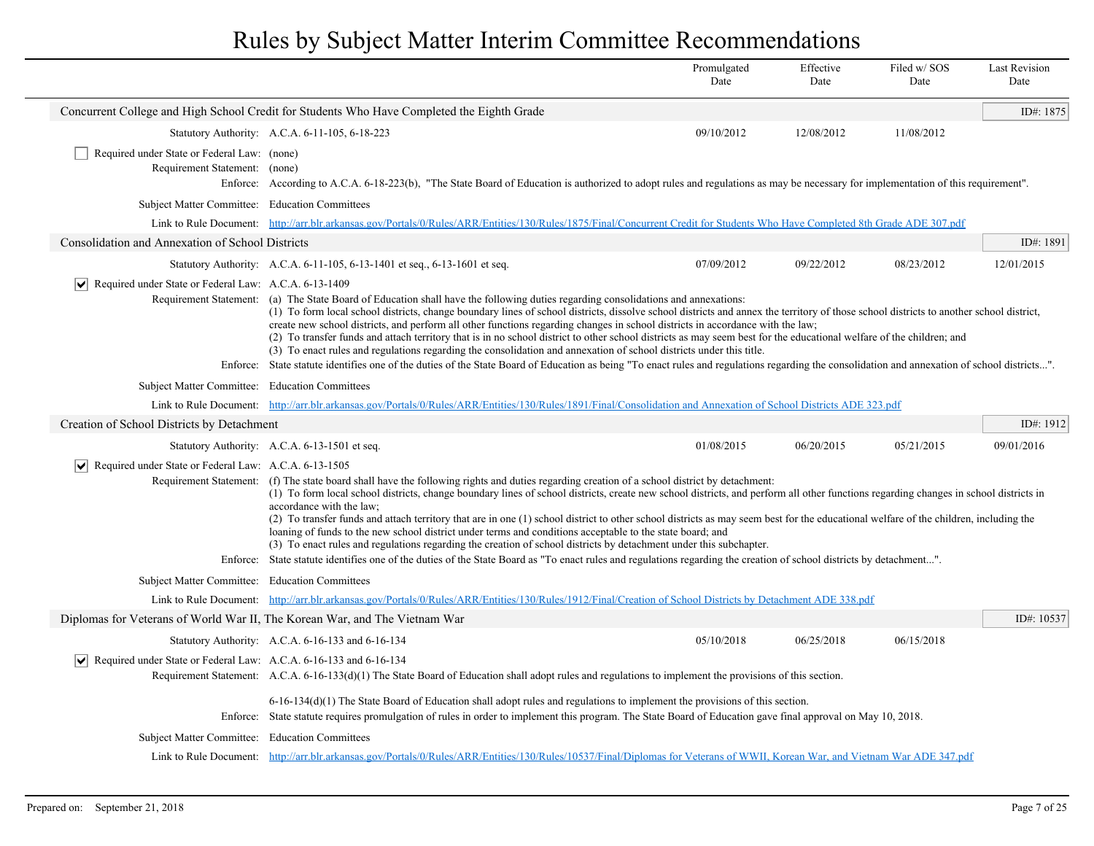|                                                                                  |                                                                                                                                                                                                                                                                                                                                                                                                                                                                                                                                                                                                                                                                                                                                                                                                                                                                                                                                                                     | Promulgated<br>Date                                                                                                                                                                                                                                                                                                                                                                                                                                                                                                                                                                                                                                                                                                                                                                                                                                                                                                                                           | Effective<br>Date | Filed w/SOS<br>Date | <b>Last Revision</b><br>Date |  |  |
|----------------------------------------------------------------------------------|---------------------------------------------------------------------------------------------------------------------------------------------------------------------------------------------------------------------------------------------------------------------------------------------------------------------------------------------------------------------------------------------------------------------------------------------------------------------------------------------------------------------------------------------------------------------------------------------------------------------------------------------------------------------------------------------------------------------------------------------------------------------------------------------------------------------------------------------------------------------------------------------------------------------------------------------------------------------|---------------------------------------------------------------------------------------------------------------------------------------------------------------------------------------------------------------------------------------------------------------------------------------------------------------------------------------------------------------------------------------------------------------------------------------------------------------------------------------------------------------------------------------------------------------------------------------------------------------------------------------------------------------------------------------------------------------------------------------------------------------------------------------------------------------------------------------------------------------------------------------------------------------------------------------------------------------|-------------------|---------------------|------------------------------|--|--|
|                                                                                  | Concurrent College and High School Credit for Students Who Have Completed the Eighth Grade                                                                                                                                                                                                                                                                                                                                                                                                                                                                                                                                                                                                                                                                                                                                                                                                                                                                          |                                                                                                                                                                                                                                                                                                                                                                                                                                                                                                                                                                                                                                                                                                                                                                                                                                                                                                                                                               |                   |                     | ID#: 1875                    |  |  |
|                                                                                  | Statutory Authority: A.C.A. 6-11-105, 6-18-223                                                                                                                                                                                                                                                                                                                                                                                                                                                                                                                                                                                                                                                                                                                                                                                                                                                                                                                      | 09/10/2012                                                                                                                                                                                                                                                                                                                                                                                                                                                                                                                                                                                                                                                                                                                                                                                                                                                                                                                                                    | 12/08/2012        | 11/08/2012          |                              |  |  |
| Required under State or Federal Law: (none)<br>Requirement Statement: (none)     | Enforce: According to A.C.A. 6-18-223(b), "The State Board of Education is authorized to adopt rules and regulations as may be necessary for implementation of this requirement".                                                                                                                                                                                                                                                                                                                                                                                                                                                                                                                                                                                                                                                                                                                                                                                   |                                                                                                                                                                                                                                                                                                                                                                                                                                                                                                                                                                                                                                                                                                                                                                                                                                                                                                                                                               |                   |                     |                              |  |  |
| Subject Matter Committee: Education Committees                                   |                                                                                                                                                                                                                                                                                                                                                                                                                                                                                                                                                                                                                                                                                                                                                                                                                                                                                                                                                                     |                                                                                                                                                                                                                                                                                                                                                                                                                                                                                                                                                                                                                                                                                                                                                                                                                                                                                                                                                               |                   |                     |                              |  |  |
|                                                                                  | Link to Rule Document: http://arr.blr.arkansas.gov/Portals/0/Rules/ARR/Entities/130/Rules/1875/Final/Concurrent Credit for Students Who Have Completed 8th Grade ADE 307.pdf                                                                                                                                                                                                                                                                                                                                                                                                                                                                                                                                                                                                                                                                                                                                                                                        |                                                                                                                                                                                                                                                                                                                                                                                                                                                                                                                                                                                                                                                                                                                                                                                                                                                                                                                                                               |                   |                     |                              |  |  |
| Consolidation and Annexation of School Districts                                 |                                                                                                                                                                                                                                                                                                                                                                                                                                                                                                                                                                                                                                                                                                                                                                                                                                                                                                                                                                     |                                                                                                                                                                                                                                                                                                                                                                                                                                                                                                                                                                                                                                                                                                                                                                                                                                                                                                                                                               |                   |                     | ID#: 1891                    |  |  |
|                                                                                  | Statutory Authority: A.C.A. 6-11-105, 6-13-1401 et seq., 6-13-1601 et seq.                                                                                                                                                                                                                                                                                                                                                                                                                                                                                                                                                                                                                                                                                                                                                                                                                                                                                          | 07/09/2012                                                                                                                                                                                                                                                                                                                                                                                                                                                                                                                                                                                                                                                                                                                                                                                                                                                                                                                                                    | 09/22/2012        | 08/23/2012          | 12/01/2015                   |  |  |
| $ \mathbf{v} $ Required under State or Federal Law: A.C.A. 6-13-1409             |                                                                                                                                                                                                                                                                                                                                                                                                                                                                                                                                                                                                                                                                                                                                                                                                                                                                                                                                                                     | Requirement Statement: (a) The State Board of Education shall have the following duties regarding consolidations and annexations:<br>(1) To form local school districts, change boundary lines of school districts, dissolve school districts and annex the territory of those school districts to another school district,<br>create new school districts, and perform all other functions regarding changes in school districts in accordance with the law;<br>(2) To transfer funds and attach territory that is in no school district to other school districts as may seem best for the educational welfare of the children; and<br>(3) To enact rules and regulations regarding the consolidation and annexation of school districts under this title.<br>Enforce: State statute identifies one of the duties of the State Board of Education as being "To enact rules and regulations regarding the consolidation and annexation of school districts". |                   |                     |                              |  |  |
| Subject Matter Committee: Education Committees                                   |                                                                                                                                                                                                                                                                                                                                                                                                                                                                                                                                                                                                                                                                                                                                                                                                                                                                                                                                                                     |                                                                                                                                                                                                                                                                                                                                                                                                                                                                                                                                                                                                                                                                                                                                                                                                                                                                                                                                                               |                   |                     |                              |  |  |
|                                                                                  | Link to Rule Document: http://arr.blr.arkansas.gov/Portals/0/Rules/ARR/Entities/130/Rules/1891/Final/Consolidation and Annexation of School Districts ADE 323.pdf                                                                                                                                                                                                                                                                                                                                                                                                                                                                                                                                                                                                                                                                                                                                                                                                   |                                                                                                                                                                                                                                                                                                                                                                                                                                                                                                                                                                                                                                                                                                                                                                                                                                                                                                                                                               |                   |                     |                              |  |  |
| Creation of School Districts by Detachment                                       |                                                                                                                                                                                                                                                                                                                                                                                                                                                                                                                                                                                                                                                                                                                                                                                                                                                                                                                                                                     |                                                                                                                                                                                                                                                                                                                                                                                                                                                                                                                                                                                                                                                                                                                                                                                                                                                                                                                                                               |                   |                     | ID#: 1912                    |  |  |
|                                                                                  | Statutory Authority: A.C.A. 6-13-1501 et seq.                                                                                                                                                                                                                                                                                                                                                                                                                                                                                                                                                                                                                                                                                                                                                                                                                                                                                                                       | 01/08/2015                                                                                                                                                                                                                                                                                                                                                                                                                                                                                                                                                                                                                                                                                                                                                                                                                                                                                                                                                    | 06/20/2015        | 05/21/2015          | 09/01/2016                   |  |  |
| Required under State or Federal Law: A.C.A. 6-13-1505<br>M                       | Requirement Statement: (f) The state board shall have the following rights and duties regarding creation of a school district by detachment:<br>(1) To form local school districts, change boundary lines of school districts, create new school districts, and perform all other functions regarding changes in school districts in<br>accordance with the law:<br>(2) To transfer funds and attach territory that are in one (1) school district to other school districts as may seem best for the educational welfare of the children, including the<br>loaning of funds to the new school district under terms and conditions acceptable to the state board; and<br>(3) To enact rules and regulations regarding the creation of school districts by detachment under this subchapter.<br>Enforce: State statute identifies one of the duties of the State Board as "To enact rules and regulations regarding the creation of school districts by detachment". |                                                                                                                                                                                                                                                                                                                                                                                                                                                                                                                                                                                                                                                                                                                                                                                                                                                                                                                                                               |                   |                     |                              |  |  |
| Subject Matter Committee: Education Committees                                   |                                                                                                                                                                                                                                                                                                                                                                                                                                                                                                                                                                                                                                                                                                                                                                                                                                                                                                                                                                     |                                                                                                                                                                                                                                                                                                                                                                                                                                                                                                                                                                                                                                                                                                                                                                                                                                                                                                                                                               |                   |                     |                              |  |  |
|                                                                                  | Link to Rule Document: http://arr.blr.arkansas.gov/Portals/0/Rules/ARR/Entities/130/Rules/1912/Final/Creation of School Districts by Detachment ADE 338.pdf                                                                                                                                                                                                                                                                                                                                                                                                                                                                                                                                                                                                                                                                                                                                                                                                         |                                                                                                                                                                                                                                                                                                                                                                                                                                                                                                                                                                                                                                                                                                                                                                                                                                                                                                                                                               |                   |                     |                              |  |  |
| Diplomas for Veterans of World War II, The Korean War, and The Vietnam War       |                                                                                                                                                                                                                                                                                                                                                                                                                                                                                                                                                                                                                                                                                                                                                                                                                                                                                                                                                                     |                                                                                                                                                                                                                                                                                                                                                                                                                                                                                                                                                                                                                                                                                                                                                                                                                                                                                                                                                               |                   |                     | ID#: $10537$                 |  |  |
|                                                                                  | Statutory Authority: A.C.A. 6-16-133 and 6-16-134                                                                                                                                                                                                                                                                                                                                                                                                                                                                                                                                                                                                                                                                                                                                                                                                                                                                                                                   | 05/10/2018                                                                                                                                                                                                                                                                                                                                                                                                                                                                                                                                                                                                                                                                                                                                                                                                                                                                                                                                                    | 06/25/2018        | 06/15/2018          |                              |  |  |
| $ \mathbf{v} $ Required under State or Federal Law: A.C.A. 6-16-133 and 6-16-134 | Requirement Statement: A.C.A. 6-16-133(d)(1) The State Board of Education shall adopt rules and regulations to implement the provisions of this section.                                                                                                                                                                                                                                                                                                                                                                                                                                                                                                                                                                                                                                                                                                                                                                                                            |                                                                                                                                                                                                                                                                                                                                                                                                                                                                                                                                                                                                                                                                                                                                                                                                                                                                                                                                                               |                   |                     |                              |  |  |
| Subject Matter Committee: Education Committees                                   | $6-16-134(d)(1)$ The State Board of Education shall adopt rules and regulations to implement the provisions of this section.<br>Enforce: State statute requires promulgation of rules in order to implement this program. The State Board of Education gave final approval on May 10, 2018.<br>Link to Rule Document: http://arr.blr.arkansas.gov/Portals/0/Rules/ARR/Entities/130/Rules/10537/Final/Diplomas for Veterans of WWII, Korean War, and Vietnam War ADE 347.pdf                                                                                                                                                                                                                                                                                                                                                                                                                                                                                         |                                                                                                                                                                                                                                                                                                                                                                                                                                                                                                                                                                                                                                                                                                                                                                                                                                                                                                                                                               |                   |                     |                              |  |  |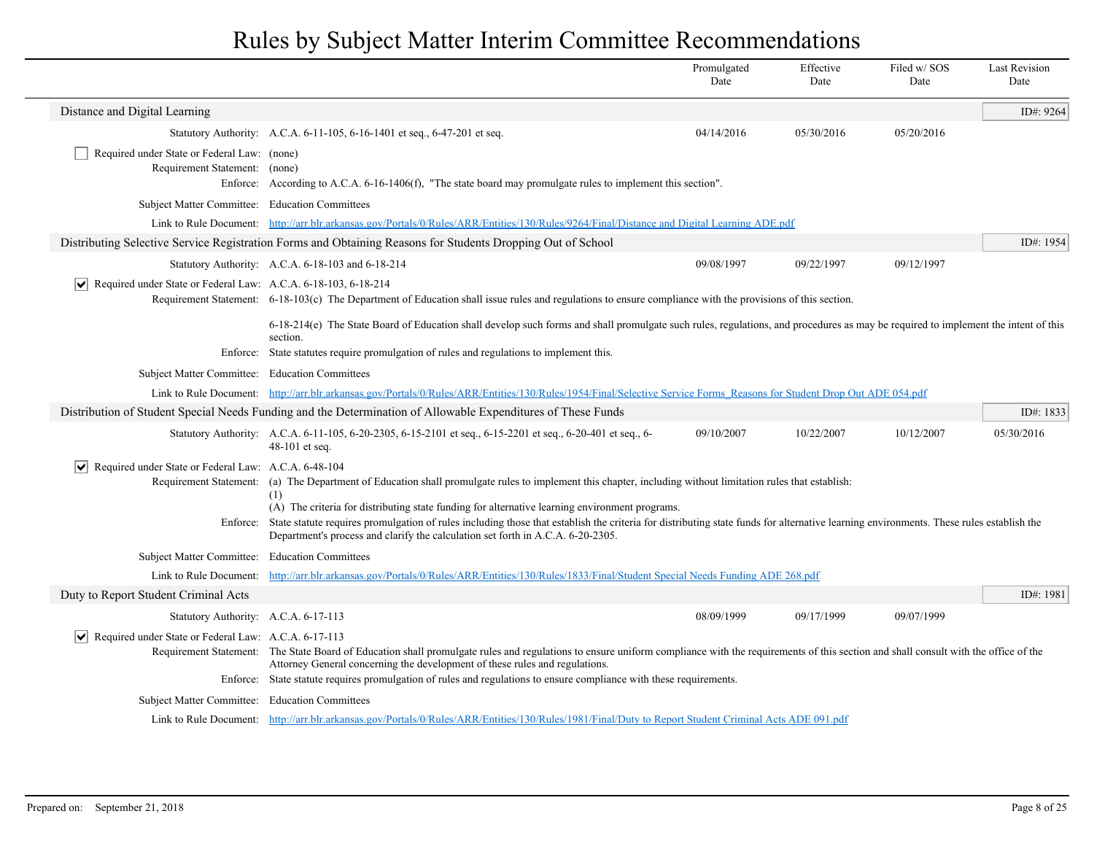|                                                                               |                                                                                                                                                                                                                                                                                                                                                                             | Promulgated<br>Date | Effective<br>Date | Filed w/SOS<br>Date | <b>Last Revision</b><br>Date |
|-------------------------------------------------------------------------------|-----------------------------------------------------------------------------------------------------------------------------------------------------------------------------------------------------------------------------------------------------------------------------------------------------------------------------------------------------------------------------|---------------------|-------------------|---------------------|------------------------------|
| Distance and Digital Learning                                                 |                                                                                                                                                                                                                                                                                                                                                                             |                     |                   |                     | ID#: 9264                    |
|                                                                               | Statutory Authority: A.C.A. 6-11-105, 6-16-1401 et seq., 6-47-201 et seq.                                                                                                                                                                                                                                                                                                   | 04/14/2016          | 05/30/2016        | 05/20/2016          |                              |
| Required under State or Federal Law: (none)<br>Requirement Statement: (none)  | Enforce: According to A.C.A. 6-16-1406(f), "The state board may promulgate rules to implement this section".                                                                                                                                                                                                                                                                |                     |                   |                     |                              |
| Subject Matter Committee: Education Committees                                |                                                                                                                                                                                                                                                                                                                                                                             |                     |                   |                     |                              |
|                                                                               | Link to Rule Document: http://arr.blr.arkansas.gov/Portals/0/Rules/ARR/Entities/130/Rules/9264/Final/Distance and Digital Learning ADE.pdf                                                                                                                                                                                                                                  |                     |                   |                     |                              |
|                                                                               | Distributing Selective Service Registration Forms and Obtaining Reasons for Students Dropping Out of School                                                                                                                                                                                                                                                                 |                     |                   |                     | ID#: 1954                    |
|                                                                               | Statutory Authority: A.C.A. 6-18-103 and 6-18-214                                                                                                                                                                                                                                                                                                                           | 09/08/1997          | 09/22/1997        | 09/12/1997          |                              |
| $ \mathbf{v} $ Required under State or Federal Law: A.C.A. 6-18-103, 6-18-214 | Requirement Statement: 6-18-103(c) The Department of Education shall issue rules and regulations to ensure compliance with the provisions of this section.                                                                                                                                                                                                                  |                     |                   |                     |                              |
|                                                                               | 6-18-214(e) The State Board of Education shall develop such forms and shall promulgate such rules, regulations, and procedures as may be required to implement the intent of this<br>section.                                                                                                                                                                               |                     |                   |                     |                              |
|                                                                               | Enforce: State statutes require promulgation of rules and regulations to implement this.                                                                                                                                                                                                                                                                                    |                     |                   |                     |                              |
| Subject Matter Committee: Education Committees                                |                                                                                                                                                                                                                                                                                                                                                                             |                     |                   |                     |                              |
|                                                                               | Link to Rule Document: http://arr.blr.arkansas.gov/Portals/0/Rules/ARR/Entities/130/Rules/1954/Final/Selective Service Forms Reasons for Student Drop Out ADE 054.pdf                                                                                                                                                                                                       |                     |                   |                     |                              |
|                                                                               | Distribution of Student Special Needs Funding and the Determination of Allowable Expenditures of These Funds                                                                                                                                                                                                                                                                |                     |                   |                     | ID#: 1833                    |
|                                                                               | Statutory Authority: A.C.A. 6-11-105, 6-20-2305, 6-15-2101 et seq., 6-15-2201 et seq., 6-20-401 et seq., 6-<br>48-101 et seq.                                                                                                                                                                                                                                               | 09/10/2007          | 10/22/2007        | 10/12/2007          | 05/30/2016                   |
| $ \mathbf{v} $ Required under State or Federal Law: A.C.A. 6-48-104           | Requirement Statement: (a) The Department of Education shall promulgate rules to implement this chapter, including without limitation rules that establish:<br>(1)                                                                                                                                                                                                          |                     |                   |                     |                              |
| Enforce:                                                                      | (A) The criteria for distributing state funding for alternative learning environment programs.<br>State statute requires promulgation of rules including those that establish the criteria for distributing state funds for alternative learning environments. These rules establish the<br>Department's process and clarify the calculation set forth in A.C.A. 6-20-2305. |                     |                   |                     |                              |
| <b>Subject Matter Committee:</b>                                              | <b>Education Committees</b>                                                                                                                                                                                                                                                                                                                                                 |                     |                   |                     |                              |
| Link to Rule Document:                                                        | http://arr.blr.arkansas.gov/Portals/0/Rules/ARR/Entities/130/Rules/1833/Final/Student Special Needs Funding ADE 268.pdf                                                                                                                                                                                                                                                     |                     |                   |                     |                              |
| Duty to Report Student Criminal Acts                                          |                                                                                                                                                                                                                                                                                                                                                                             |                     |                   |                     | ID#: 1981                    |
| Statutory Authority: A.C.A. 6-17-113                                          |                                                                                                                                                                                                                                                                                                                                                                             | 08/09/1999          | 09/17/1999        | 09/07/1999          |                              |
| Required under State or Federal Law: A.C.A. 6-17-113                          | Requirement Statement: The State Board of Education shall promulgate rules and regulations to ensure uniform compliance with the requirements of this section and shall consult with the office of the<br>Attorney General concerning the development of these rules and regulations.                                                                                       |                     |                   |                     |                              |
|                                                                               | Enforce: State statute requires promulgation of rules and regulations to ensure compliance with these requirements.                                                                                                                                                                                                                                                         |                     |                   |                     |                              |
| Subject Matter Committee: Education Committees                                |                                                                                                                                                                                                                                                                                                                                                                             |                     |                   |                     |                              |
|                                                                               | Link to Rule Document: http://arr.blr.arkansas.gov/Portals/0/Rules/ARR/Entities/130/Rules/1981/Final/Duty to Report Student Criminal Acts ADE 091.pdf                                                                                                                                                                                                                       |                     |                   |                     |                              |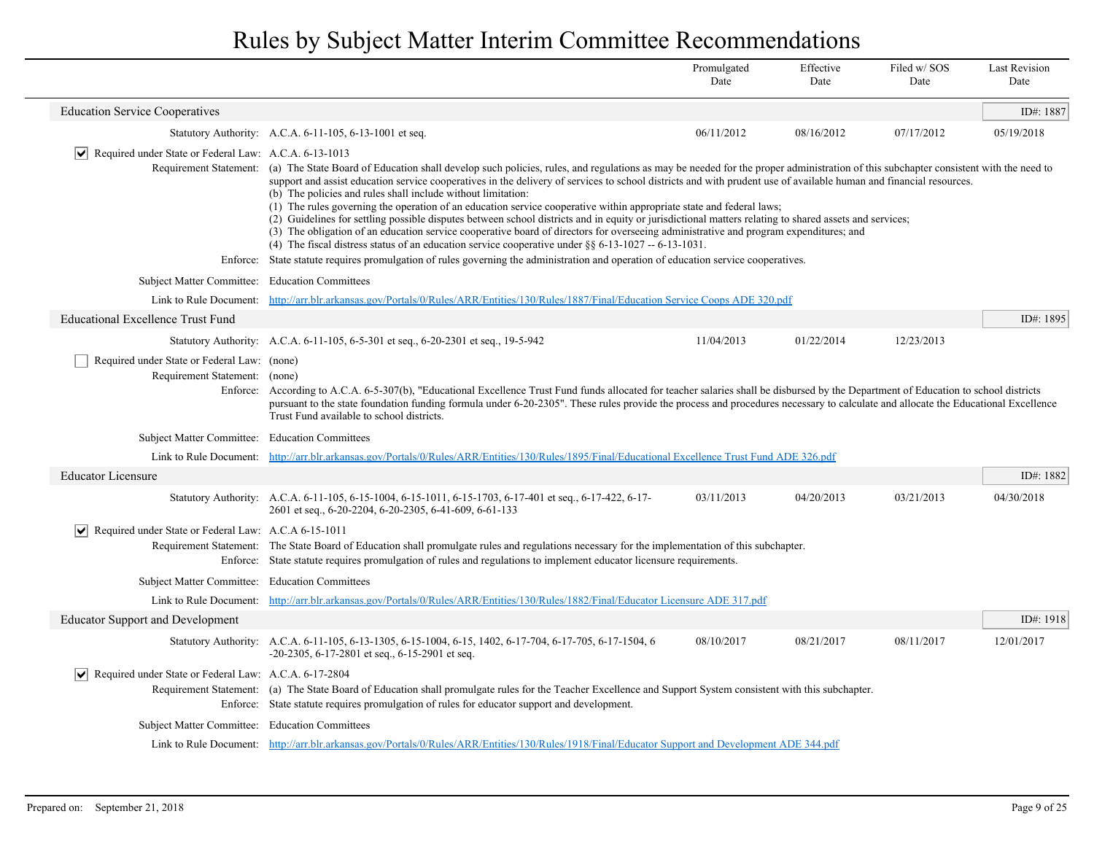|                                                                              |                                                                                                                                                                                                                                                                                                                                                                                                                         | Promulgated<br>Date                                                                                                                                                                                                                                                                                                                                                                                                                                                                                                                                                                                                                                                                                                                                                                                                                                                                                              | Effective<br>Date | Filed w/SOS<br>Date | <b>Last Revision</b><br>Date |  |  |  |
|------------------------------------------------------------------------------|-------------------------------------------------------------------------------------------------------------------------------------------------------------------------------------------------------------------------------------------------------------------------------------------------------------------------------------------------------------------------------------------------------------------------|------------------------------------------------------------------------------------------------------------------------------------------------------------------------------------------------------------------------------------------------------------------------------------------------------------------------------------------------------------------------------------------------------------------------------------------------------------------------------------------------------------------------------------------------------------------------------------------------------------------------------------------------------------------------------------------------------------------------------------------------------------------------------------------------------------------------------------------------------------------------------------------------------------------|-------------------|---------------------|------------------------------|--|--|--|
| <b>Education Service Cooperatives</b>                                        |                                                                                                                                                                                                                                                                                                                                                                                                                         |                                                                                                                                                                                                                                                                                                                                                                                                                                                                                                                                                                                                                                                                                                                                                                                                                                                                                                                  |                   |                     | ID#: 1887                    |  |  |  |
|                                                                              | Statutory Authority: A.C.A. 6-11-105, 6-13-1001 et seq.                                                                                                                                                                                                                                                                                                                                                                 | 06/11/2012                                                                                                                                                                                                                                                                                                                                                                                                                                                                                                                                                                                                                                                                                                                                                                                                                                                                                                       | 08/16/2012        | 07/17/2012          | 05/19/2018                   |  |  |  |
| $ \mathbf{v} $ Required under State or Federal Law: A.C.A. 6-13-1013         |                                                                                                                                                                                                                                                                                                                                                                                                                         |                                                                                                                                                                                                                                                                                                                                                                                                                                                                                                                                                                                                                                                                                                                                                                                                                                                                                                                  |                   |                     |                              |  |  |  |
|                                                                              | (b) The policies and rules shall include without limitation:                                                                                                                                                                                                                                                                                                                                                            | Requirement Statement: (a) The State Board of Education shall develop such policies, rules, and regulations as may be needed for the proper administration of this subchapter consistent with the need to<br>support and assist education service cooperatives in the delivery of services to school districts and with prudent use of available human and financial resources.<br>(1) The rules governing the operation of an education service cooperative within appropriate state and federal laws;<br>(2) Guidelines for settling possible disputes between school districts and in equity or jurisdictional matters relating to shared assets and services;<br>(3) The obligation of an education service cooperative board of directors for overseeing administrative and program expenditures; and<br>(4) The fiscal distress status of an education service cooperative under $886-13-1027-6-13-1031$ . |                   |                     |                              |  |  |  |
|                                                                              | Enforce: State statute requires promulgation of rules governing the administration and operation of education service cooperatives.                                                                                                                                                                                                                                                                                     |                                                                                                                                                                                                                                                                                                                                                                                                                                                                                                                                                                                                                                                                                                                                                                                                                                                                                                                  |                   |                     |                              |  |  |  |
| <b>Subject Matter Committee:</b>                                             | <b>Education Committees</b>                                                                                                                                                                                                                                                                                                                                                                                             |                                                                                                                                                                                                                                                                                                                                                                                                                                                                                                                                                                                                                                                                                                                                                                                                                                                                                                                  |                   |                     |                              |  |  |  |
| Link to Rule Document:                                                       | http://arr.blr.arkansas.gov/Portals/0/Rules/ARR/Entities/130/Rules/1887/Final/Education Service Coops ADE 320.pdf                                                                                                                                                                                                                                                                                                       |                                                                                                                                                                                                                                                                                                                                                                                                                                                                                                                                                                                                                                                                                                                                                                                                                                                                                                                  |                   |                     |                              |  |  |  |
| <b>Educational Excellence Trust Fund</b>                                     |                                                                                                                                                                                                                                                                                                                                                                                                                         |                                                                                                                                                                                                                                                                                                                                                                                                                                                                                                                                                                                                                                                                                                                                                                                                                                                                                                                  |                   |                     | ID#: 1895                    |  |  |  |
|                                                                              | Statutory Authority: A.C.A. 6-11-105, 6-5-301 et seq., 6-20-2301 et seq., 19-5-942                                                                                                                                                                                                                                                                                                                                      | 11/04/2013                                                                                                                                                                                                                                                                                                                                                                                                                                                                                                                                                                                                                                                                                                                                                                                                                                                                                                       | 01/22/2014        | 12/23/2013          |                              |  |  |  |
| Required under State or Federal Law: (none)<br>Requirement Statement: (none) | Enforce: According to A.C.A. 6-5-307(b), "Educational Excellence Trust Fund funds allocated for teacher salaries shall be disbursed by the Department of Education to school districts<br>pursuant to the state foundation funding formula under 6-20-2305". These rules provide the process and procedures necessary to calculate and allocate the Educational Excellence<br>Trust Fund available to school districts. |                                                                                                                                                                                                                                                                                                                                                                                                                                                                                                                                                                                                                                                                                                                                                                                                                                                                                                                  |                   |                     |                              |  |  |  |
| Subject Matter Committee: Education Committees                               |                                                                                                                                                                                                                                                                                                                                                                                                                         |                                                                                                                                                                                                                                                                                                                                                                                                                                                                                                                                                                                                                                                                                                                                                                                                                                                                                                                  |                   |                     |                              |  |  |  |
|                                                                              | Link to Rule Document: http://arr.blr.arkansas.gov/Portals/0/Rules/ARR/Entities/130/Rules/1895/Final/Educational Excellence Trust Fund ADE 326.pdf                                                                                                                                                                                                                                                                      |                                                                                                                                                                                                                                                                                                                                                                                                                                                                                                                                                                                                                                                                                                                                                                                                                                                                                                                  |                   |                     |                              |  |  |  |
| <b>Educator Licensure</b>                                                    |                                                                                                                                                                                                                                                                                                                                                                                                                         |                                                                                                                                                                                                                                                                                                                                                                                                                                                                                                                                                                                                                                                                                                                                                                                                                                                                                                                  |                   |                     | ID#: 1882                    |  |  |  |
|                                                                              | Statutory Authority: A.C.A. 6-11-105, 6-15-1004, 6-15-1011, 6-15-1703, 6-17-401 et seq., 6-17-422, 6-17-<br>2601 et seq., 6-20-2204, 6-20-2305, 6-41-609, 6-61-133                                                                                                                                                                                                                                                      | 03/11/2013                                                                                                                                                                                                                                                                                                                                                                                                                                                                                                                                                                                                                                                                                                                                                                                                                                                                                                       | 04/20/2013        | 03/21/2013          | 04/30/2018                   |  |  |  |
| $ \mathbf{v} $ Required under State or Federal Law: A.C.A 6-15-1011          | Requirement Statement: The State Board of Education shall promulgate rules and regulations necessary for the implementation of this subchapter.<br>Enforce: State statute requires promulgation of rules and regulations to implement educator licensure requirements.                                                                                                                                                  |                                                                                                                                                                                                                                                                                                                                                                                                                                                                                                                                                                                                                                                                                                                                                                                                                                                                                                                  |                   |                     |                              |  |  |  |
| Subject Matter Committee: Education Committees                               |                                                                                                                                                                                                                                                                                                                                                                                                                         |                                                                                                                                                                                                                                                                                                                                                                                                                                                                                                                                                                                                                                                                                                                                                                                                                                                                                                                  |                   |                     |                              |  |  |  |
|                                                                              | Link to Rule Document: http://arr.blr.arkansas.gov/Portals/0/Rules/ARR/Entities/130/Rules/1882/Final/Educator Licensure ADE 317.pdf                                                                                                                                                                                                                                                                                     |                                                                                                                                                                                                                                                                                                                                                                                                                                                                                                                                                                                                                                                                                                                                                                                                                                                                                                                  |                   |                     |                              |  |  |  |
| <b>Educator Support and Development</b>                                      |                                                                                                                                                                                                                                                                                                                                                                                                                         |                                                                                                                                                                                                                                                                                                                                                                                                                                                                                                                                                                                                                                                                                                                                                                                                                                                                                                                  |                   |                     | ID#: $1918$                  |  |  |  |
|                                                                              | Statutory Authority: A.C.A. 6-11-105, 6-13-1305, 6-15-1004, 6-15, 1402, 6-17-704, 6-17-705, 6-17-1504, 6<br>$-20-2305$ , 6-17-2801 et seq., 6-15-2901 et seq.                                                                                                                                                                                                                                                           | 08/10/2017                                                                                                                                                                                                                                                                                                                                                                                                                                                                                                                                                                                                                                                                                                                                                                                                                                                                                                       | 08/21/2017        | 08/11/2017          | 12/01/2017                   |  |  |  |
| Required under State or Federal Law: A.C.A. 6-17-2804<br>∣V∣                 | Requirement Statement: (a) The State Board of Education shall promulgate rules for the Teacher Excellence and Support System consistent with this subchapter.<br>Enforce: State statute requires promulgation of rules for educator support and development.                                                                                                                                                            |                                                                                                                                                                                                                                                                                                                                                                                                                                                                                                                                                                                                                                                                                                                                                                                                                                                                                                                  |                   |                     |                              |  |  |  |
| Subject Matter Committee: Education Committees                               |                                                                                                                                                                                                                                                                                                                                                                                                                         |                                                                                                                                                                                                                                                                                                                                                                                                                                                                                                                                                                                                                                                                                                                                                                                                                                                                                                                  |                   |                     |                              |  |  |  |
|                                                                              | Link to Rule Document: http://arr.blr.arkansas.gov/Portals/0/Rules/ARR/Entities/130/Rules/1918/Final/Educator Support and Development ADE 344.pdf                                                                                                                                                                                                                                                                       |                                                                                                                                                                                                                                                                                                                                                                                                                                                                                                                                                                                                                                                                                                                                                                                                                                                                                                                  |                   |                     |                              |  |  |  |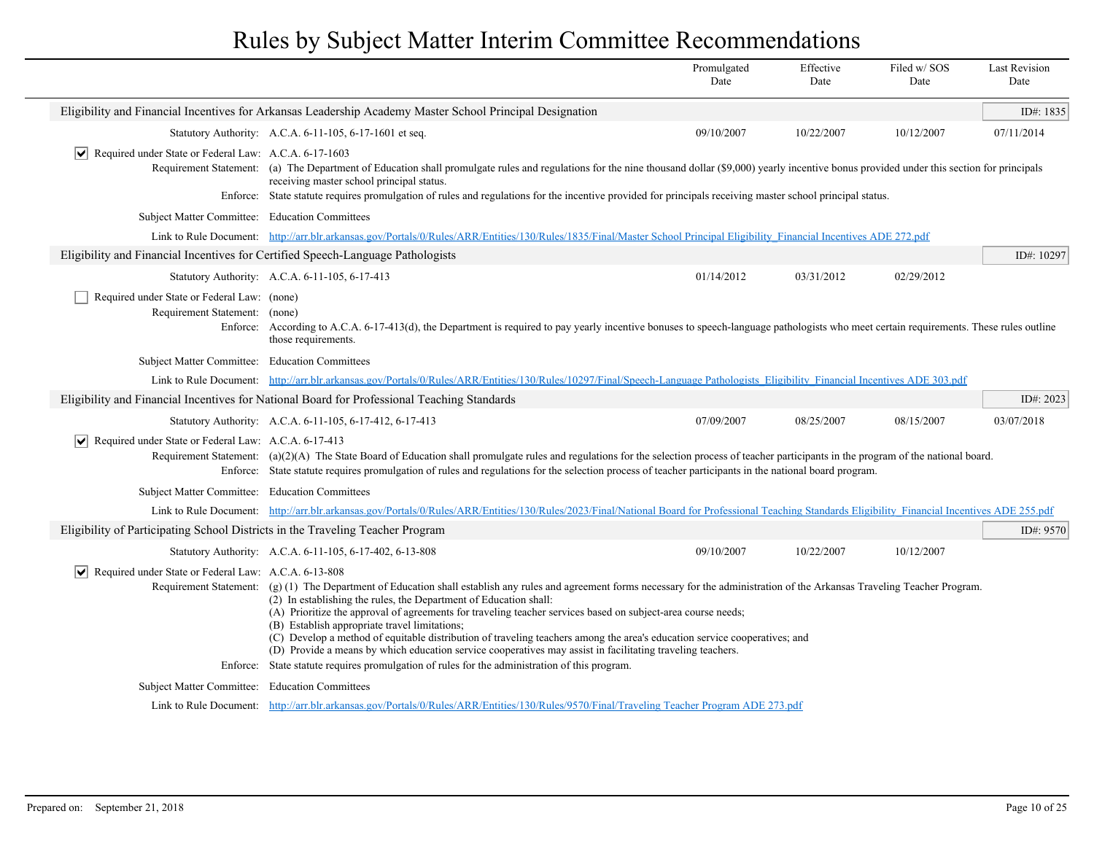|                                                                                 |                                                                                                                                                                                                                                                                                                                                                                                                                                                                                                                                                                                                                                                                                                                                                                        | Promulgated<br>Date | Effective<br>Date | Filed w/SOS<br>Date | <b>Last Revision</b><br>Date |  |  |
|---------------------------------------------------------------------------------|------------------------------------------------------------------------------------------------------------------------------------------------------------------------------------------------------------------------------------------------------------------------------------------------------------------------------------------------------------------------------------------------------------------------------------------------------------------------------------------------------------------------------------------------------------------------------------------------------------------------------------------------------------------------------------------------------------------------------------------------------------------------|---------------------|-------------------|---------------------|------------------------------|--|--|
|                                                                                 | Eligibility and Financial Incentives for Arkansas Leadership Academy Master School Principal Designation                                                                                                                                                                                                                                                                                                                                                                                                                                                                                                                                                                                                                                                               |                     |                   |                     | ID#: 1835                    |  |  |
|                                                                                 | Statutory Authority: A.C.A. 6-11-105, 6-17-1601 et seq.                                                                                                                                                                                                                                                                                                                                                                                                                                                                                                                                                                                                                                                                                                                | 09/10/2007          | 10/22/2007        | 10/12/2007          | 07/11/2014                   |  |  |
| Required under State or Federal Law: A.C.A. 6-17-1603                           | Requirement Statement: (a) The Department of Education shall promulgate rules and regulations for the nine thousand dollar (\$9,000) yearly incentive bonus provided under this section for principals<br>receiving master school principal status.<br>Enforce: State statute requires promulgation of rules and regulations for the incentive provided for principals receiving master school principal status.                                                                                                                                                                                                                                                                                                                                                       |                     |                   |                     |                              |  |  |
| Subject Matter Committee: Education Committees                                  |                                                                                                                                                                                                                                                                                                                                                                                                                                                                                                                                                                                                                                                                                                                                                                        |                     |                   |                     |                              |  |  |
|                                                                                 | Link to Rule Document: http://arr.blr.arkansas.gov/Portals/0/Rules/ARR/Entities/130/Rules/1835/Final/Master School Principal Eligibility Financial Incentives ADE 272.pdf                                                                                                                                                                                                                                                                                                                                                                                                                                                                                                                                                                                              |                     |                   |                     |                              |  |  |
| Eligibility and Financial Incentives for Certified Speech-Language Pathologists |                                                                                                                                                                                                                                                                                                                                                                                                                                                                                                                                                                                                                                                                                                                                                                        |                     |                   |                     | ID#: 10297                   |  |  |
|                                                                                 | Statutory Authority: A.C.A. 6-11-105, 6-17-413                                                                                                                                                                                                                                                                                                                                                                                                                                                                                                                                                                                                                                                                                                                         | 01/14/2012          | 03/31/2012        | 02/29/2012          |                              |  |  |
| Required under State or Federal Law: (none)<br>Requirement Statement: (none)    | Enforce: According to A.C.A. 6-17-413(d), the Department is required to pay yearly incentive bonuses to speech-language pathologists who meet certain requirements. These rules outline<br>those requirements.                                                                                                                                                                                                                                                                                                                                                                                                                                                                                                                                                         |                     |                   |                     |                              |  |  |
| Subject Matter Committee: Education Committees                                  |                                                                                                                                                                                                                                                                                                                                                                                                                                                                                                                                                                                                                                                                                                                                                                        |                     |                   |                     |                              |  |  |
|                                                                                 | Link to Rule Document: http://arr.blr.arkansas.gov/Portals/0/Rules/ARR/Entities/130/Rules/10297/Final/Speech-Language Pathologists Eligibility Financial Incentives ADE 303.pdf                                                                                                                                                                                                                                                                                                                                                                                                                                                                                                                                                                                        |                     |                   |                     |                              |  |  |
|                                                                                 | Eligibility and Financial Incentives for National Board for Professional Teaching Standards                                                                                                                                                                                                                                                                                                                                                                                                                                                                                                                                                                                                                                                                            |                     |                   |                     | ID#: $2023$                  |  |  |
|                                                                                 | Statutory Authority: A.C.A. 6-11-105, 6-17-412, 6-17-413                                                                                                                                                                                                                                                                                                                                                                                                                                                                                                                                                                                                                                                                                                               | 07/09/2007          | 08/25/2007        | 08/15/2007          | 03/07/2018                   |  |  |
| $ \mathbf{v} $ Required under State or Federal Law: A.C.A. 6-17-413             | Requirement Statement: (a)(2)(A) The State Board of Education shall promulgate rules and regulations for the selection process of teacher participants in the program of the national board.<br>Enforce: State statute requires promulgation of rules and regulations for the selection process of teacher participants in the national board program.                                                                                                                                                                                                                                                                                                                                                                                                                 |                     |                   |                     |                              |  |  |
| Subject Matter Committee: Education Committees                                  |                                                                                                                                                                                                                                                                                                                                                                                                                                                                                                                                                                                                                                                                                                                                                                        |                     |                   |                     |                              |  |  |
|                                                                                 | Link to Rule Document: http://arr.blr.arkansas.gov/Portals/0/Rules/ARR/Entities/130/Rules/2023/Final/National Board for Professional Teaching Standards Eligibility Financial Incentives ADE 255.pdf                                                                                                                                                                                                                                                                                                                                                                                                                                                                                                                                                                   |                     |                   |                     |                              |  |  |
| Eligibility of Participating School Districts in the Traveling Teacher Program  |                                                                                                                                                                                                                                                                                                                                                                                                                                                                                                                                                                                                                                                                                                                                                                        |                     |                   |                     | ID#: 9570                    |  |  |
|                                                                                 | Statutory Authority: A.C.A. 6-11-105, 6-17-402, 6-13-808                                                                                                                                                                                                                                                                                                                                                                                                                                                                                                                                                                                                                                                                                                               | 09/10/2007          | 10/22/2007        | 10/12/2007          |                              |  |  |
| $ \mathbf{v} $ Required under State or Federal Law: A.C.A. 6-13-808             | Requirement Statement: (g) (1) The Department of Education shall establish any rules and agreement forms necessary for the administration of the Arkansas Traveling Teacher Program.<br>(2) In establishing the rules, the Department of Education shall:<br>(A) Prioritize the approval of agreements for traveling teacher services based on subject-area course needs;<br>(B) Establish appropriate travel limitations;<br>(C) Develop a method of equitable distribution of traveling teachers among the area's education service cooperatives; and<br>(D) Provide a means by which education service cooperatives may assist in facilitating traveling teachers.<br>Enforce: State statute requires promulgation of rules for the administration of this program. |                     |                   |                     |                              |  |  |
| Subject Matter Committee: Education Committees                                  |                                                                                                                                                                                                                                                                                                                                                                                                                                                                                                                                                                                                                                                                                                                                                                        |                     |                   |                     |                              |  |  |
|                                                                                 | Link to Rule Document: http://arr.blr.arkansas.gov/Portals/0/Rules/ARR/Entities/130/Rules/9570/Final/Traveling Teacher Program ADE 273.pdf                                                                                                                                                                                                                                                                                                                                                                                                                                                                                                                                                                                                                             |                     |                   |                     |                              |  |  |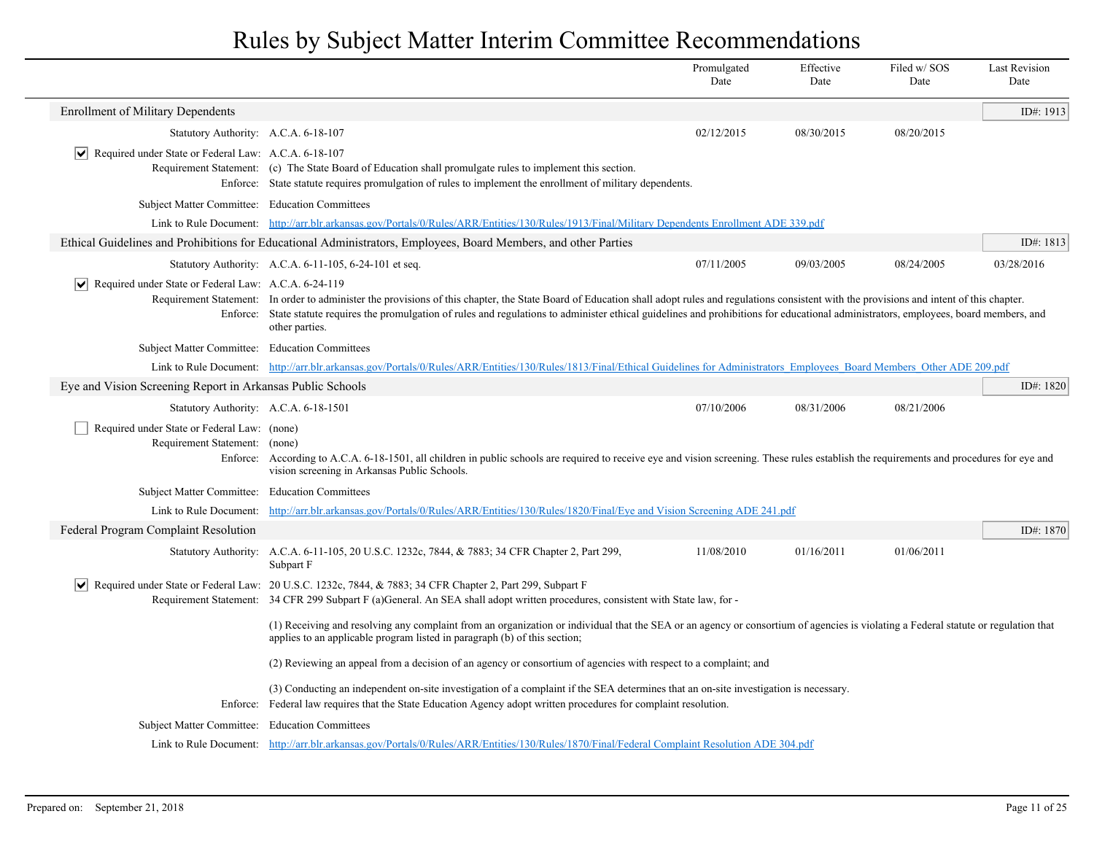|                                                                              |                                                                                                                                                                                                                                                                 | Promulgated<br>Date                                                                                                                                                                                                                                                                                                                                                                                  | Effective<br>Date | Filed w/SOS<br>Date | <b>Last Revision</b><br>Date |  |  |
|------------------------------------------------------------------------------|-----------------------------------------------------------------------------------------------------------------------------------------------------------------------------------------------------------------------------------------------------------------|------------------------------------------------------------------------------------------------------------------------------------------------------------------------------------------------------------------------------------------------------------------------------------------------------------------------------------------------------------------------------------------------------|-------------------|---------------------|------------------------------|--|--|
| <b>Enrollment of Military Dependents</b>                                     |                                                                                                                                                                                                                                                                 |                                                                                                                                                                                                                                                                                                                                                                                                      |                   |                     | ID#: 1913                    |  |  |
| Statutory Authority: A.C.A. 6-18-107                                         |                                                                                                                                                                                                                                                                 | 02/12/2015                                                                                                                                                                                                                                                                                                                                                                                           | 08/30/2015        | 08/20/2015          |                              |  |  |
| $ \mathbf{v} $ Required under State or Federal Law: A.C.A. 6-18-107          | Requirement Statement: (c) The State Board of Education shall promulgate rules to implement this section.<br>Enforce: State statute requires promulgation of rules to implement the enrollment of military dependents.                                          |                                                                                                                                                                                                                                                                                                                                                                                                      |                   |                     |                              |  |  |
| Subject Matter Committee: Education Committees                               |                                                                                                                                                                                                                                                                 |                                                                                                                                                                                                                                                                                                                                                                                                      |                   |                     |                              |  |  |
|                                                                              | Link to Rule Document: http://arr.blr.arkansas.gov/Portals/0/Rules/ARR/Entities/130/Rules/1913/Final/Military Dependents Enrollment ADE 339.pdf                                                                                                                 |                                                                                                                                                                                                                                                                                                                                                                                                      |                   |                     |                              |  |  |
|                                                                              | Ethical Guidelines and Prohibitions for Educational Administrators, Employees, Board Members, and other Parties                                                                                                                                                 |                                                                                                                                                                                                                                                                                                                                                                                                      |                   |                     | ID#: 1813                    |  |  |
|                                                                              | Statutory Authority: A.C.A. 6-11-105, 6-24-101 et seq.                                                                                                                                                                                                          | 07/11/2005                                                                                                                                                                                                                                                                                                                                                                                           | 09/03/2005        | 08/24/2005          | 03/28/2016                   |  |  |
| Required under State or Federal Law: A.C.A. 6-24-119                         | other parties.                                                                                                                                                                                                                                                  | Requirement Statement: In order to administer the provisions of this chapter, the State Board of Education shall adopt rules and regulations consistent with the provisions and intent of this chapter.<br>Enforce: State statute requires the promulgation of rules and regulations to administer ethical guidelines and prohibitions for educational administrators, employees, board members, and |                   |                     |                              |  |  |
| Subject Matter Committee: Education Committees                               |                                                                                                                                                                                                                                                                 |                                                                                                                                                                                                                                                                                                                                                                                                      |                   |                     |                              |  |  |
|                                                                              | Link to Rule Document: http://arr.blr.arkansas.gov/Portals/0/Rules/ARR/Entities/130/Rules/1813/Final/Ethical Guidelines for Administrators Employees Board Members Other ADE 209.pdf                                                                            |                                                                                                                                                                                                                                                                                                                                                                                                      |                   |                     |                              |  |  |
| Eye and Vision Screening Report in Arkansas Public Schools                   |                                                                                                                                                                                                                                                                 |                                                                                                                                                                                                                                                                                                                                                                                                      |                   |                     | ID#: $1820$                  |  |  |
| Statutory Authority: A.C.A. 6-18-1501                                        |                                                                                                                                                                                                                                                                 | 07/10/2006                                                                                                                                                                                                                                                                                                                                                                                           | 08/31/2006        | 08/21/2006          |                              |  |  |
| Required under State or Federal Law: (none)<br>Requirement Statement: (none) | Enforce: According to A.C.A. 6-18-1501, all children in public schools are required to receive eye and vision screening. These rules establish the requirements and procedures for eye and<br>vision screening in Arkansas Public Schools.                      |                                                                                                                                                                                                                                                                                                                                                                                                      |                   |                     |                              |  |  |
| <b>Subject Matter Committee:</b>                                             | <b>Education Committees</b>                                                                                                                                                                                                                                     |                                                                                                                                                                                                                                                                                                                                                                                                      |                   |                     |                              |  |  |
| Link to Rule Document:                                                       | http://arr.blr.arkansas.gov/Portals/0/Rules/ARR/Entities/130/Rules/1820/Final/Eye and Vision Screening ADE 241.pdf                                                                                                                                              |                                                                                                                                                                                                                                                                                                                                                                                                      |                   |                     |                              |  |  |
| Federal Program Complaint Resolution                                         |                                                                                                                                                                                                                                                                 |                                                                                                                                                                                                                                                                                                                                                                                                      |                   |                     | ID#: 1870                    |  |  |
|                                                                              | Statutory Authority: A.C.A. 6-11-105, 20 U.S.C. 1232c, 7844, & 7883; 34 CFR Chapter 2, Part 299,<br>Subpart F                                                                                                                                                   | 11/08/2010                                                                                                                                                                                                                                                                                                                                                                                           | 01/16/2011        | 01/06/2011          |                              |  |  |
| ∣V∣                                                                          | Required under State or Federal Law: 20 U.S.C. 1232c, 7844, & 7883; 34 CFR Chapter 2, Part 299, Subpart F                                                                                                                                                       |                                                                                                                                                                                                                                                                                                                                                                                                      |                   |                     |                              |  |  |
|                                                                              | Requirement Statement: 34 CFR 299 Subpart F (a)General. An SEA shall adopt written procedures, consistent with State law, for-                                                                                                                                  |                                                                                                                                                                                                                                                                                                                                                                                                      |                   |                     |                              |  |  |
|                                                                              | (1) Receiving and resolving any complaint from an organization or individual that the SEA or an agency or consortium of agencies is violating a Federal statute or regulation that<br>applies to an applicable program listed in paragraph (b) of this section; |                                                                                                                                                                                                                                                                                                                                                                                                      |                   |                     |                              |  |  |
|                                                                              | (2) Reviewing an appeal from a decision of an agency or consortium of agencies with respect to a complaint; and                                                                                                                                                 |                                                                                                                                                                                                                                                                                                                                                                                                      |                   |                     |                              |  |  |
| Enforce:                                                                     | (3) Conducting an independent on-site investigation of a complaint if the SEA determines that an on-site investigation is necessary.<br>Federal law requires that the State Education Agency adopt written procedures for complaint resolution.                 |                                                                                                                                                                                                                                                                                                                                                                                                      |                   |                     |                              |  |  |
|                                                                              |                                                                                                                                                                                                                                                                 |                                                                                                                                                                                                                                                                                                                                                                                                      |                   |                     |                              |  |  |
| <b>Subject Matter Committee:</b>                                             | <b>Education Committees</b><br>Link to Rule Document: http://arr.blr.arkansas.gov/Portals/0/Rules/ARR/Entities/130/Rules/1870/Final/Federal Complaint Resolution ADE 304.pdf                                                                                    |                                                                                                                                                                                                                                                                                                                                                                                                      |                   |                     |                              |  |  |
|                                                                              |                                                                                                                                                                                                                                                                 |                                                                                                                                                                                                                                                                                                                                                                                                      |                   |                     |                              |  |  |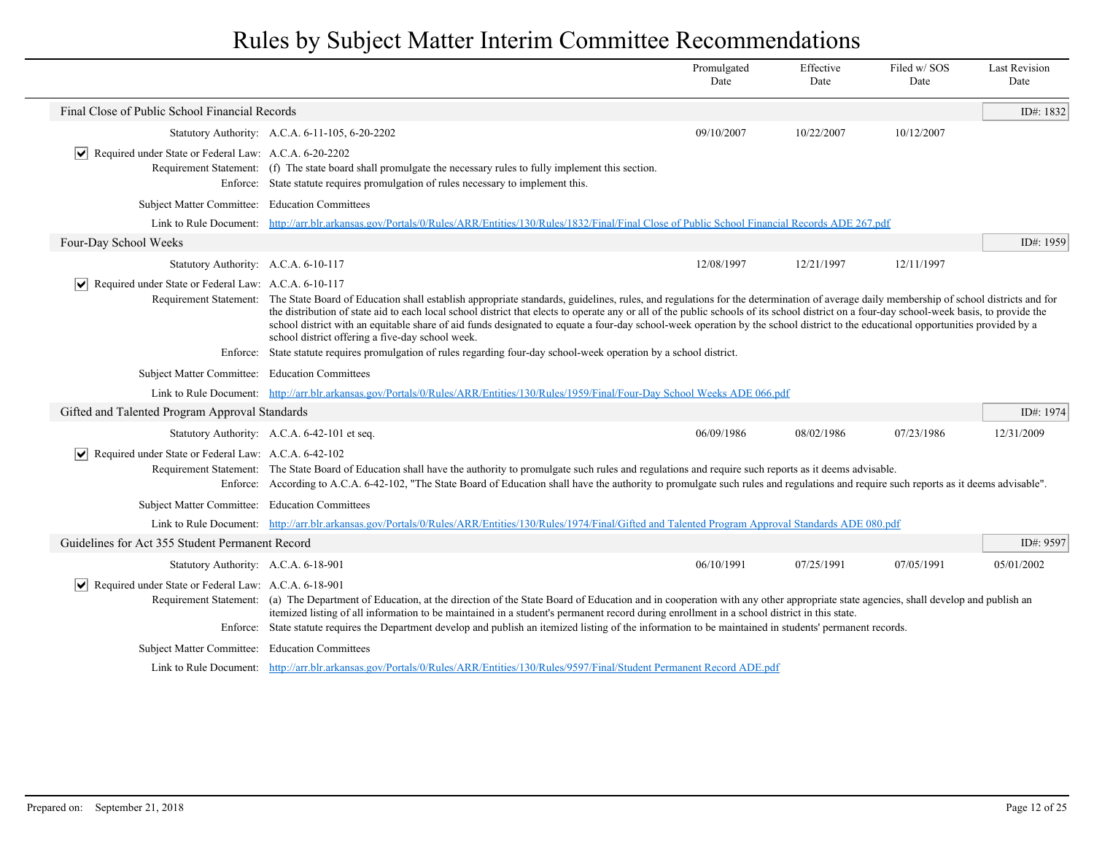|                                                                              |                                                                                                                                                                                                                                                                                                                                                                                                                                                                                                                                                                                                                                                   | Promulgated<br>Date | Effective<br>Date | Filed w/SOS<br>Date | <b>Last Revision</b><br>Date |
|------------------------------------------------------------------------------|---------------------------------------------------------------------------------------------------------------------------------------------------------------------------------------------------------------------------------------------------------------------------------------------------------------------------------------------------------------------------------------------------------------------------------------------------------------------------------------------------------------------------------------------------------------------------------------------------------------------------------------------------|---------------------|-------------------|---------------------|------------------------------|
| Final Close of Public School Financial Records                               |                                                                                                                                                                                                                                                                                                                                                                                                                                                                                                                                                                                                                                                   |                     |                   |                     | ID#: 1832                    |
|                                                                              | Statutory Authority: A.C.A. 6-11-105, 6-20-2202                                                                                                                                                                                                                                                                                                                                                                                                                                                                                                                                                                                                   | 09/10/2007          | 10/22/2007        | 10/12/2007          |                              |
| Required under State or Federal Law: A.C.A. 6-20-2202<br>$ \bm{\mathsf{v}} $ |                                                                                                                                                                                                                                                                                                                                                                                                                                                                                                                                                                                                                                                   |                     |                   |                     |                              |
|                                                                              | Requirement Statement: (f) The state board shall promulgate the necessary rules to fully implement this section.<br>Enforce: State statute requires promulgation of rules necessary to implement this.                                                                                                                                                                                                                                                                                                                                                                                                                                            |                     |                   |                     |                              |
| Subject Matter Committee: Education Committees                               |                                                                                                                                                                                                                                                                                                                                                                                                                                                                                                                                                                                                                                                   |                     |                   |                     |                              |
|                                                                              | Link to Rule Document: http://arr.blr.arkansas.gov/Portals/0/Rules/ARR/Entities/130/Rules/1832/Final/Final Close of Public School Financial Records ADE 267.pdf                                                                                                                                                                                                                                                                                                                                                                                                                                                                                   |                     |                   |                     |                              |
| Four-Day School Weeks                                                        |                                                                                                                                                                                                                                                                                                                                                                                                                                                                                                                                                                                                                                                   |                     |                   |                     | ID#: 1959                    |
| Statutory Authority: A.C.A. 6-10-117                                         |                                                                                                                                                                                                                                                                                                                                                                                                                                                                                                                                                                                                                                                   | 12/08/1997          | 12/21/1997        | 12/11/1997          |                              |
| $ \mathbf{v} $ Required under State or Federal Law: A.C.A. 6-10-117          |                                                                                                                                                                                                                                                                                                                                                                                                                                                                                                                                                                                                                                                   |                     |                   |                     |                              |
|                                                                              | Requirement Statement: The State Board of Education shall establish appropriate standards, guidelines, rules, and regulations for the determination of average daily membership of school districts and for<br>the distribution of state aid to each local school district that elects to operate any or all of the public schools of its school district on a four-day school-week basis, to provide the<br>school district with an equitable share of aid funds designated to equate a four-day school-week operation by the school district to the educational opportunities provided by a<br>school district offering a five-day school week. |                     |                   |                     |                              |
|                                                                              | Enforce: State statute requires promulgation of rules regarding four-day school-week operation by a school district.                                                                                                                                                                                                                                                                                                                                                                                                                                                                                                                              |                     |                   |                     |                              |
| Subject Matter Committee: Education Committees                               |                                                                                                                                                                                                                                                                                                                                                                                                                                                                                                                                                                                                                                                   |                     |                   |                     |                              |
|                                                                              | Link to Rule Document: http://arr.blr.arkansas.gov/Portals/0/Rules/ARR/Entities/130/Rules/1959/Final/Four-Day School Weeks ADE 066.pdf                                                                                                                                                                                                                                                                                                                                                                                                                                                                                                            |                     |                   |                     |                              |
| Gifted and Talented Program Approval Standards                               |                                                                                                                                                                                                                                                                                                                                                                                                                                                                                                                                                                                                                                                   |                     |                   |                     | ID#: 1974                    |
|                                                                              | Statutory Authority: A.C.A. 6-42-101 et seq.                                                                                                                                                                                                                                                                                                                                                                                                                                                                                                                                                                                                      | 06/09/1986          | 08/02/1986        | 07/23/1986          | 12/31/2009                   |
| $ \bm{\mathsf{v}} $<br>Required under State or Federal Law: A.C.A. 6-42-102  | Requirement Statement: The State Board of Education shall have the authority to promulgate such rules and regulations and require such reports as it deems advisable.<br>Enforce: According to A.C.A. 6-42-102, "The State Board of Education shall have the authority to promulgate such rules and regulations and require such reports as it deems advisable".                                                                                                                                                                                                                                                                                  |                     |                   |                     |                              |
| Subject Matter Committee: Education Committees                               |                                                                                                                                                                                                                                                                                                                                                                                                                                                                                                                                                                                                                                                   |                     |                   |                     |                              |
|                                                                              | Link to Rule Document: http://arr.blr.arkansas.gov/Portals/0/Rules/ARR/Entities/130/Rules/1974/Final/Gifted and Talented Program Approval Standards ADE 080.pdf                                                                                                                                                                                                                                                                                                                                                                                                                                                                                   |                     |                   |                     |                              |
| Guidelines for Act 355 Student Permanent Record                              |                                                                                                                                                                                                                                                                                                                                                                                                                                                                                                                                                                                                                                                   |                     |                   |                     | ID#: 9597                    |
| Statutory Authority: A.C.A. 6-18-901                                         |                                                                                                                                                                                                                                                                                                                                                                                                                                                                                                                                                                                                                                                   | 06/10/1991          | 07/25/1991        | 07/05/1991          | 05/01/2002                   |
| $ \mathbf{v} $ Required under State or Federal Law: A.C.A. 6-18-901          | Requirement Statement: (a) The Department of Education, at the direction of the State Board of Education and in cooperation with any other appropriate state agencies, shall develop and publish an<br>itemized listing of all information to be maintained in a student's permanent record during enrollment in a school district in this state.                                                                                                                                                                                                                                                                                                 |                     |                   |                     |                              |
|                                                                              | Enforce: State statute requires the Department develop and publish an itemized listing of the information to be maintained in students' permanent records.                                                                                                                                                                                                                                                                                                                                                                                                                                                                                        |                     |                   |                     |                              |
| Subject Matter Committee: Education Committees                               |                                                                                                                                                                                                                                                                                                                                                                                                                                                                                                                                                                                                                                                   |                     |                   |                     |                              |
|                                                                              | Link to Rule Document: http://arr.blr.arkansas.gov/Portals/0/Rules/ARR/Entities/130/Rules/9597/Final/Student Permanent Record ADE.pdf                                                                                                                                                                                                                                                                                                                                                                                                                                                                                                             |                     |                   |                     |                              |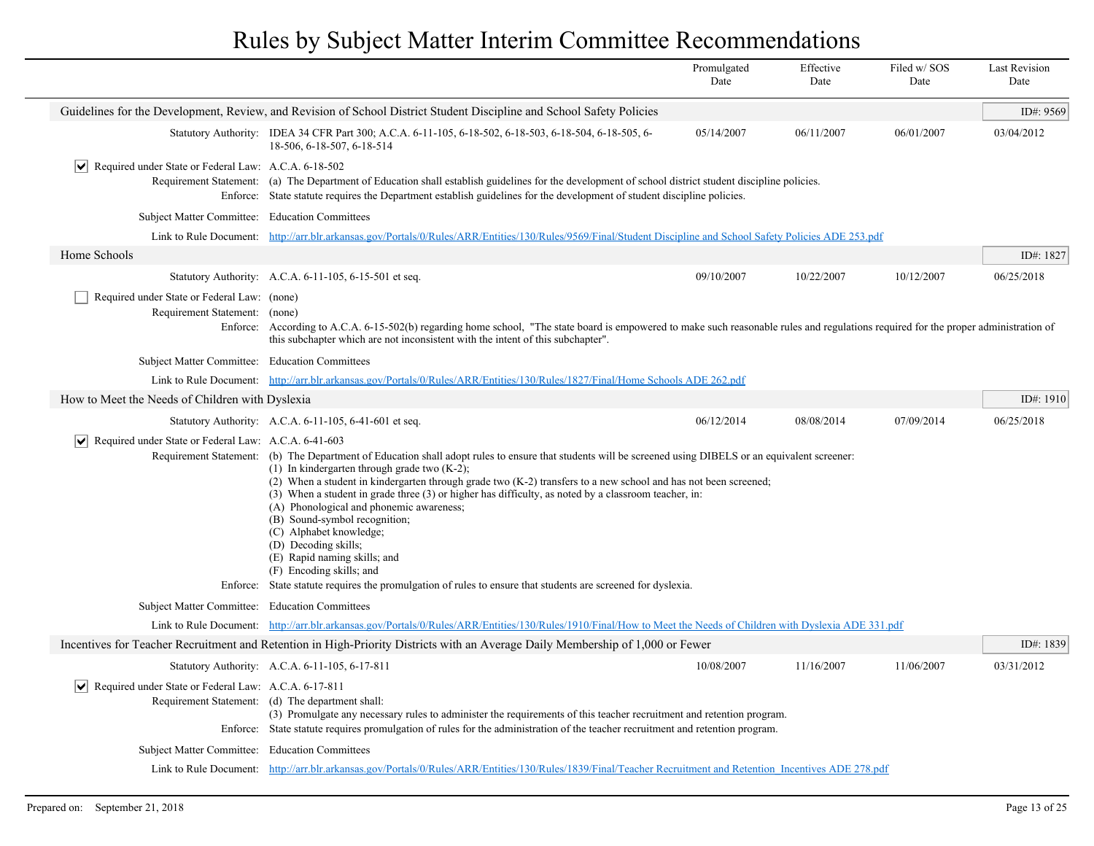|                                                                       |                                                                                                                                                                                                                                                                                                                                                                                                                                                                                                                                                                                                                                         | Promulgated<br>Date | Effective<br>Date | Filed w/SOS<br>Date | <b>Last Revision</b><br>Date |
|-----------------------------------------------------------------------|-----------------------------------------------------------------------------------------------------------------------------------------------------------------------------------------------------------------------------------------------------------------------------------------------------------------------------------------------------------------------------------------------------------------------------------------------------------------------------------------------------------------------------------------------------------------------------------------------------------------------------------------|---------------------|-------------------|---------------------|------------------------------|
|                                                                       | Guidelines for the Development, Review, and Revision of School District Student Discipline and School Safety Policies                                                                                                                                                                                                                                                                                                                                                                                                                                                                                                                   |                     |                   |                     | ID#: 9569                    |
|                                                                       | Statutory Authority: IDEA 34 CFR Part 300; A.C.A. 6-11-105, 6-18-502, 6-18-503, 6-18-504, 6-18-505, 6-<br>18-506, 6-18-507, 6-18-514                                                                                                                                                                                                                                                                                                                                                                                                                                                                                                    | 05/14/2007          | 06/11/2007        | 06/01/2007          | 03/04/2012                   |
| $ \mathbf{v} $ Required under State or Federal Law: A.C.A. 6-18-502   | Requirement Statement: (a) The Department of Education shall establish guidelines for the development of school district student discipline policies.<br>Enforce: State statute requires the Department establish guidelines for the development of student discipline policies.                                                                                                                                                                                                                                                                                                                                                        |                     |                   |                     |                              |
| Subject Matter Committee: Education Committees                        |                                                                                                                                                                                                                                                                                                                                                                                                                                                                                                                                                                                                                                         |                     |                   |                     |                              |
|                                                                       | Link to Rule Document: http://arr.blr.arkansas.gov/Portals/0/Rules/ARR/Entities/130/Rules/9569/Final/Student Discipline and School Safety Policies ADE 253.pdf                                                                                                                                                                                                                                                                                                                                                                                                                                                                          |                     |                   |                     |                              |
| Home Schools                                                          |                                                                                                                                                                                                                                                                                                                                                                                                                                                                                                                                                                                                                                         |                     |                   |                     | ID#: 1827                    |
|                                                                       | Statutory Authority: A.C.A. 6-11-105, 6-15-501 et seq.                                                                                                                                                                                                                                                                                                                                                                                                                                                                                                                                                                                  | 09/10/2007          | 10/22/2007        | 10/12/2007          | 06/25/2018                   |
| Required under State or Federal Law: (none)<br>Requirement Statement: | (none)<br>Enforce: According to A.C.A. 6-15-502(b) regarding home school, "The state board is empowered to make such reasonable rules and regulations required for the proper administration of<br>this subchapter which are not inconsistent with the intent of this subchapter".                                                                                                                                                                                                                                                                                                                                                      |                     |                   |                     |                              |
| Subject Matter Committee: Education Committees                        |                                                                                                                                                                                                                                                                                                                                                                                                                                                                                                                                                                                                                                         |                     |                   |                     |                              |
|                                                                       | Link to Rule Document: http://arr.blr.arkansas.gov/Portals/0/Rules/ARR/Entities/130/Rules/1827/Final/Home Schools ADE 262.pdf                                                                                                                                                                                                                                                                                                                                                                                                                                                                                                           |                     |                   |                     |                              |
| How to Meet the Needs of Children with Dyslexia                       |                                                                                                                                                                                                                                                                                                                                                                                                                                                                                                                                                                                                                                         |                     |                   |                     | ID#: 1910                    |
|                                                                       | Statutory Authority: A.C.A. 6-11-105, 6-41-601 et seq.                                                                                                                                                                                                                                                                                                                                                                                                                                                                                                                                                                                  | 06/12/2014          | 08/08/2014        | 07/09/2014          | 06/25/2018                   |
| $ \mathbf{v} $ Required under State or Federal Law: A.C.A. 6-41-603   |                                                                                                                                                                                                                                                                                                                                                                                                                                                                                                                                                                                                                                         |                     |                   |                     |                              |
|                                                                       | Requirement Statement: (b) The Department of Education shall adopt rules to ensure that students will be screened using DIBELS or an equivalent screener:<br>$(1)$ In kindergarten through grade two $(K-2)$ ;<br>(2) When a student in kindergarten through grade two $(K-2)$ transfers to a new school and has not been screened;<br>(3) When a student in grade three (3) or higher has difficulty, as noted by a classroom teacher, in:<br>(A) Phonological and phonemic awareness;<br>(B) Sound-symbol recognition;<br>(C) Alphabet knowledge;<br>(D) Decoding skills;<br>(E) Rapid naming skills; and<br>(F) Encoding skills; and |                     |                   |                     |                              |
|                                                                       | Enforce: State statute requires the promulgation of rules to ensure that students are screened for dyslexia.                                                                                                                                                                                                                                                                                                                                                                                                                                                                                                                            |                     |                   |                     |                              |
| Subject Matter Committee: Education Committees                        |                                                                                                                                                                                                                                                                                                                                                                                                                                                                                                                                                                                                                                         |                     |                   |                     |                              |
| Link to Rule Document:                                                | http://arr.blr.arkansas.gov/Portals/0/Rules/ARR/Entities/130/Rules/1910/Final/How to Meet the Needs of Children with Dyslexia ADE 331.pdf                                                                                                                                                                                                                                                                                                                                                                                                                                                                                               |                     |                   |                     |                              |
|                                                                       | Incentives for Teacher Recruitment and Retention in High-Priority Districts with an Average Daily Membership of 1,000 or Fewer                                                                                                                                                                                                                                                                                                                                                                                                                                                                                                          |                     |                   |                     | ID#: 1839                    |
|                                                                       | Statutory Authority: A.C.A. 6-11-105, 6-17-811                                                                                                                                                                                                                                                                                                                                                                                                                                                                                                                                                                                          | 10/08/2007          | 11/16/2007        | 11/06/2007          | 03/31/2012                   |
| $ \mathbf{v} $ Required under State or Federal Law: A.C.A. 6-17-811   | Requirement Statement: (d) The department shall:<br>(3) Promulgate any necessary rules to administer the requirements of this teacher recruitment and retention program.<br>Enforce: State statute requires promulgation of rules for the administration of the teacher recruitment and retention program.                                                                                                                                                                                                                                                                                                                              |                     |                   |                     |                              |
| Subject Matter Committee: Education Committees                        |                                                                                                                                                                                                                                                                                                                                                                                                                                                                                                                                                                                                                                         |                     |                   |                     |                              |
|                                                                       | Link to Rule Document: http://arr.blr.arkansas.gov/Portals/0/Rules/ARR/Entities/130/Rules/1839/Final/Teacher Recruitment and Retention Incentives ADE 278.pdf                                                                                                                                                                                                                                                                                                                                                                                                                                                                           |                     |                   |                     |                              |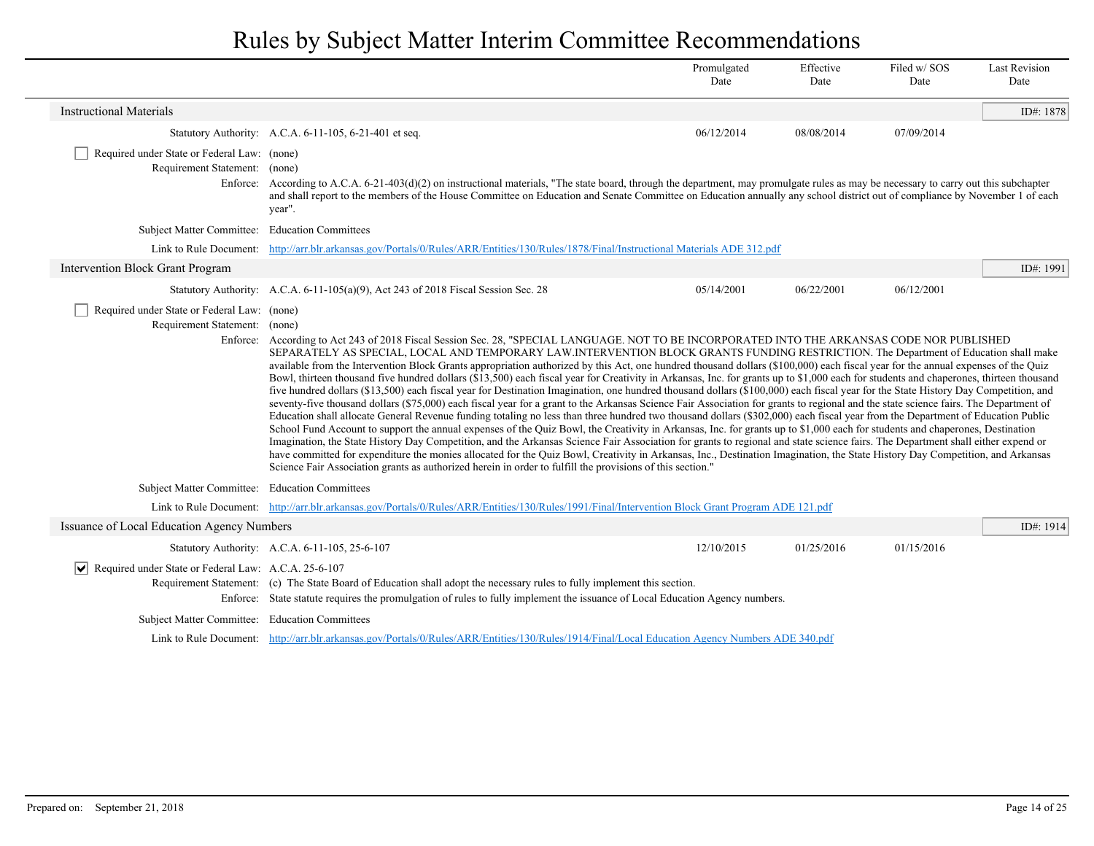|                                                                              |                                                                                                                                                                                                                                                                                                                                                                                                                                                                                                                                                                                                                                                                                                                                                                                                                                                                                                                                                                                                                                                                                                                                                                                                                                                                                                                                                                                                                                                                                                                                                                                                                                                                                                                                                                                                                                                                                                     | Promulgated<br>Date | Effective<br>Date | Filed w/SOS<br>Date | <b>Last Revision</b><br>Date |
|------------------------------------------------------------------------------|-----------------------------------------------------------------------------------------------------------------------------------------------------------------------------------------------------------------------------------------------------------------------------------------------------------------------------------------------------------------------------------------------------------------------------------------------------------------------------------------------------------------------------------------------------------------------------------------------------------------------------------------------------------------------------------------------------------------------------------------------------------------------------------------------------------------------------------------------------------------------------------------------------------------------------------------------------------------------------------------------------------------------------------------------------------------------------------------------------------------------------------------------------------------------------------------------------------------------------------------------------------------------------------------------------------------------------------------------------------------------------------------------------------------------------------------------------------------------------------------------------------------------------------------------------------------------------------------------------------------------------------------------------------------------------------------------------------------------------------------------------------------------------------------------------------------------------------------------------------------------------------------------------|---------------------|-------------------|---------------------|------------------------------|
| <b>Instructional Materials</b>                                               |                                                                                                                                                                                                                                                                                                                                                                                                                                                                                                                                                                                                                                                                                                                                                                                                                                                                                                                                                                                                                                                                                                                                                                                                                                                                                                                                                                                                                                                                                                                                                                                                                                                                                                                                                                                                                                                                                                     |                     |                   |                     | ID#: 1878                    |
|                                                                              | Statutory Authority: A.C.A. 6-11-105, 6-21-401 et seq.                                                                                                                                                                                                                                                                                                                                                                                                                                                                                                                                                                                                                                                                                                                                                                                                                                                                                                                                                                                                                                                                                                                                                                                                                                                                                                                                                                                                                                                                                                                                                                                                                                                                                                                                                                                                                                              | 06/12/2014          | 08/08/2014        | 07/09/2014          |                              |
| Required under State or Federal Law: (none)<br>Requirement Statement: (none) | Enforce: According to A.C.A. 6-21-403(d)(2) on instructional materials, "The state board, through the department, may promulgate rules as may be necessary to carry out this subchapter<br>and shall report to the members of the House Committee on Education and Senate Committee on Education annually any school district out of compliance by November 1 of each<br>year".                                                                                                                                                                                                                                                                                                                                                                                                                                                                                                                                                                                                                                                                                                                                                                                                                                                                                                                                                                                                                                                                                                                                                                                                                                                                                                                                                                                                                                                                                                                     |                     |                   |                     |                              |
| Subject Matter Committee: Education Committees                               |                                                                                                                                                                                                                                                                                                                                                                                                                                                                                                                                                                                                                                                                                                                                                                                                                                                                                                                                                                                                                                                                                                                                                                                                                                                                                                                                                                                                                                                                                                                                                                                                                                                                                                                                                                                                                                                                                                     |                     |                   |                     |                              |
|                                                                              | Link to Rule Document: http://arr.blr.arkansas.gov/Portals/0/Rules/ARR/Entities/130/Rules/1878/Final/Instructional Materials ADE 312.pdf                                                                                                                                                                                                                                                                                                                                                                                                                                                                                                                                                                                                                                                                                                                                                                                                                                                                                                                                                                                                                                                                                                                                                                                                                                                                                                                                                                                                                                                                                                                                                                                                                                                                                                                                                            |                     |                   |                     |                              |
| Intervention Block Grant Program                                             |                                                                                                                                                                                                                                                                                                                                                                                                                                                                                                                                                                                                                                                                                                                                                                                                                                                                                                                                                                                                                                                                                                                                                                                                                                                                                                                                                                                                                                                                                                                                                                                                                                                                                                                                                                                                                                                                                                     |                     |                   |                     | ID#: 1991                    |
|                                                                              | Statutory Authority: A.C.A. 6-11-105(a)(9), Act 243 of 2018 Fiscal Session Sec. 28                                                                                                                                                                                                                                                                                                                                                                                                                                                                                                                                                                                                                                                                                                                                                                                                                                                                                                                                                                                                                                                                                                                                                                                                                                                                                                                                                                                                                                                                                                                                                                                                                                                                                                                                                                                                                  | 05/14/2001          | 06/22/2001        | 06/12/2001          |                              |
| Required under State or Federal Law: (none)<br>Requirement Statement: (none) | Enforce: According to Act 243 of 2018 Fiscal Session Sec. 28, "SPECIAL LANGUAGE. NOT TO BE INCORPORATED INTO THE ARKANSAS CODE NOR PUBLISHED<br>SEPARATELY AS SPECIAL, LOCAL AND TEMPORARY LAW.INTERVENTION BLOCK GRANTS FUNDING RESTRICTION. The Department of Education shall make<br>available from the Intervention Block Grants appropriation authorized by this Act, one hundred thousand dollars (\$100,000) each fiscal year for the annual expenses of the Quiz<br>Bowl, thirteen thousand five hundred dollars (\$13,500) each fiscal year for Creativity in Arkansas, Inc. for grants up to \$1,000 each for students and chaperones, thirteen thousand<br>five hundred dollars (\$13,500) each fiscal year for Destination Imagination, one hundred thousand dollars (\$100,000) each fiscal year for the State History Day Competition, and<br>seventy-five thousand dollars (\$75,000) each fiscal year for a grant to the Arkansas Science Fair Association for grants to regional and the state science fairs. The Department of<br>Education shall allocate General Revenue funding totaling no less than three hundred two thousand dollars (\$302,000) each fiscal year from the Department of Education Public<br>School Fund Account to support the annual expenses of the Quiz Bowl, the Creativity in Arkansas, Inc. for grants up to \$1,000 each for students and chaperones, Destination<br>Imagination, the State History Day Competition, and the Arkansas Science Fair Association for grants to regional and state science fairs. The Department shall either expend or<br>have committed for expenditure the monies allocated for the Quiz Bowl, Creativity in Arkansas, Inc., Destination Imagination, the State History Day Competition, and Arkansas<br>Science Fair Association grants as authorized herein in order to fulfill the provisions of this section." |                     |                   |                     |                              |
| Subject Matter Committee: Education Committees                               |                                                                                                                                                                                                                                                                                                                                                                                                                                                                                                                                                                                                                                                                                                                                                                                                                                                                                                                                                                                                                                                                                                                                                                                                                                                                                                                                                                                                                                                                                                                                                                                                                                                                                                                                                                                                                                                                                                     |                     |                   |                     |                              |
|                                                                              | Link to Rule Document: http://arr.blr.arkansas.gov/Portals/0/Rules/ARR/Entities/130/Rules/1991/Final/Intervention Block Grant Program ADE 121.pdf                                                                                                                                                                                                                                                                                                                                                                                                                                                                                                                                                                                                                                                                                                                                                                                                                                                                                                                                                                                                                                                                                                                                                                                                                                                                                                                                                                                                                                                                                                                                                                                                                                                                                                                                                   |                     |                   |                     |                              |
| Issuance of Local Education Agency Numbers                                   |                                                                                                                                                                                                                                                                                                                                                                                                                                                                                                                                                                                                                                                                                                                                                                                                                                                                                                                                                                                                                                                                                                                                                                                                                                                                                                                                                                                                                                                                                                                                                                                                                                                                                                                                                                                                                                                                                                     |                     |                   |                     | ID#: 1914                    |
|                                                                              | Statutory Authority: A.C.A. 6-11-105, 25-6-107                                                                                                                                                                                                                                                                                                                                                                                                                                                                                                                                                                                                                                                                                                                                                                                                                                                                                                                                                                                                                                                                                                                                                                                                                                                                                                                                                                                                                                                                                                                                                                                                                                                                                                                                                                                                                                                      | 12/10/2015          | 01/25/2016        | 01/15/2016          |                              |
| Required under State or Federal Law: A.C.A. 25-6-107<br>$ \bm{\vee} $        | Requirement Statement: (c) The State Board of Education shall adopt the necessary rules to fully implement this section.<br>Enforce: State statute requires the promulgation of rules to fully implement the issuance of Local Education Agency numbers.                                                                                                                                                                                                                                                                                                                                                                                                                                                                                                                                                                                                                                                                                                                                                                                                                                                                                                                                                                                                                                                                                                                                                                                                                                                                                                                                                                                                                                                                                                                                                                                                                                            |                     |                   |                     |                              |
| Subject Matter Committee: Education Committees                               |                                                                                                                                                                                                                                                                                                                                                                                                                                                                                                                                                                                                                                                                                                                                                                                                                                                                                                                                                                                                                                                                                                                                                                                                                                                                                                                                                                                                                                                                                                                                                                                                                                                                                                                                                                                                                                                                                                     |                     |                   |                     |                              |
|                                                                              | Link to Rule Document: http://arr.blr.arkansas.gov/Portals/0/Rules/ARR/Entities/130/Rules/1914/Final/Local Education Agency Numbers ADE 340.pdf                                                                                                                                                                                                                                                                                                                                                                                                                                                                                                                                                                                                                                                                                                                                                                                                                                                                                                                                                                                                                                                                                                                                                                                                                                                                                                                                                                                                                                                                                                                                                                                                                                                                                                                                                     |                     |                   |                     |                              |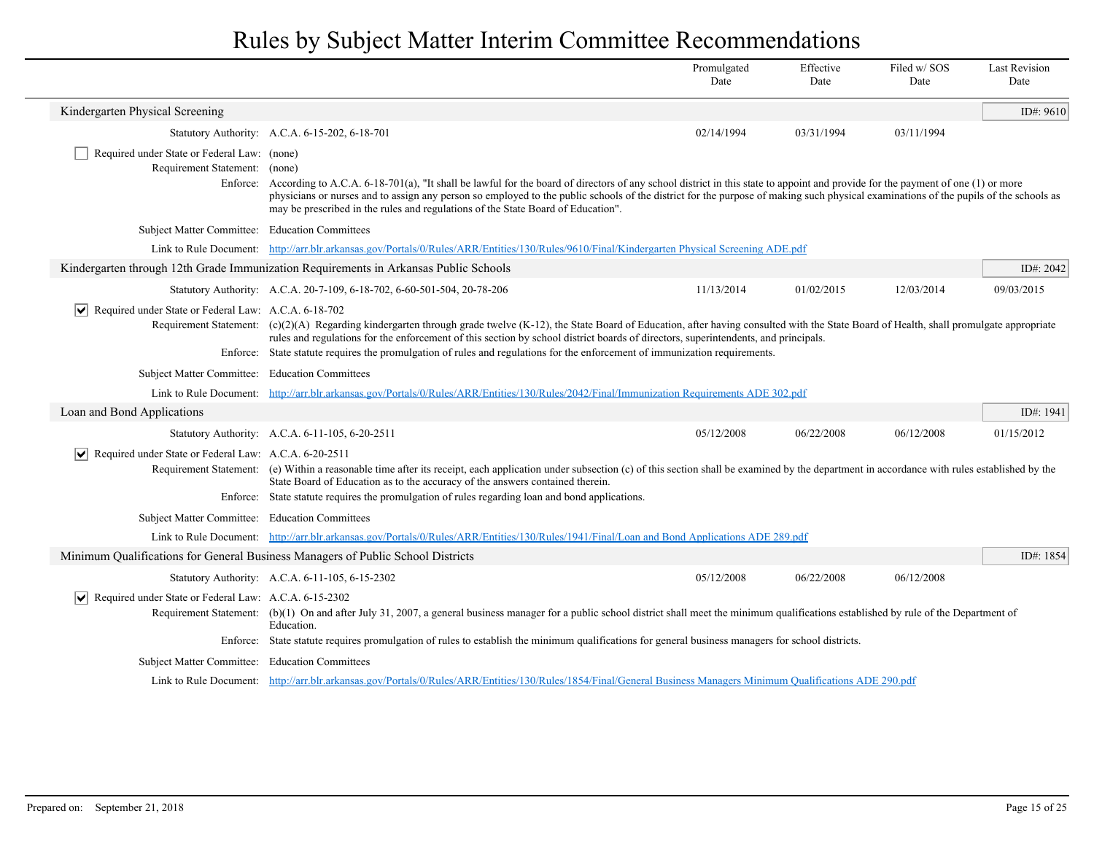|                                                                              |                                                                                                                                                                                                                                                                                                                                                                                                                                                                                                                                                    | Promulgated<br>Date                                                                                                                                               | Effective<br>Date | Filed w/SOS<br>Date | <b>Last Revision</b><br>Date |  |
|------------------------------------------------------------------------------|----------------------------------------------------------------------------------------------------------------------------------------------------------------------------------------------------------------------------------------------------------------------------------------------------------------------------------------------------------------------------------------------------------------------------------------------------------------------------------------------------------------------------------------------------|-------------------------------------------------------------------------------------------------------------------------------------------------------------------|-------------------|---------------------|------------------------------|--|
| Kindergarten Physical Screening                                              |                                                                                                                                                                                                                                                                                                                                                                                                                                                                                                                                                    |                                                                                                                                                                   |                   |                     | ID#: 9610                    |  |
|                                                                              | Statutory Authority: A.C.A. 6-15-202, 6-18-701                                                                                                                                                                                                                                                                                                                                                                                                                                                                                                     | 02/14/1994                                                                                                                                                        | 03/31/1994        | 03/11/1994          |                              |  |
| Required under State or Federal Law: (none)<br>Requirement Statement: (none) | Enforce: According to A.C.A. 6-18-701(a), "It shall be lawful for the board of directors of any school district in this state to appoint and provide for the payment of one (1) or more<br>physicians or nurses and to assign any person so employed to the public schools of the district for the purpose of making such physical examinations of the pupils of the schools as<br>may be prescribed in the rules and regulations of the State Board of Education".                                                                                |                                                                                                                                                                   |                   |                     |                              |  |
| Subject Matter Committee: Education Committees                               |                                                                                                                                                                                                                                                                                                                                                                                                                                                                                                                                                    |                                                                                                                                                                   |                   |                     |                              |  |
|                                                                              | Link to Rule Document: http://arr.blr.arkansas.gov/Portals/0/Rules/ARR/Entities/130/Rules/9610/Final/Kindergarten Physical Screening ADE.pdf                                                                                                                                                                                                                                                                                                                                                                                                       |                                                                                                                                                                   |                   |                     |                              |  |
|                                                                              | Kindergarten through 12th Grade Immunization Requirements in Arkansas Public Schools                                                                                                                                                                                                                                                                                                                                                                                                                                                               |                                                                                                                                                                   |                   |                     | ID#: 2042                    |  |
|                                                                              | Statutory Authority: A.C.A. 20-7-109, 6-18-702, 6-60-501-504, 20-78-206                                                                                                                                                                                                                                                                                                                                                                                                                                                                            | 11/13/2014                                                                                                                                                        | 01/02/2015        | 12/03/2014          | 09/03/2015                   |  |
|                                                                              | $ \mathbf{v} $ Required under State or Federal Law: A.C.A. 6-18-702<br>Requirement Statement: (c)(2)(A) Regarding kindergarten through grade twelve (K-12), the State Board of Education, after having consulted with the State Board of Health, shall promulgate appropriate<br>rules and regulations for the enforcement of this section by school district boards of directors, superintendents, and principals.<br>Enforce: State statute requires the promulgation of rules and regulations for the enforcement of immunization requirements. |                                                                                                                                                                   |                   |                     |                              |  |
| Subject Matter Committee: Education Committees                               |                                                                                                                                                                                                                                                                                                                                                                                                                                                                                                                                                    |                                                                                                                                                                   |                   |                     |                              |  |
|                                                                              | Link to Rule Document: http://arr.blr.arkansas.gov/Portals/0/Rules/ARR/Entities/130/Rules/2042/Final/Immunization Requirements ADE 302.pdf                                                                                                                                                                                                                                                                                                                                                                                                         |                                                                                                                                                                   |                   |                     |                              |  |
| Loan and Bond Applications                                                   |                                                                                                                                                                                                                                                                                                                                                                                                                                                                                                                                                    |                                                                                                                                                                   |                   |                     | ID#: 1941                    |  |
|                                                                              | Statutory Authority: A.C.A. 6-11-105, 6-20-2511                                                                                                                                                                                                                                                                                                                                                                                                                                                                                                    | 05/12/2008                                                                                                                                                        | 06/22/2008        | 06/12/2008          | 01/15/2012                   |  |
| Required under State or Federal Law: A.C.A. 6-20-2511                        | Requirement Statement: (e) Within a reasonable time after its receipt, each application under subsection (c) of this section shall be examined by the department in accordance with rules established by the<br>State Board of Education as to the accuracy of the answers contained therein.<br>Enforce: State statute requires the promulgation of rules regarding loan and bond applications.                                                                                                                                                   |                                                                                                                                                                   |                   |                     |                              |  |
| Subject Matter Committee: Education Committees                               |                                                                                                                                                                                                                                                                                                                                                                                                                                                                                                                                                    |                                                                                                                                                                   |                   |                     |                              |  |
|                                                                              | Link to Rule Document: http://arr.blr.arkansas.gov/Portals/0/Rules/ARR/Entities/130/Rules/1941/Final/Loan and Bond Applications ADE 289.pdf                                                                                                                                                                                                                                                                                                                                                                                                        |                                                                                                                                                                   |                   |                     |                              |  |
|                                                                              | Minimum Qualifications for General Business Managers of Public School Districts                                                                                                                                                                                                                                                                                                                                                                                                                                                                    |                                                                                                                                                                   |                   |                     | ID#: 1854                    |  |
|                                                                              | Statutory Authority: A.C.A. 6-11-105, 6-15-2302                                                                                                                                                                                                                                                                                                                                                                                                                                                                                                    | 05/12/2008                                                                                                                                                        | 06/22/2008        | 06/12/2008          |                              |  |
| $ \mathbf{v} $ Required under State or Federal Law: A.C.A. 6-15-2302         | Requirement Statement: (b)(1) On and after July 31, 2007, a general business manager for a public school district shall meet the minimum qualifications established by rule of the Department of<br>Education.                                                                                                                                                                                                                                                                                                                                     |                                                                                                                                                                   |                   |                     |                              |  |
|                                                                              | Enforce: State statute requires promulgation of rules to establish the minimum qualifications for general business managers for school districts.                                                                                                                                                                                                                                                                                                                                                                                                  |                                                                                                                                                                   |                   |                     |                              |  |
| Subject Matter Committee: Education Committees                               |                                                                                                                                                                                                                                                                                                                                                                                                                                                                                                                                                    |                                                                                                                                                                   |                   |                     |                              |  |
|                                                                              |                                                                                                                                                                                                                                                                                                                                                                                                                                                                                                                                                    | Link to Rule Document: http://arr.blr.arkansas.gov/Portals/0/Rules/ARR/Entities/130/Rules/1854/Final/General Business Managers Minimum Qualifications ADE 290.pdf |                   |                     |                              |  |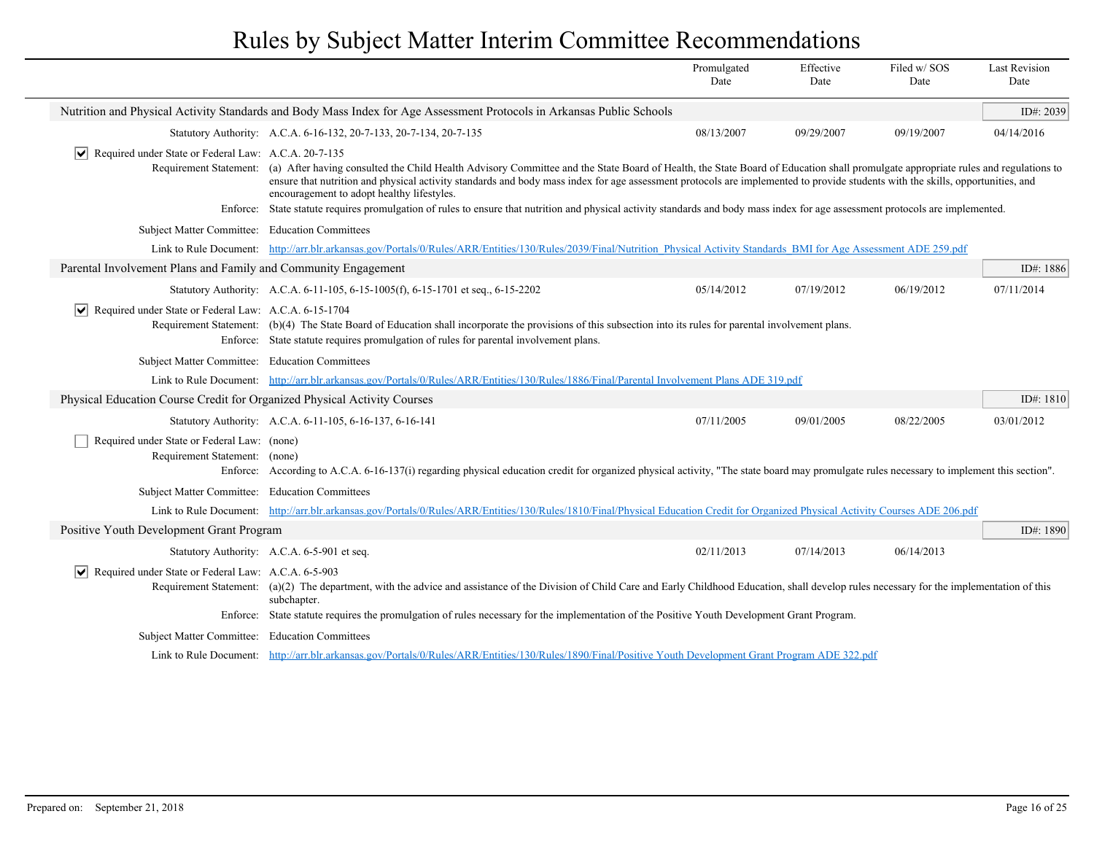|                                                                              |                                                                                                                                                                                                                                                                                                                                                                                                                                         | Promulgated<br>Date | Effective<br>Date | Filed w/SOS<br>Date | <b>Last Revision</b><br>Date |
|------------------------------------------------------------------------------|-----------------------------------------------------------------------------------------------------------------------------------------------------------------------------------------------------------------------------------------------------------------------------------------------------------------------------------------------------------------------------------------------------------------------------------------|---------------------|-------------------|---------------------|------------------------------|
|                                                                              | Nutrition and Physical Activity Standards and Body Mass Index for Age Assessment Protocols in Arkansas Public Schools                                                                                                                                                                                                                                                                                                                   |                     |                   |                     | ID#: 2039                    |
|                                                                              | Statutory Authority: A.C.A. 6-16-132, 20-7-133, 20-7-134, 20-7-135                                                                                                                                                                                                                                                                                                                                                                      | 08/13/2007          | 09/29/2007        | 09/19/2007          | 04/14/2016                   |
| $ \mathbf{v} $ Required under State or Federal Law: A.C.A. 20-7-135          |                                                                                                                                                                                                                                                                                                                                                                                                                                         |                     |                   |                     |                              |
|                                                                              | Requirement Statement: (a) After having consulted the Child Health Advisory Committee and the State Board of Health, the State Board of Education shall promulgate appropriate rules and regulations to<br>ensure that nutrition and physical activity standards and body mass index for age assessment protocols are implemented to provide students with the skills, opportunities, and<br>encouragement to adopt healthy lifestyles. |                     |                   |                     |                              |
|                                                                              | Enforce: State statute requires promulgation of rules to ensure that nutrition and physical activity standards and body mass index for age assessment protocols are implemented.                                                                                                                                                                                                                                                        |                     |                   |                     |                              |
| Subject Matter Committee: Education Committees                               |                                                                                                                                                                                                                                                                                                                                                                                                                                         |                     |                   |                     |                              |
|                                                                              | Link to Rule Document: http://arr.blr.arkansas.gov/Portals/0/Rules/ARR/Entities/130/Rules/2039/Final/Nutrition Physical Activity Standards BMI for Age Assessment ADE 259.pdf                                                                                                                                                                                                                                                           |                     |                   |                     |                              |
| Parental Involvement Plans and Family and Community Engagement               |                                                                                                                                                                                                                                                                                                                                                                                                                                         |                     |                   |                     | ID#: 1886                    |
|                                                                              | Statutory Authority: A.C.A. 6-11-105, 6-15-1005(f), 6-15-1701 et seq., 6-15-2202                                                                                                                                                                                                                                                                                                                                                        | 05/14/2012          | 07/19/2012        | 06/19/2012          | 07/11/2014                   |
| V  Required under State or Federal Law: A.C.A. 6-15-1704                     | Requirement Statement: (b)(4) The State Board of Education shall incorporate the provisions of this subsection into its rules for parental involvement plans.<br>Enforce: State statute requires promulgation of rules for parental involvement plans.                                                                                                                                                                                  |                     |                   |                     |                              |
| Subject Matter Committee: Education Committees                               |                                                                                                                                                                                                                                                                                                                                                                                                                                         |                     |                   |                     |                              |
|                                                                              | Link to Rule Document: http://arr.blr.arkansas.gov/Portals/0/Rules/ARR/Entities/130/Rules/1886/Final/Parental Involvement Plans ADE 319.pdf                                                                                                                                                                                                                                                                                             |                     |                   |                     |                              |
| Physical Education Course Credit for Organized Physical Activity Courses     |                                                                                                                                                                                                                                                                                                                                                                                                                                         |                     |                   |                     | ID#: $1810$                  |
|                                                                              | Statutory Authority: A.C.A. 6-11-105, 6-16-137, 6-16-141                                                                                                                                                                                                                                                                                                                                                                                | 07/11/2005          | 09/01/2005        | 08/22/2005          | 03/01/2012                   |
| Required under State or Federal Law: (none)<br>Requirement Statement: (none) | Enforce: According to A.C.A. 6-16-137(i) regarding physical education credit for organized physical activity, "The state board may promulgate rules necessary to implement this section".                                                                                                                                                                                                                                               |                     |                   |                     |                              |
| Subject Matter Committee: Education Committees                               |                                                                                                                                                                                                                                                                                                                                                                                                                                         |                     |                   |                     |                              |
|                                                                              | Link to Rule Document: http://arr.blr.arkansas.gov/Portals/0/Rules/ARR/Entities/130/Rules/1810/Final/Physical Education Credit for Organized Physical Activity Courses ADE 206.pdf                                                                                                                                                                                                                                                      |                     |                   |                     |                              |
| Positive Youth Development Grant Program                                     |                                                                                                                                                                                                                                                                                                                                                                                                                                         |                     |                   |                     | ID#: 1890                    |
|                                                                              | Statutory Authority: A.C.A. 6-5-901 et seq.                                                                                                                                                                                                                                                                                                                                                                                             | 02/11/2013          | 07/14/2013        | 06/14/2013          |                              |
| $\triangleright$ Required under State or Federal Law: A.C.A. 6-5-903         | Requirement Statement: (a)(2) The department, with the advice and assistance of the Division of Child Care and Early Childhood Education, shall develop rules necessary for the implementation of this<br>subchapter.                                                                                                                                                                                                                   |                     |                   |                     |                              |
|                                                                              | Enforce: State statute requires the promulgation of rules necessary for the implementation of the Positive Youth Development Grant Program.                                                                                                                                                                                                                                                                                             |                     |                   |                     |                              |
| Subject Matter Committee: Education Committees                               |                                                                                                                                                                                                                                                                                                                                                                                                                                         |                     |                   |                     |                              |
|                                                                              | Link to Rule Document: http://arr.blr.arkansas.gov/Portals/0/Rules/ARR/Entities/130/Rules/1890/Final/Positive Youth Development Grant Program ADE 322.pdf                                                                                                                                                                                                                                                                               |                     |                   |                     |                              |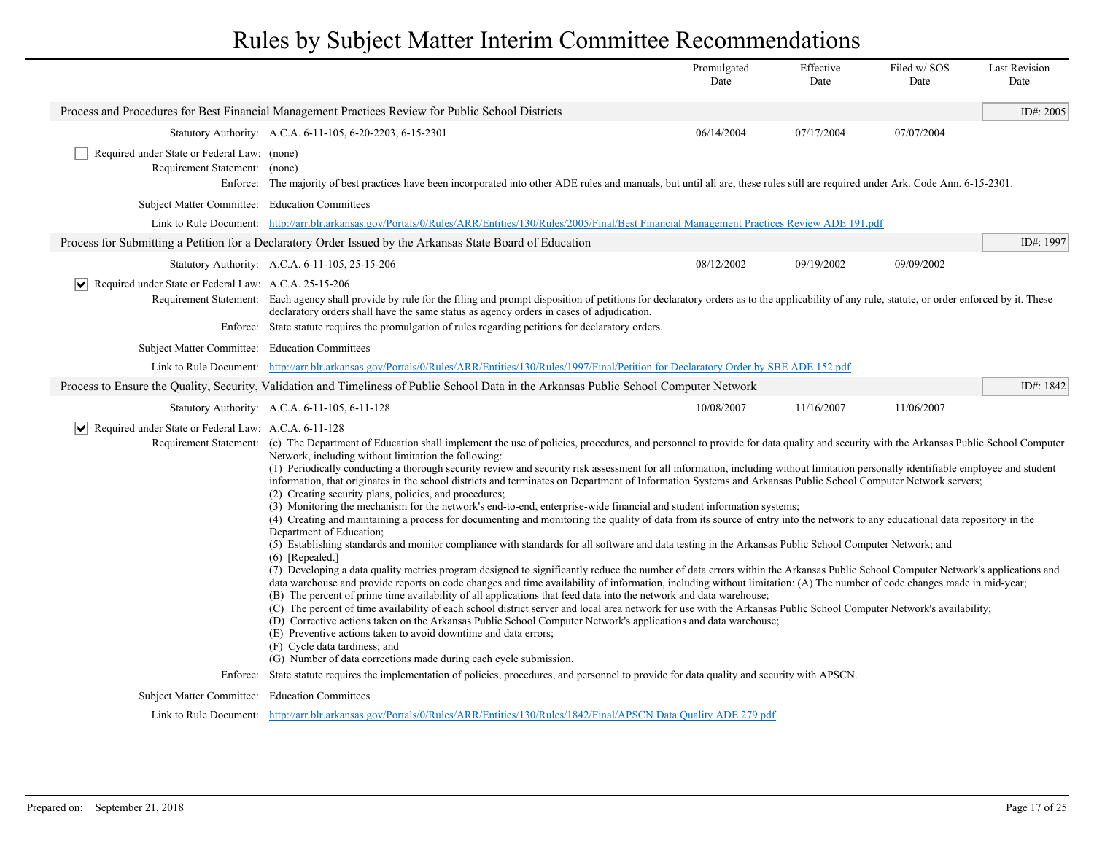|                                                                                                                                         |                                                                                                                                                                                                                                                                                                                                                                                                                                                                                                                                                                                                                                                                                                                                                                                                                                                                                                                                                                                                                                                                                                                                                                                                                                                                                                                                                                                                                                                                                                                                                                                                                                                                                                                                                                                                                                                                                                                                                                                                                                                                                       | Promulgated<br>Date | Effective<br>Date | Filed w/ SOS<br>Date | <b>Last Revision</b><br>Date |
|-----------------------------------------------------------------------------------------------------------------------------------------|---------------------------------------------------------------------------------------------------------------------------------------------------------------------------------------------------------------------------------------------------------------------------------------------------------------------------------------------------------------------------------------------------------------------------------------------------------------------------------------------------------------------------------------------------------------------------------------------------------------------------------------------------------------------------------------------------------------------------------------------------------------------------------------------------------------------------------------------------------------------------------------------------------------------------------------------------------------------------------------------------------------------------------------------------------------------------------------------------------------------------------------------------------------------------------------------------------------------------------------------------------------------------------------------------------------------------------------------------------------------------------------------------------------------------------------------------------------------------------------------------------------------------------------------------------------------------------------------------------------------------------------------------------------------------------------------------------------------------------------------------------------------------------------------------------------------------------------------------------------------------------------------------------------------------------------------------------------------------------------------------------------------------------------------------------------------------------------|---------------------|-------------------|----------------------|------------------------------|
|                                                                                                                                         | Process and Procedures for Best Financial Management Practices Review for Public School Districts                                                                                                                                                                                                                                                                                                                                                                                                                                                                                                                                                                                                                                                                                                                                                                                                                                                                                                                                                                                                                                                                                                                                                                                                                                                                                                                                                                                                                                                                                                                                                                                                                                                                                                                                                                                                                                                                                                                                                                                     |                     |                   |                      | ID#: 2005                    |
|                                                                                                                                         | Statutory Authority: A.C.A. 6-11-105, 6-20-2203, 6-15-2301                                                                                                                                                                                                                                                                                                                                                                                                                                                                                                                                                                                                                                                                                                                                                                                                                                                                                                                                                                                                                                                                                                                                                                                                                                                                                                                                                                                                                                                                                                                                                                                                                                                                                                                                                                                                                                                                                                                                                                                                                            | 06/14/2004          | 07/17/2004        | 07/07/2004           |                              |
| Required under State or Federal Law: (none)<br>Requirement Statement: (none)                                                            | Enforce: The majority of best practices have been incorporated into other ADE rules and manuals, but until all are, these rules still are required under Ark. Code Ann. 6-15-2301.                                                                                                                                                                                                                                                                                                                                                                                                                                                                                                                                                                                                                                                                                                                                                                                                                                                                                                                                                                                                                                                                                                                                                                                                                                                                                                                                                                                                                                                                                                                                                                                                                                                                                                                                                                                                                                                                                                    |                     |                   |                      |                              |
| Subject Matter Committee: Education Committees                                                                                          |                                                                                                                                                                                                                                                                                                                                                                                                                                                                                                                                                                                                                                                                                                                                                                                                                                                                                                                                                                                                                                                                                                                                                                                                                                                                                                                                                                                                                                                                                                                                                                                                                                                                                                                                                                                                                                                                                                                                                                                                                                                                                       |                     |                   |                      |                              |
|                                                                                                                                         | Link to Rule Document: http://arr.blr.arkansas.gov/Portals/0/Rules/ARR/Entities/130/Rules/2005/Final/Best Financial Management Practices Review ADE 191.pdf                                                                                                                                                                                                                                                                                                                                                                                                                                                                                                                                                                                                                                                                                                                                                                                                                                                                                                                                                                                                                                                                                                                                                                                                                                                                                                                                                                                                                                                                                                                                                                                                                                                                                                                                                                                                                                                                                                                           |                     |                   |                      |                              |
|                                                                                                                                         | Process for Submitting a Petition for a Declaratory Order Issued by the Arkansas State Board of Education                                                                                                                                                                                                                                                                                                                                                                                                                                                                                                                                                                                                                                                                                                                                                                                                                                                                                                                                                                                                                                                                                                                                                                                                                                                                                                                                                                                                                                                                                                                                                                                                                                                                                                                                                                                                                                                                                                                                                                             |                     |                   |                      | ID#: 1997                    |
|                                                                                                                                         | Statutory Authority: A.C.A. 6-11-105, 25-15-206                                                                                                                                                                                                                                                                                                                                                                                                                                                                                                                                                                                                                                                                                                                                                                                                                                                                                                                                                                                                                                                                                                                                                                                                                                                                                                                                                                                                                                                                                                                                                                                                                                                                                                                                                                                                                                                                                                                                                                                                                                       | 08/12/2002          | 09/19/2002        | 09/09/2002           |                              |
| $ \mathbf{v} $ Required under State or Federal Law: A.C.A. 25-15-206                                                                    | Requirement Statement: Each agency shall provide by rule for the filing and prompt disposition of petitions for declaratory orders as to the applicability of any rule, statute, or order enforced by it. These<br>declaratory orders shall have the same status as agency orders in cases of adjudication.<br>Enforce: State statute requires the promulgation of rules regarding petitions for declaratory orders.                                                                                                                                                                                                                                                                                                                                                                                                                                                                                                                                                                                                                                                                                                                                                                                                                                                                                                                                                                                                                                                                                                                                                                                                                                                                                                                                                                                                                                                                                                                                                                                                                                                                  |                     |                   |                      |                              |
| Subject Matter Committee: Education Committees                                                                                          |                                                                                                                                                                                                                                                                                                                                                                                                                                                                                                                                                                                                                                                                                                                                                                                                                                                                                                                                                                                                                                                                                                                                                                                                                                                                                                                                                                                                                                                                                                                                                                                                                                                                                                                                                                                                                                                                                                                                                                                                                                                                                       |                     |                   |                      |                              |
|                                                                                                                                         | Link to Rule Document: http://arr.blr.arkansas.gov/Portals/0/Rules/ARR/Entities/130/Rules/1997/Final/Petition for Declaratory Order by SBE ADE 152.pdf                                                                                                                                                                                                                                                                                                                                                                                                                                                                                                                                                                                                                                                                                                                                                                                                                                                                                                                                                                                                                                                                                                                                                                                                                                                                                                                                                                                                                                                                                                                                                                                                                                                                                                                                                                                                                                                                                                                                |                     |                   |                      |                              |
| Process to Ensure the Quality, Security, Validation and Timeliness of Public School Data in the Arkansas Public School Computer Network |                                                                                                                                                                                                                                                                                                                                                                                                                                                                                                                                                                                                                                                                                                                                                                                                                                                                                                                                                                                                                                                                                                                                                                                                                                                                                                                                                                                                                                                                                                                                                                                                                                                                                                                                                                                                                                                                                                                                                                                                                                                                                       |                     |                   |                      | ID#: 1842                    |
|                                                                                                                                         | Statutory Authority: A.C.A. 6-11-105, 6-11-128                                                                                                                                                                                                                                                                                                                                                                                                                                                                                                                                                                                                                                                                                                                                                                                                                                                                                                                                                                                                                                                                                                                                                                                                                                                                                                                                                                                                                                                                                                                                                                                                                                                                                                                                                                                                                                                                                                                                                                                                                                        | 10/08/2007          | 11/16/2007        | 11/06/2007           |                              |
| $ \mathbf{v} $ Required under State or Federal Law: A.C.A. 6-11-128                                                                     | Requirement Statement: (c) The Department of Education shall implement the use of policies, procedures, and personnel to provide for data quality and security with the Arkansas Public School Computer<br>Network, including without limitation the following:<br>(1) Periodically conducting a thorough security review and security risk assessment for all information, including without limitation personally identifiable employee and student<br>information, that originates in the school districts and terminates on Department of Information Systems and Arkansas Public School Computer Network servers;<br>(2) Creating security plans, policies, and procedures;<br>(3) Monitoring the mechanism for the network's end-to-end, enterprise-wide financial and student information systems;<br>(4) Creating and maintaining a process for documenting and monitoring the quality of data from its source of entry into the network to any educational data repository in the<br>Department of Education:<br>(5) Establishing standards and monitor compliance with standards for all software and data testing in the Arkansas Public School Computer Network; and<br>$(6)$ [Repealed.]<br>(7) Developing a data quality metrics program designed to significantly reduce the number of data errors within the Arkansas Public School Computer Network's applications and<br>data warehouse and provide reports on code changes and time availability of information, including without limitation: (A) The number of code changes made in mid-year;<br>(B) The percent of prime time availability of all applications that feed data into the network and data warehouse;<br>(C) The percent of time availability of each school district server and local area network for use with the Arkansas Public School Computer Network's availability;<br>(D) Corrective actions taken on the Arkansas Public School Computer Network's applications and data warehouse;<br>(E) Preventive actions taken to avoid downtime and data errors;<br>(F) Cycle data tardiness; and |                     |                   |                      |                              |
|                                                                                                                                         | (G) Number of data corrections made during each cycle submission.<br>Enforce: State statute requires the implementation of policies, procedures, and personnel to provide for data quality and security with APSCN.                                                                                                                                                                                                                                                                                                                                                                                                                                                                                                                                                                                                                                                                                                                                                                                                                                                                                                                                                                                                                                                                                                                                                                                                                                                                                                                                                                                                                                                                                                                                                                                                                                                                                                                                                                                                                                                                   |                     |                   |                      |                              |
| Subject Matter Committee: Education Committees                                                                                          |                                                                                                                                                                                                                                                                                                                                                                                                                                                                                                                                                                                                                                                                                                                                                                                                                                                                                                                                                                                                                                                                                                                                                                                                                                                                                                                                                                                                                                                                                                                                                                                                                                                                                                                                                                                                                                                                                                                                                                                                                                                                                       |                     |                   |                      |                              |
|                                                                                                                                         | Link to Rule Document: http://arr.blr.arkansas.gov/Portals/0/Rules/ARR/Entities/130/Rules/1842/Final/APSCN Data Quality ADE 279.pdf                                                                                                                                                                                                                                                                                                                                                                                                                                                                                                                                                                                                                                                                                                                                                                                                                                                                                                                                                                                                                                                                                                                                                                                                                                                                                                                                                                                                                                                                                                                                                                                                                                                                                                                                                                                                                                                                                                                                                   |                     |                   |                      |                              |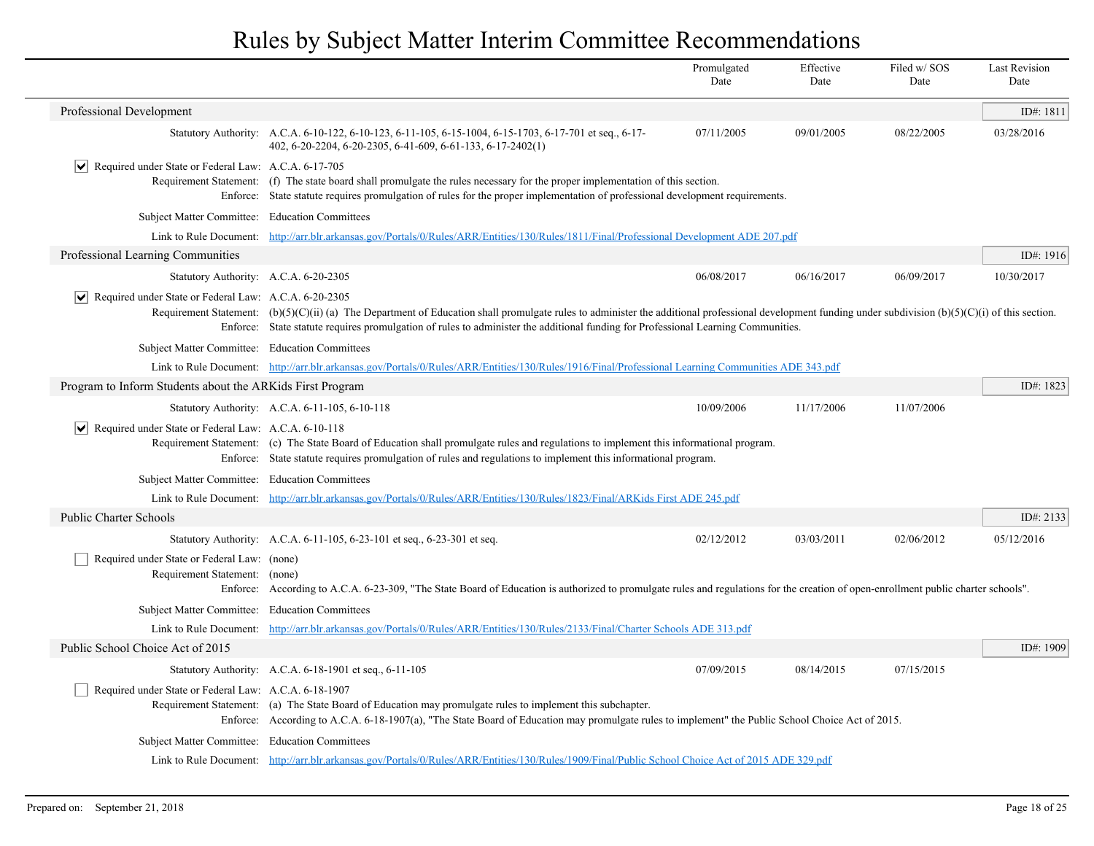|                                                                              |                                                                                                                                                                                                                                                                                                                                                | Promulgated<br>Date | Effective<br>Date | Filed w/SOS<br>Date | <b>Last Revision</b><br>Date |
|------------------------------------------------------------------------------|------------------------------------------------------------------------------------------------------------------------------------------------------------------------------------------------------------------------------------------------------------------------------------------------------------------------------------------------|---------------------|-------------------|---------------------|------------------------------|
| Professional Development                                                     |                                                                                                                                                                                                                                                                                                                                                |                     |                   |                     | ID#: 1811                    |
|                                                                              | Statutory Authority: A.C.A. 6-10-122, 6-10-123, 6-11-105, 6-15-1004, 6-15-1703, 6-17-701 et seq., 6-17-<br>402, 6-20-2204, 6-20-2305, 6-41-609, 6-61-133, 6-17-2402(1)                                                                                                                                                                         | 07/11/2005          | 09/01/2005        | 08/22/2005          | 03/28/2016                   |
| $ \mathbf{v} $ Required under State or Federal Law: A.C.A. 6-17-705          | Requirement Statement: (f) The state board shall promulgate the rules necessary for the proper implementation of this section.<br>Enforce: State statute requires promulgation of rules for the proper implementation of professional development requirements.                                                                                |                     |                   |                     |                              |
| Subject Matter Committee: Education Committees                               |                                                                                                                                                                                                                                                                                                                                                |                     |                   |                     |                              |
|                                                                              | Link to Rule Document: http://arr.blr.arkansas.gov/Portals/0/Rules/ARR/Entities/130/Rules/1811/Final/Professional Development ADE 207.pdf                                                                                                                                                                                                      |                     |                   |                     |                              |
| Professional Learning Communities                                            |                                                                                                                                                                                                                                                                                                                                                |                     |                   |                     | ID#: 1916                    |
| Statutory Authority: A.C.A. 6-20-2305                                        |                                                                                                                                                                                                                                                                                                                                                | 06/08/2017          | 06/16/2017        | 06/09/2017          | 10/30/2017                   |
| Required under State or Federal Law: A.C.A. 6-20-2305                        | Requirement Statement: (b)(5)(C)(ii) (a) The Department of Education shall promulgate rules to administer the additional professional development funding under subdivision (b)(5)(C)(i) of this section.<br>Enforce: State statute requires promulgation of rules to administer the additional funding for Professional Learning Communities. |                     |                   |                     |                              |
| Subject Matter Committee: Education Committees                               |                                                                                                                                                                                                                                                                                                                                                |                     |                   |                     |                              |
|                                                                              | Link to Rule Document: http://arr.blr.arkansas.gov/Portals/0/Rules/ARR/Entities/130/Rules/1916/Final/Professional Learning Communities ADE 343.pdf                                                                                                                                                                                             |                     |                   |                     |                              |
| Program to Inform Students about the ARKids First Program                    |                                                                                                                                                                                                                                                                                                                                                |                     |                   |                     | ID#: 1823                    |
|                                                                              | Statutory Authority: A.C.A. 6-11-105, 6-10-118                                                                                                                                                                                                                                                                                                 | 10/09/2006          | 11/17/2006        | 11/07/2006          |                              |
| Required under State or Federal Law: A.C.A. 6-10-118<br>$ \bm{\vee} $        | Requirement Statement: (c) The State Board of Education shall promulgate rules and regulations to implement this informational program.<br>Enforce: State statute requires promulgation of rules and regulations to implement this informational program.                                                                                      |                     |                   |                     |                              |
| Subject Matter Committee: Education Committees                               |                                                                                                                                                                                                                                                                                                                                                |                     |                   |                     |                              |
|                                                                              | Link to Rule Document: http://arr.blr.arkansas.gov/Portals/0/Rules/ARR/Entities/130/Rules/1823/Final/ARKids First ADE 245.pdf                                                                                                                                                                                                                  |                     |                   |                     |                              |
| <b>Public Charter Schools</b>                                                |                                                                                                                                                                                                                                                                                                                                                |                     |                   |                     | ID#: 2133                    |
|                                                                              | Statutory Authority: A.C.A. 6-11-105, 6-23-101 et seq., 6-23-301 et seq.                                                                                                                                                                                                                                                                       | 02/12/2012          | 03/03/2011        | 02/06/2012          | 05/12/2016                   |
| Required under State or Federal Law: (none)<br>Requirement Statement: (none) | Enforce: According to A.C.A. 6-23-309, "The State Board of Education is authorized to promulgate rules and regulations for the creation of open-enrollment public charter schools".                                                                                                                                                            |                     |                   |                     |                              |
| Subject Matter Committee: Education Committees                               |                                                                                                                                                                                                                                                                                                                                                |                     |                   |                     |                              |
|                                                                              | Link to Rule Document: http://arr.blr.arkansas.gov/Portals/0/Rules/ARR/Entities/130/Rules/2133/Final/Charter Schools ADE 313.pdf                                                                                                                                                                                                               |                     |                   |                     |                              |
| Public School Choice Act of 2015                                             |                                                                                                                                                                                                                                                                                                                                                |                     |                   |                     | ID#: 1909                    |
|                                                                              | Statutory Authority: A.C.A. 6-18-1901 et seq., 6-11-105                                                                                                                                                                                                                                                                                        | 07/09/2015          | 08/14/2015        | 07/15/2015          |                              |
| Required under State or Federal Law: A.C.A. 6-18-1907                        | Requirement Statement: (a) The State Board of Education may promulgate rules to implement this subchapter.<br>Enforce: According to A.C.A. 6-18-1907(a), "The State Board of Education may promulgate rules to implement" the Public School Choice Act of 2015.                                                                                |                     |                   |                     |                              |
| Subject Matter Committee: Education Committees                               |                                                                                                                                                                                                                                                                                                                                                |                     |                   |                     |                              |
|                                                                              | Link to Rule Document: http://arr.blr.arkansas.gov/Portals/0/Rules/ARR/Entities/130/Rules/1909/Final/Public School Choice Act of 2015 ADE 329.pdf                                                                                                                                                                                              |                     |                   |                     |                              |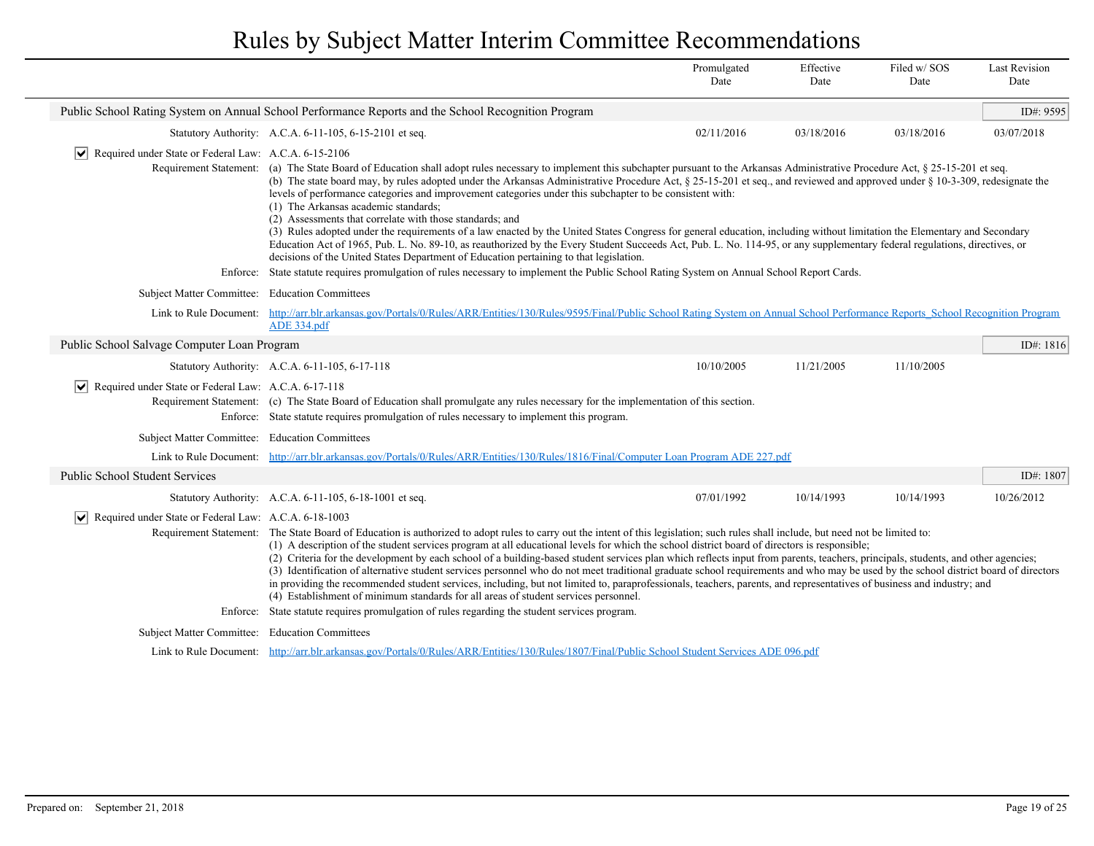|                                                              |                                                                                                                                                                                                                                                                                                                                                                                                                                                                                                                                                                                                                                                                                                                                                                                                                                                                                                                                                                                                                                                                                 | Promulgated<br>Date | Effective<br>Date | Filed w/SOS<br>Date | <b>Last Revision</b><br>Date |
|--------------------------------------------------------------|---------------------------------------------------------------------------------------------------------------------------------------------------------------------------------------------------------------------------------------------------------------------------------------------------------------------------------------------------------------------------------------------------------------------------------------------------------------------------------------------------------------------------------------------------------------------------------------------------------------------------------------------------------------------------------------------------------------------------------------------------------------------------------------------------------------------------------------------------------------------------------------------------------------------------------------------------------------------------------------------------------------------------------------------------------------------------------|---------------------|-------------------|---------------------|------------------------------|
|                                                              | Public School Rating System on Annual School Performance Reports and the School Recognition Program                                                                                                                                                                                                                                                                                                                                                                                                                                                                                                                                                                                                                                                                                                                                                                                                                                                                                                                                                                             |                     |                   |                     | ID#: 9595                    |
|                                                              | Statutory Authority: A.C.A. 6-11-105, 6-15-2101 et seq.                                                                                                                                                                                                                                                                                                                                                                                                                                                                                                                                                                                                                                                                                                                                                                                                                                                                                                                                                                                                                         | 02/11/2016          | 03/18/2016        | 03/18/2016          | 03/07/2018                   |
| Required under State or Federal Law: A.C.A. 6-15-2106<br>∣V∣ |                                                                                                                                                                                                                                                                                                                                                                                                                                                                                                                                                                                                                                                                                                                                                                                                                                                                                                                                                                                                                                                                                 |                     |                   |                     |                              |
|                                                              | Requirement Statement: (a) The State Board of Education shall adopt rules necessary to implement this subchapter pursuant to the Arkansas Administrative Procedure Act, § 25-15-201 et seq.<br>(b) The state board may, by rules adopted under the Arkansas Administrative Procedure Act, § 25-15-201 et seq., and reviewed and approved under § 10-3-309, redesignate the<br>levels of performance categories and improvement categories under this subchapter to be consistent with:<br>(1) The Arkansas academic standards;<br>(2) Assessments that correlate with those standards; and<br>(3) Rules adopted under the requirements of a law enacted by the United States Congress for general education, including without limitation the Elementary and Secondary<br>Education Act of 1965, Pub. L. No. 89-10, as reauthorized by the Every Student Succeeds Act, Pub. L. No. 114-95, or any supplementary federal regulations, directives, or<br>decisions of the United States Department of Education pertaining to that legislation.                                   |                     |                   |                     |                              |
|                                                              | Enforce: State statute requires promulgation of rules necessary to implement the Public School Rating System on Annual School Report Cards.                                                                                                                                                                                                                                                                                                                                                                                                                                                                                                                                                                                                                                                                                                                                                                                                                                                                                                                                     |                     |                   |                     |                              |
| Subject Matter Committee: Education Committees               |                                                                                                                                                                                                                                                                                                                                                                                                                                                                                                                                                                                                                                                                                                                                                                                                                                                                                                                                                                                                                                                                                 |                     |                   |                     |                              |
| Link to Rule Document:                                       | http://arr.blr.arkansas.gov/Portals/0/Rules/ARR/Entities/130/Rules/9595/Final/Public School Rating System on Annual School Performance Reports School Recognition Program<br>ADE 334.pdf                                                                                                                                                                                                                                                                                                                                                                                                                                                                                                                                                                                                                                                                                                                                                                                                                                                                                        |                     |                   |                     |                              |
| Public School Salvage Computer Loan Program                  |                                                                                                                                                                                                                                                                                                                                                                                                                                                                                                                                                                                                                                                                                                                                                                                                                                                                                                                                                                                                                                                                                 |                     |                   |                     | ID#: 1816                    |
|                                                              | Statutory Authority: A.C.A. 6-11-105, 6-17-118                                                                                                                                                                                                                                                                                                                                                                                                                                                                                                                                                                                                                                                                                                                                                                                                                                                                                                                                                                                                                                  | 10/10/2005          | 11/21/2005        | 11/10/2005          |                              |
| Required under State or Federal Law: A.C.A. 6-17-118         | Requirement Statement: (c) The State Board of Education shall promulgate any rules necessary for the implementation of this section.<br>Enforce: State statute requires promulgation of rules necessary to implement this program.                                                                                                                                                                                                                                                                                                                                                                                                                                                                                                                                                                                                                                                                                                                                                                                                                                              |                     |                   |                     |                              |
| Subject Matter Committee: Education Committees               |                                                                                                                                                                                                                                                                                                                                                                                                                                                                                                                                                                                                                                                                                                                                                                                                                                                                                                                                                                                                                                                                                 |                     |                   |                     |                              |
|                                                              | Link to Rule Document: http://arr.blr.arkansas.gov/Portals/0/Rules/ARR/Entities/130/Rules/1816/Final/Computer Loan Program ADE 227.pdf                                                                                                                                                                                                                                                                                                                                                                                                                                                                                                                                                                                                                                                                                                                                                                                                                                                                                                                                          |                     |                   |                     |                              |
| Public School Student Services                               |                                                                                                                                                                                                                                                                                                                                                                                                                                                                                                                                                                                                                                                                                                                                                                                                                                                                                                                                                                                                                                                                                 |                     |                   |                     | ID#: 1807                    |
|                                                              | Statutory Authority: A.C.A. 6-11-105, 6-18-1001 et seq.                                                                                                                                                                                                                                                                                                                                                                                                                                                                                                                                                                                                                                                                                                                                                                                                                                                                                                                                                                                                                         | 07/01/1992          | 10/14/1993        | 10/14/1993          | 10/26/2012                   |
| Required under State or Federal Law: A.C.A. 6-18-1003        | Requirement Statement: The State Board of Education is authorized to adopt rules to carry out the intent of this legislation; such rules shall include, but need not be limited to:<br>(1) A description of the student services program at all educational levels for which the school district board of directors is responsible;<br>(2) Criteria for the development by each school of a building-based student services plan which reflects input from parents, teachers, principals, students, and other agencies;<br>(3) Identification of alternative student services personnel who do not meet traditional graduate school requirements and who may be used by the school district board of directors<br>in providing the recommended student services, including, but not limited to, paraprofessionals, teachers, parents, and representatives of business and industry; and<br>(4) Establishment of minimum standards for all areas of student services personnel.<br>Enforce: State statute requires promulgation of rules regarding the student services program. |                     |                   |                     |                              |
| Subject Matter Committee: Education Committees               |                                                                                                                                                                                                                                                                                                                                                                                                                                                                                                                                                                                                                                                                                                                                                                                                                                                                                                                                                                                                                                                                                 |                     |                   |                     |                              |
|                                                              | Link to Rule Document: http://arr.blr.arkansas.gov/Portals/0/Rules/ARR/Entities/130/Rules/1807/Final/Public School Student Services ADE 096.pdf                                                                                                                                                                                                                                                                                                                                                                                                                                                                                                                                                                                                                                                                                                                                                                                                                                                                                                                                 |                     |                   |                     |                              |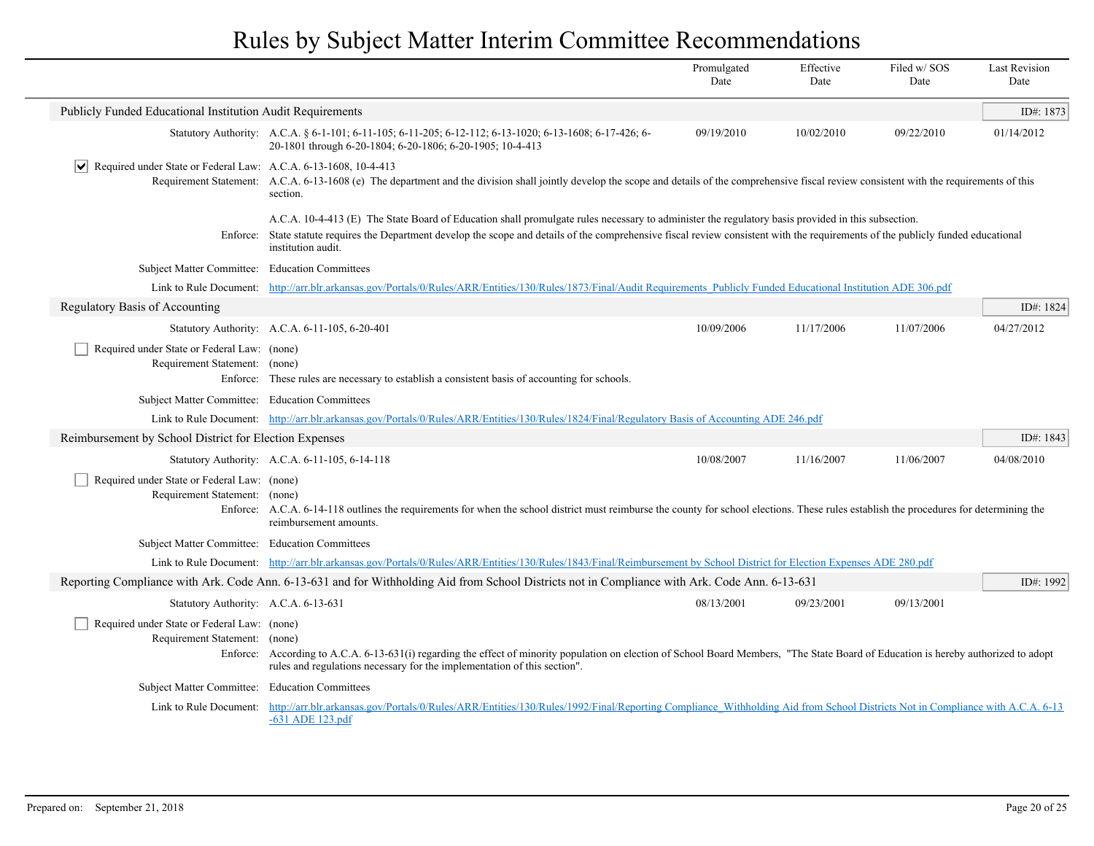|                                                                                                                                                                                                                             |                                                                                                                                                                                                                                                                                                                                                       | Promulgated<br>Date | Effective<br>Date | Filed w/SOS<br>Date | <b>Last Revision</b><br>Date |
|-----------------------------------------------------------------------------------------------------------------------------------------------------------------------------------------------------------------------------|-------------------------------------------------------------------------------------------------------------------------------------------------------------------------------------------------------------------------------------------------------------------------------------------------------------------------------------------------------|---------------------|-------------------|---------------------|------------------------------|
| Publicly Funded Educational Institution Audit Requirements                                                                                                                                                                  |                                                                                                                                                                                                                                                                                                                                                       |                     |                   |                     | ID#: 1873                    |
|                                                                                                                                                                                                                             | Statutory Authority: A.C.A. § 6-1-101; 6-11-105; 6-11-205; 6-12-112; 6-13-1020; 6-13-1608; 6-17-426; 6-<br>20-1801 through 6-20-1804; 6-20-1806; 6-20-1905; 10-4-413                                                                                                                                                                                  | 09/19/2010          | 10/02/2010        | 09/22/2010          | 01/14/2012                   |
| $ \mathbf{v} $ Required under State or Federal Law: A.C.A. 6-13-1608, 10-4-413                                                                                                                                              | Requirement Statement: A.C.A. 6-13-1608 (e) The department and the division shall jointly develop the scope and details of the comprehensive fiscal review consistent with the requirements of this<br>section.                                                                                                                                       |                     |                   |                     |                              |
| Enforce:                                                                                                                                                                                                                    | A.C.A. 10-4-413 (E) The State Board of Education shall promulgate rules necessary to administer the regulatory basis provided in this subsection.<br>State statute requires the Department develop the scope and details of the comprehensive fiscal review consistent with the requirements of the publicly funded educational<br>institution audit. |                     |                   |                     |                              |
| Subject Matter Committee: Education Committees                                                                                                                                                                              |                                                                                                                                                                                                                                                                                                                                                       |                     |                   |                     |                              |
|                                                                                                                                                                                                                             | Link to Rule Document: http://arr.blr.arkansas.gov/Portals/0/Rules/ARR/Entities/130/Rules/1873/Final/Audit Requirements Publicly Funded Educational Institution ADE 306.pdf                                                                                                                                                                           |                     |                   |                     |                              |
| Regulatory Basis of Accounting                                                                                                                                                                                              |                                                                                                                                                                                                                                                                                                                                                       |                     |                   |                     | ID#: 1824                    |
|                                                                                                                                                                                                                             | Statutory Authority: A.C.A. 6-11-105, 6-20-401                                                                                                                                                                                                                                                                                                        | 10/09/2006          | 11/17/2006        | 11/07/2006          | 04/27/2012                   |
| Required under State or Federal Law: (none)<br>Requirement Statement: (none)                                                                                                                                                | Enforce: These rules are necessary to establish a consistent basis of accounting for schools.                                                                                                                                                                                                                                                         |                     |                   |                     |                              |
| Subject Matter Committee: Education Committees                                                                                                                                                                              |                                                                                                                                                                                                                                                                                                                                                       |                     |                   |                     |                              |
|                                                                                                                                                                                                                             | Link to Rule Document: http://arr.blr.arkansas.gov/Portals/0/Rules/ARR/Entities/130/Rules/1824/Final/Regulatory Basis of Accounting ADE 246.pdf                                                                                                                                                                                                       |                     |                   |                     |                              |
| Reimbursement by School District for Election Expenses                                                                                                                                                                      |                                                                                                                                                                                                                                                                                                                                                       |                     |                   |                     | ID#: $1843$                  |
|                                                                                                                                                                                                                             | Statutory Authority: A.C.A. 6-11-105, 6-14-118                                                                                                                                                                                                                                                                                                        | 10/08/2007          | 11/16/2007        | 11/06/2007          | 04/08/2010                   |
| Required under State or Federal Law: (none)<br>Requirement Statement: (none)                                                                                                                                                | Enforce: A.C.A. 6-14-118 outlines the requirements for when the school district must reimburse the county for school elections. These rules establish the procedures for determining the<br>reimbursement amounts.                                                                                                                                    |                     |                   |                     |                              |
| Subject Matter Committee: Education Committees                                                                                                                                                                              |                                                                                                                                                                                                                                                                                                                                                       |                     |                   |                     |                              |
|                                                                                                                                                                                                                             | Link to Rule Document: http://arr.blr.arkansas.gov/Portals/0/Rules/ARR/Entities/130/Rules/1843/Final/Reimbursement by School District for Election Expenses ADE 280.pdf                                                                                                                                                                               |                     |                   |                     |                              |
|                                                                                                                                                                                                                             | Reporting Compliance with Ark. Code Ann. 6-13-631 and for Withholding Aid from School Districts not in Compliance with Ark. Code Ann. 6-13-631                                                                                                                                                                                                        |                     |                   |                     | ID#: 1992                    |
| Statutory Authority: A.C.A. 6-13-631                                                                                                                                                                                        |                                                                                                                                                                                                                                                                                                                                                       | 08/13/2001          | 09/23/2001        | 09/13/2001          |                              |
| Required under State or Federal Law: (none)<br>Requirement Statement: (none)                                                                                                                                                | Enforce: According to A.C.A. 6-13-631(i) regarding the effect of minority population on election of School Board Members, "The State Board of Education is hereby authorized to adopt<br>rules and regulations necessary for the implementation of this section".                                                                                     |                     |                   |                     |                              |
| Subject Matter Committee: Education Committees                                                                                                                                                                              |                                                                                                                                                                                                                                                                                                                                                       |                     |                   |                     |                              |
| http://arr.blr.arkansas.gov/Portals/0/Rules/ARR/Entities/130/Rules/1992/Final/Reporting Compliance Withholding Aid from School Districts Not in Compliance with A.C.A. 6-13<br>Link to Rule Document:<br>$-631$ ADE 123.pdf |                                                                                                                                                                                                                                                                                                                                                       |                     |                   |                     |                              |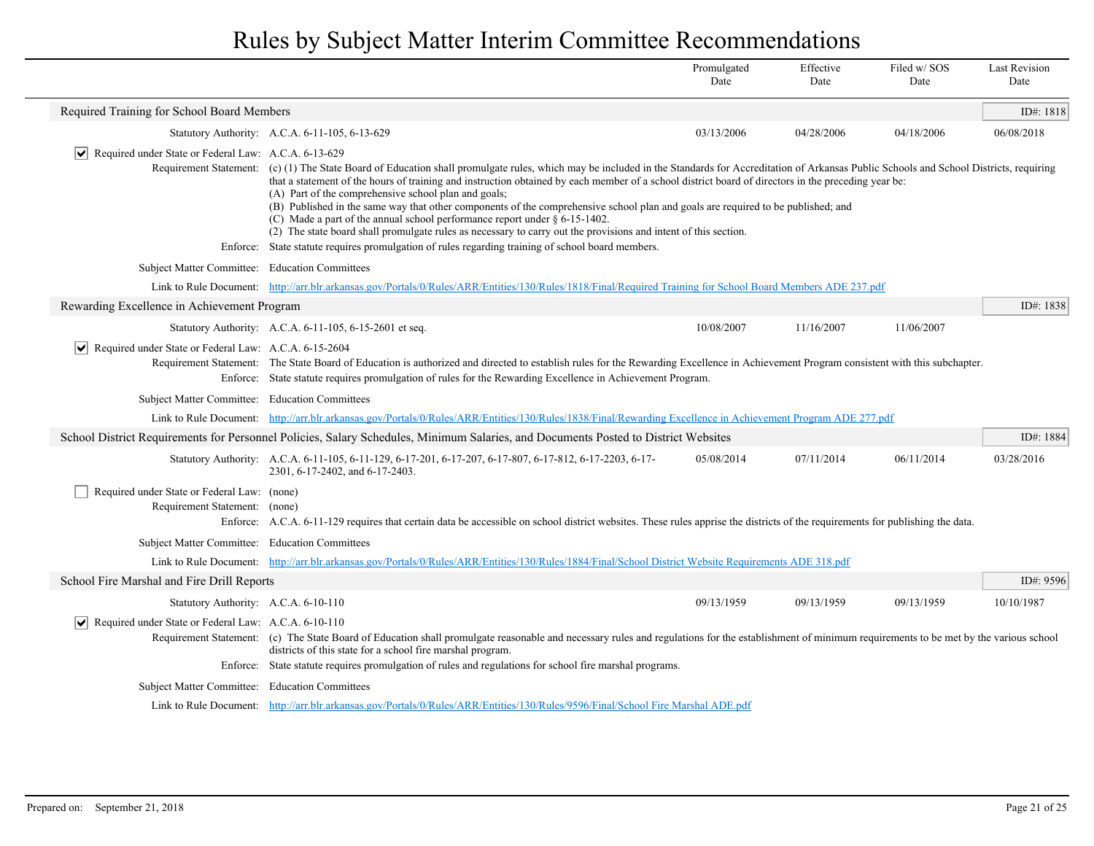|                                                                              |                                                                                                                                                                                                                                                                                                                                                                                                                                                                                                                                                                                                                                                                                                                                                                                                                                                                      | Promulgated<br>Date | Effective<br>Date | Filed w/ SOS<br>Date | <b>Last Revision</b><br>Date |
|------------------------------------------------------------------------------|----------------------------------------------------------------------------------------------------------------------------------------------------------------------------------------------------------------------------------------------------------------------------------------------------------------------------------------------------------------------------------------------------------------------------------------------------------------------------------------------------------------------------------------------------------------------------------------------------------------------------------------------------------------------------------------------------------------------------------------------------------------------------------------------------------------------------------------------------------------------|---------------------|-------------------|----------------------|------------------------------|
| Required Training for School Board Members                                   |                                                                                                                                                                                                                                                                                                                                                                                                                                                                                                                                                                                                                                                                                                                                                                                                                                                                      |                     |                   |                      | ID#: 1818                    |
|                                                                              | Statutory Authority: A.C.A. 6-11-105, 6-13-629                                                                                                                                                                                                                                                                                                                                                                                                                                                                                                                                                                                                                                                                                                                                                                                                                       | 03/13/2006          | 04/28/2006        | 04/18/2006           | 06/08/2018                   |
| Required under State or Federal Law: A.C.A. 6-13-629                         | Requirement Statement: (c) (1) The State Board of Education shall promulgate rules, which may be included in the Standards for Accreditation of Arkansas Public Schools and School Districts, requiring<br>that a statement of the hours of training and instruction obtained by each member of a school district board of directors in the preceding year be:<br>(A) Part of the comprehensive school plan and goals;<br>(B) Published in the same way that other components of the comprehensive school plan and goals are required to be published; and<br>(C) Made a part of the annual school performance report under $\S 6$ -15-1402.<br>(2) The state board shall promulgate rules as necessary to carry out the provisions and intent of this section.<br>Enforce: State statute requires promulgation of rules regarding training of school board members. |                     |                   |                      |                              |
| Subject Matter Committee: Education Committees                               |                                                                                                                                                                                                                                                                                                                                                                                                                                                                                                                                                                                                                                                                                                                                                                                                                                                                      |                     |                   |                      |                              |
|                                                                              | Link to Rule Document: http://arr.blr.arkansas.gov/Portals/0/Rules/ARR/Entities/130/Rules/1818/Final/Required Training for School Board Members ADE 237.pdf                                                                                                                                                                                                                                                                                                                                                                                                                                                                                                                                                                                                                                                                                                          |                     |                   |                      |                              |
| Rewarding Excellence in Achievement Program                                  |                                                                                                                                                                                                                                                                                                                                                                                                                                                                                                                                                                                                                                                                                                                                                                                                                                                                      |                     |                   |                      | ID#: 1838                    |
|                                                                              | Statutory Authority: A.C.A. 6-11-105, 6-15-2601 et seq.                                                                                                                                                                                                                                                                                                                                                                                                                                                                                                                                                                                                                                                                                                                                                                                                              | 10/08/2007          | 11/16/2007        | 11/06/2007           |                              |
| Required under State or Federal Law: A.C.A. 6-15-2604<br>$ \vee $            | Requirement Statement: The State Board of Education is authorized and directed to establish rules for the Rewarding Excellence in Achievement Program consistent with this subchapter.<br>Enforce: State statute requires promulgation of rules for the Rewarding Excellence in Achievement Program.                                                                                                                                                                                                                                                                                                                                                                                                                                                                                                                                                                 |                     |                   |                      |                              |
| Subject Matter Committee: Education Committees                               |                                                                                                                                                                                                                                                                                                                                                                                                                                                                                                                                                                                                                                                                                                                                                                                                                                                                      |                     |                   |                      |                              |
|                                                                              | Link to Rule Document: http://arr.blr.arkansas.gov/Portals/0/Rules/ARR/Entities/130/Rules/1838/Final/Rewarding Excellence in Achievement Program ADE 277.pdf                                                                                                                                                                                                                                                                                                                                                                                                                                                                                                                                                                                                                                                                                                         |                     |                   |                      |                              |
|                                                                              | School District Requirements for Personnel Policies, Salary Schedules, Minimum Salaries, and Documents Posted to District Websites                                                                                                                                                                                                                                                                                                                                                                                                                                                                                                                                                                                                                                                                                                                                   |                     |                   |                      | ID#: 1884                    |
|                                                                              | Statutory Authority: A.C.A. 6-11-105, 6-11-129, 6-17-201, 6-17-207, 6-17-807, 6-17-812, 6-17-2203, 6-17-<br>2301, 6-17-2402, and 6-17-2403.                                                                                                                                                                                                                                                                                                                                                                                                                                                                                                                                                                                                                                                                                                                          | 05/08/2014          | 07/11/2014        | 06/11/2014           | 03/28/2016                   |
| Required under State or Federal Law: (none)<br>Requirement Statement: (none) | Enforce: A.C.A. 6-11-129 requires that certain data be accessible on school district websites. These rules apprise the districts of the requirements for publishing the data.                                                                                                                                                                                                                                                                                                                                                                                                                                                                                                                                                                                                                                                                                        |                     |                   |                      |                              |
| Subject Matter Committee: Education Committees                               |                                                                                                                                                                                                                                                                                                                                                                                                                                                                                                                                                                                                                                                                                                                                                                                                                                                                      |                     |                   |                      |                              |
|                                                                              | Link to Rule Document: http://arr.blr.arkansas.gov/Portals/0/Rules/ARR/Entities/130/Rules/1884/Final/School District Website Requirements ADE 318.pdf                                                                                                                                                                                                                                                                                                                                                                                                                                                                                                                                                                                                                                                                                                                |                     |                   |                      |                              |
| School Fire Marshal and Fire Drill Reports                                   |                                                                                                                                                                                                                                                                                                                                                                                                                                                                                                                                                                                                                                                                                                                                                                                                                                                                      |                     |                   |                      | ID#: 9596                    |
| Statutory Authority: A.C.A. 6-10-110                                         |                                                                                                                                                                                                                                                                                                                                                                                                                                                                                                                                                                                                                                                                                                                                                                                                                                                                      | 09/13/1959          | 09/13/1959        | 09/13/1959           | 10/10/1987                   |
| $ \mathbf{v} $ Required under State or Federal Law: A.C.A. 6-10-110          | Requirement Statement: (c) The State Board of Education shall promulgate reasonable and necessary rules and regulations for the establishment of minimum requirements to be met by the various school<br>districts of this state for a school fire marshal program.                                                                                                                                                                                                                                                                                                                                                                                                                                                                                                                                                                                                  |                     |                   |                      |                              |
|                                                                              | Enforce: State statute requires promulgation of rules and regulations for school fire marshal programs.                                                                                                                                                                                                                                                                                                                                                                                                                                                                                                                                                                                                                                                                                                                                                              |                     |                   |                      |                              |
| Subject Matter Committee: Education Committees                               |                                                                                                                                                                                                                                                                                                                                                                                                                                                                                                                                                                                                                                                                                                                                                                                                                                                                      |                     |                   |                      |                              |
|                                                                              | Link to Rule Document: http://arr.blr.arkansas.gov/Portals/0/Rules/ARR/Entities/130/Rules/9596/Final/School Fire Marshal ADE.pdf                                                                                                                                                                                                                                                                                                                                                                                                                                                                                                                                                                                                                                                                                                                                     |                     |                   |                      |                              |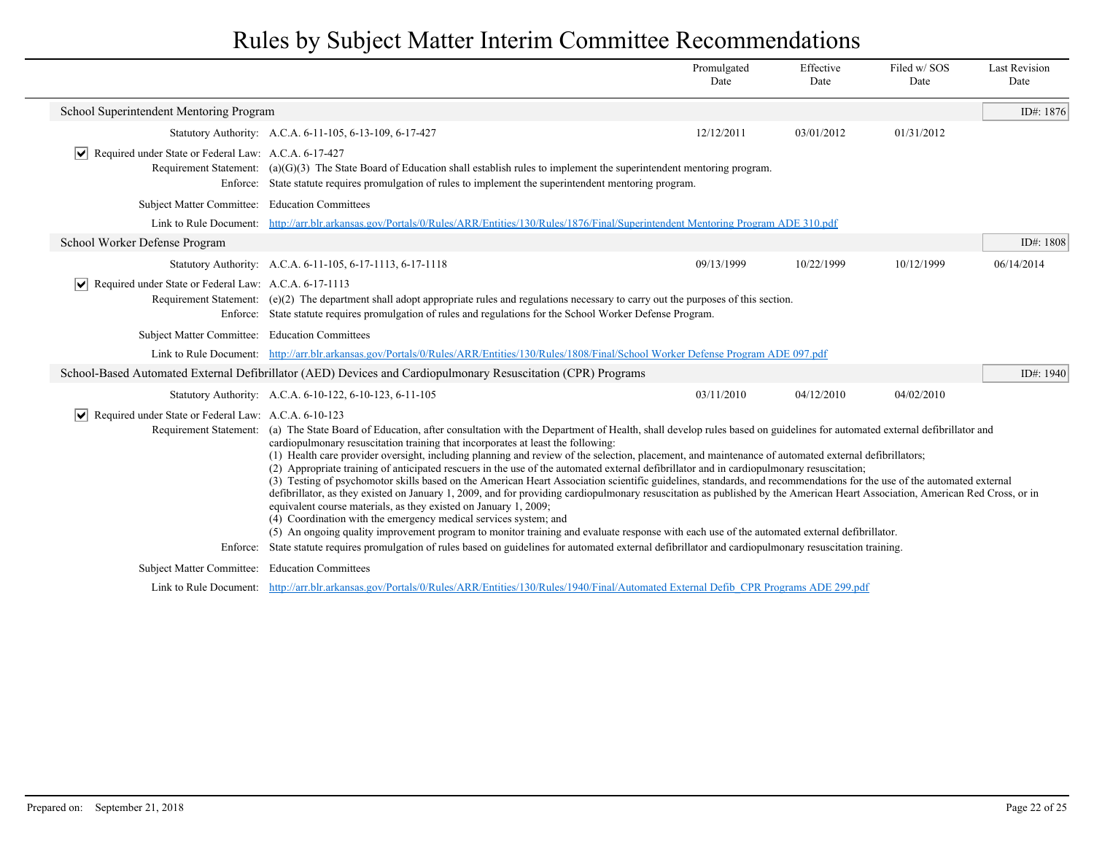|                                                                     |                                                                                                                                                                                                                                                                                                                                                                                                                                                                                                                                                                                                                                                                                                                                                                                                                                                                                                                                                                                                                                                                                                                                                                                                                                                                                                                                                                                                    | Promulgated<br>Date | Effective<br>Date | Filed w/SOS<br>Date | <b>Last Revision</b><br>Date |
|---------------------------------------------------------------------|----------------------------------------------------------------------------------------------------------------------------------------------------------------------------------------------------------------------------------------------------------------------------------------------------------------------------------------------------------------------------------------------------------------------------------------------------------------------------------------------------------------------------------------------------------------------------------------------------------------------------------------------------------------------------------------------------------------------------------------------------------------------------------------------------------------------------------------------------------------------------------------------------------------------------------------------------------------------------------------------------------------------------------------------------------------------------------------------------------------------------------------------------------------------------------------------------------------------------------------------------------------------------------------------------------------------------------------------------------------------------------------------------|---------------------|-------------------|---------------------|------------------------------|
| School Superintendent Mentoring Program                             |                                                                                                                                                                                                                                                                                                                                                                                                                                                                                                                                                                                                                                                                                                                                                                                                                                                                                                                                                                                                                                                                                                                                                                                                                                                                                                                                                                                                    |                     |                   |                     | ID#: 1876                    |
|                                                                     | Statutory Authority: A.C.A. 6-11-105, 6-13-109, 6-17-427                                                                                                                                                                                                                                                                                                                                                                                                                                                                                                                                                                                                                                                                                                                                                                                                                                                                                                                                                                                                                                                                                                                                                                                                                                                                                                                                           | 12/12/2011          | 03/01/2012        | 01/31/2012          |                              |
| $ \mathbf{v} $ Required under State or Federal Law: A.C.A. 6-17-427 | Requirement Statement: (a) $(G)(3)$ The State Board of Education shall establish rules to implement the superintendent mentoring program.<br>Enforce: State statute requires promulgation of rules to implement the superintendent mentoring program.                                                                                                                                                                                                                                                                                                                                                                                                                                                                                                                                                                                                                                                                                                                                                                                                                                                                                                                                                                                                                                                                                                                                              |                     |                   |                     |                              |
| Subject Matter Committee: Education Committees                      |                                                                                                                                                                                                                                                                                                                                                                                                                                                                                                                                                                                                                                                                                                                                                                                                                                                                                                                                                                                                                                                                                                                                                                                                                                                                                                                                                                                                    |                     |                   |                     |                              |
|                                                                     | Link to Rule Document: http://arr.blr.arkansas.gov/Portals/0/Rules/ARR/Entities/130/Rules/1876/Final/Superintendent Mentoring Program ADE 310.pdf                                                                                                                                                                                                                                                                                                                                                                                                                                                                                                                                                                                                                                                                                                                                                                                                                                                                                                                                                                                                                                                                                                                                                                                                                                                  |                     |                   |                     |                              |
| School Worker Defense Program                                       |                                                                                                                                                                                                                                                                                                                                                                                                                                                                                                                                                                                                                                                                                                                                                                                                                                                                                                                                                                                                                                                                                                                                                                                                                                                                                                                                                                                                    |                     |                   |                     | ID#: 1808                    |
|                                                                     | Statutory Authority: A.C.A. 6-11-105, 6-17-1113, 6-17-1118                                                                                                                                                                                                                                                                                                                                                                                                                                                                                                                                                                                                                                                                                                                                                                                                                                                                                                                                                                                                                                                                                                                                                                                                                                                                                                                                         | 09/13/1999          | 10/22/1999        | 10/12/1999          | 06/14/2014                   |
| Required under State or Federal Law: A.C.A. 6-17-1113               | Requirement Statement: (e)(2) The department shall adopt appropriate rules and regulations necessary to carry out the purposes of this section.<br>Enforce: State statute requires promulgation of rules and regulations for the School Worker Defense Program.                                                                                                                                                                                                                                                                                                                                                                                                                                                                                                                                                                                                                                                                                                                                                                                                                                                                                                                                                                                                                                                                                                                                    |                     |                   |                     |                              |
| Subject Matter Committee: Education Committees                      |                                                                                                                                                                                                                                                                                                                                                                                                                                                                                                                                                                                                                                                                                                                                                                                                                                                                                                                                                                                                                                                                                                                                                                                                                                                                                                                                                                                                    |                     |                   |                     |                              |
|                                                                     | Link to Rule Document: http://arr.blr.arkansas.gov/Portals/0/Rules/ARR/Entities/130/Rules/1808/Final/School Worker Defense Program ADE 097.pdf                                                                                                                                                                                                                                                                                                                                                                                                                                                                                                                                                                                                                                                                                                                                                                                                                                                                                                                                                                                                                                                                                                                                                                                                                                                     |                     |                   |                     |                              |
|                                                                     | School-Based Automated External Defibrillator (AED) Devices and Cardiopulmonary Resuscitation (CPR) Programs                                                                                                                                                                                                                                                                                                                                                                                                                                                                                                                                                                                                                                                                                                                                                                                                                                                                                                                                                                                                                                                                                                                                                                                                                                                                                       |                     |                   |                     | ID#: $1940$                  |
|                                                                     | Statutory Authority: A.C.A. 6-10-122, 6-10-123, 6-11-105                                                                                                                                                                                                                                                                                                                                                                                                                                                                                                                                                                                                                                                                                                                                                                                                                                                                                                                                                                                                                                                                                                                                                                                                                                                                                                                                           | 03/11/2010          | 04/12/2010        | 04/02/2010          |                              |
| $ \mathbf{v} $ Required under State or Federal Law: A.C.A. 6-10-123 | Requirement Statement: (a) The State Board of Education, after consultation with the Department of Health, shall develop rules based on guidelines for automated external defibrillator and<br>cardiopulmonary resuscitation training that incorporates at least the following:<br>(1) Health care provider oversight, including planning and review of the selection, placement, and maintenance of automated external defibrillators;<br>(2) Appropriate training of anticipated rescuers in the use of the automated external defibrillator and in cardiopulmonary resuscitation;<br>(3) Testing of psychomotor skills based on the American Heart Association scientific guidelines, standards, and recommendations for the use of the automated external<br>defibrillator, as they existed on January 1, 2009, and for providing cardiopulmonary resuscitation as published by the American Heart Association, American Red Cross, or in<br>equivalent course materials, as they existed on January 1, 2009;<br>(4) Coordination with the emergency medical services system; and<br>(5) An ongoing quality improvement program to monitor training and evaluate response with each use of the automated external defibrillator.<br>Enforce: State statute requires promulgation of rules based on guidelines for automated external defibrillator and cardiopulmonary resuscitation training. |                     |                   |                     |                              |
| Subject Matter Committee: Education Committees                      |                                                                                                                                                                                                                                                                                                                                                                                                                                                                                                                                                                                                                                                                                                                                                                                                                                                                                                                                                                                                                                                                                                                                                                                                                                                                                                                                                                                                    |                     |                   |                     |                              |
|                                                                     | Link to Rule Document: http://arr.blr.arkansas.gov/Portals/0/Rules/ARR/Entities/130/Rules/1940/Final/Automated External Defib CPR Programs ADE 299.pdf                                                                                                                                                                                                                                                                                                                                                                                                                                                                                                                                                                                                                                                                                                                                                                                                                                                                                                                                                                                                                                                                                                                                                                                                                                             |                     |                   |                     |                              |
|                                                                     |                                                                                                                                                                                                                                                                                                                                                                                                                                                                                                                                                                                                                                                                                                                                                                                                                                                                                                                                                                                                                                                                                                                                                                                                                                                                                                                                                                                                    |                     |                   |                     |                              |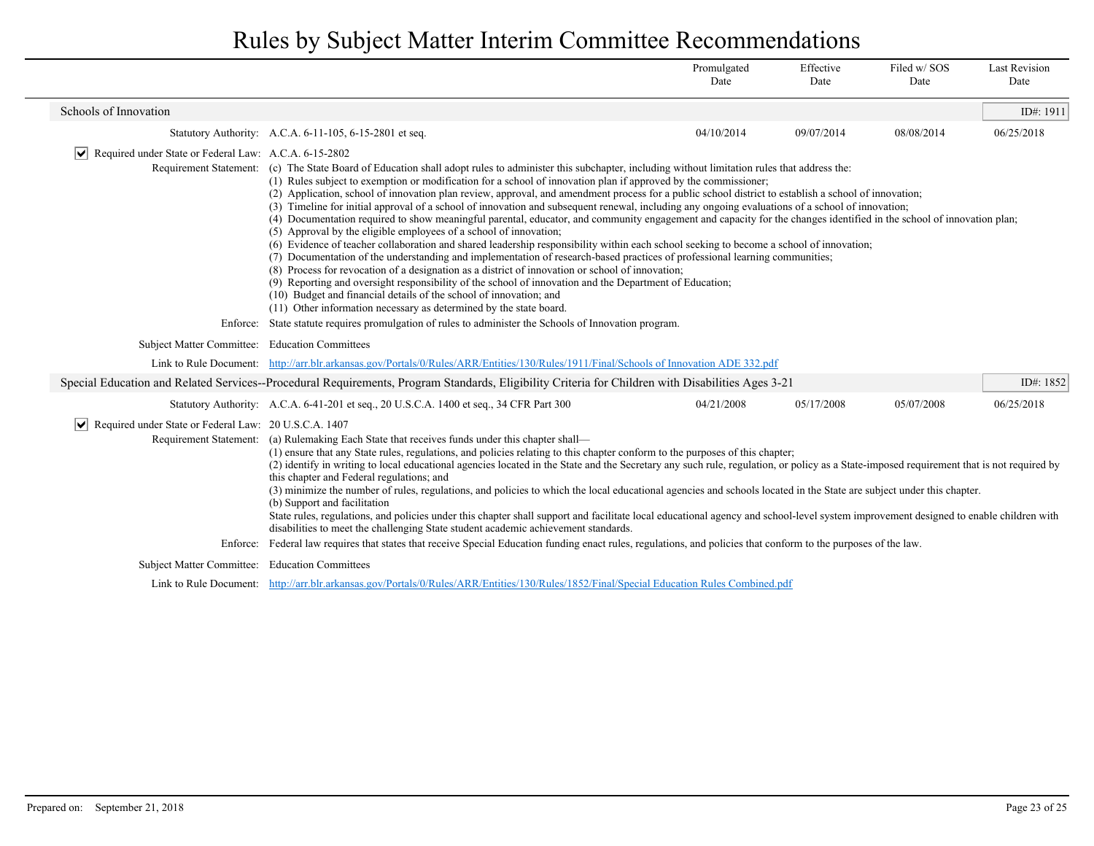|                                                                                                                                                                                                                                                                                                                                                                                                                                                                                                                                                                                                                                                                                                                                                                                                                                                                                                                                                                                                                        |                                                       |                                                                                                                                                                                                                                                                                                                                                                                                                                                                                                                                                                                                                                                                                                                                                                                                                                                                                                                                                                                                                                                                                                                                                                                                                                                                                                                                                                                                                                                                                                                                                                                          | Promulgated<br>Date | Effective<br>Date | Filed w/SOS<br>Date | <b>Last Revision</b><br>Date |
|------------------------------------------------------------------------------------------------------------------------------------------------------------------------------------------------------------------------------------------------------------------------------------------------------------------------------------------------------------------------------------------------------------------------------------------------------------------------------------------------------------------------------------------------------------------------------------------------------------------------------------------------------------------------------------------------------------------------------------------------------------------------------------------------------------------------------------------------------------------------------------------------------------------------------------------------------------------------------------------------------------------------|-------------------------------------------------------|------------------------------------------------------------------------------------------------------------------------------------------------------------------------------------------------------------------------------------------------------------------------------------------------------------------------------------------------------------------------------------------------------------------------------------------------------------------------------------------------------------------------------------------------------------------------------------------------------------------------------------------------------------------------------------------------------------------------------------------------------------------------------------------------------------------------------------------------------------------------------------------------------------------------------------------------------------------------------------------------------------------------------------------------------------------------------------------------------------------------------------------------------------------------------------------------------------------------------------------------------------------------------------------------------------------------------------------------------------------------------------------------------------------------------------------------------------------------------------------------------------------------------------------------------------------------------------------|---------------------|-------------------|---------------------|------------------------------|
|                                                                                                                                                                                                                                                                                                                                                                                                                                                                                                                                                                                                                                                                                                                                                                                                                                                                                                                                                                                                                        | Schools of Innovation                                 |                                                                                                                                                                                                                                                                                                                                                                                                                                                                                                                                                                                                                                                                                                                                                                                                                                                                                                                                                                                                                                                                                                                                                                                                                                                                                                                                                                                                                                                                                                                                                                                          |                     |                   |                     | ID#: 1911                    |
|                                                                                                                                                                                                                                                                                                                                                                                                                                                                                                                                                                                                                                                                                                                                                                                                                                                                                                                                                                                                                        |                                                       | Statutory Authority: A.C.A. 6-11-105, 6-15-2801 et seq.                                                                                                                                                                                                                                                                                                                                                                                                                                                                                                                                                                                                                                                                                                                                                                                                                                                                                                                                                                                                                                                                                                                                                                                                                                                                                                                                                                                                                                                                                                                                  | 04/10/2014          | 09/07/2014        | 08/08/2014          | 06/25/2018                   |
|                                                                                                                                                                                                                                                                                                                                                                                                                                                                                                                                                                                                                                                                                                                                                                                                                                                                                                                                                                                                                        | Required under State or Federal Law: A.C.A. 6-15-2802 | Requirement Statement: (c) The State Board of Education shall adopt rules to administer this subchapter, including without limitation rules that address the:<br>(1) Rules subject to exemption or modification for a school of innovation plan if approved by the commissioner;<br>(2) Application, school of innovation plan review, approval, and amendment process for a public school district to establish a school of innovation;<br>(3) Timeline for initial approval of a school of innovation and subsequent renewal, including any ongoing evaluations of a school of innovation;<br>(4) Documentation required to show meaningful parental, educator, and community engagement and capacity for the changes identified in the school of innovation plan;<br>(5) Approval by the eligible employees of a school of innovation;<br>(6) Evidence of teacher collaboration and shared leadership responsibility within each school seeking to become a school of innovation;<br>(7) Documentation of the understanding and implementation of research-based practices of professional learning communities;<br>(8) Process for revocation of a designation as a district of innovation or school of innovation;<br>(9) Reporting and oversight responsibility of the school of innovation and the Department of Education;<br>(10) Budget and financial details of the school of innovation; and<br>(11) Other information necessary as determined by the state board.<br>Enforce: State statute requires promulgation of rules to administer the Schools of Innovation program. |                     |                   |                     |                              |
|                                                                                                                                                                                                                                                                                                                                                                                                                                                                                                                                                                                                                                                                                                                                                                                                                                                                                                                                                                                                                        | Subject Matter Committee: Education Committees        |                                                                                                                                                                                                                                                                                                                                                                                                                                                                                                                                                                                                                                                                                                                                                                                                                                                                                                                                                                                                                                                                                                                                                                                                                                                                                                                                                                                                                                                                                                                                                                                          |                     |                   |                     |                              |
|                                                                                                                                                                                                                                                                                                                                                                                                                                                                                                                                                                                                                                                                                                                                                                                                                                                                                                                                                                                                                        |                                                       | Link to Rule Document: http://arr.blr.arkansas.gov/Portals/0/Rules/ARR/Entities/130/Rules/1911/Final/Schools of Innovation ADE 332.pdf                                                                                                                                                                                                                                                                                                                                                                                                                                                                                                                                                                                                                                                                                                                                                                                                                                                                                                                                                                                                                                                                                                                                                                                                                                                                                                                                                                                                                                                   |                     |                   |                     |                              |
|                                                                                                                                                                                                                                                                                                                                                                                                                                                                                                                                                                                                                                                                                                                                                                                                                                                                                                                                                                                                                        |                                                       | Special Education and Related Services--Procedural Requirements, Program Standards, Eligibility Criteria for Children with Disabilities Ages 3-21                                                                                                                                                                                                                                                                                                                                                                                                                                                                                                                                                                                                                                                                                                                                                                                                                                                                                                                                                                                                                                                                                                                                                                                                                                                                                                                                                                                                                                        |                     |                   |                     | ID#: 1852                    |
|                                                                                                                                                                                                                                                                                                                                                                                                                                                                                                                                                                                                                                                                                                                                                                                                                                                                                                                                                                                                                        |                                                       | Statutory Authority: A.C.A. 6-41-201 et seq., 20 U.S.C.A. 1400 et seq., 34 CFR Part 300                                                                                                                                                                                                                                                                                                                                                                                                                                                                                                                                                                                                                                                                                                                                                                                                                                                                                                                                                                                                                                                                                                                                                                                                                                                                                                                                                                                                                                                                                                  | 04/21/2008          | 05/17/2008        | 05/07/2008          | 06/25/2018                   |
| Required under State or Federal Law: 20 U.S.C.A. 1407<br>Requirement Statement: (a) Rulemaking Each State that receives funds under this chapter shall—<br>(1) ensure that any State rules, regulations, and policies relating to this chapter conform to the purposes of this chapter;<br>(2) identify in writing to local educational agencies located in the State and the Secretary any such rule, regulation, or policy as a State-imposed requirement that is not required by<br>this chapter and Federal regulations; and<br>(3) minimize the number of rules, regulations, and policies to which the local educational agencies and schools located in the State are subject under this chapter.<br>(b) Support and facilitation<br>State rules, regulations, and policies under this chapter shall support and facilitate local educational agency and school-level system improvement designed to enable children with<br>disabilities to meet the challenging State student academic achievement standards. |                                                       |                                                                                                                                                                                                                                                                                                                                                                                                                                                                                                                                                                                                                                                                                                                                                                                                                                                                                                                                                                                                                                                                                                                                                                                                                                                                                                                                                                                                                                                                                                                                                                                          |                     |                   |                     |                              |
|                                                                                                                                                                                                                                                                                                                                                                                                                                                                                                                                                                                                                                                                                                                                                                                                                                                                                                                                                                                                                        |                                                       | Enforce: Federal law requires that states that receive Special Education funding enact rules, regulations, and policies that conform to the purposes of the law.                                                                                                                                                                                                                                                                                                                                                                                                                                                                                                                                                                                                                                                                                                                                                                                                                                                                                                                                                                                                                                                                                                                                                                                                                                                                                                                                                                                                                         |                     |                   |                     |                              |
|                                                                                                                                                                                                                                                                                                                                                                                                                                                                                                                                                                                                                                                                                                                                                                                                                                                                                                                                                                                                                        | Subject Matter Committee: Education Committees        |                                                                                                                                                                                                                                                                                                                                                                                                                                                                                                                                                                                                                                                                                                                                                                                                                                                                                                                                                                                                                                                                                                                                                                                                                                                                                                                                                                                                                                                                                                                                                                                          |                     |                   |                     |                              |
|                                                                                                                                                                                                                                                                                                                                                                                                                                                                                                                                                                                                                                                                                                                                                                                                                                                                                                                                                                                                                        |                                                       | Link to Rule Document: http://arr.blr.arkansas.gov/Portals/0/Rules/ARR/Entities/130/Rules/1852/Final/Special Education Rules Combined.pdf                                                                                                                                                                                                                                                                                                                                                                                                                                                                                                                                                                                                                                                                                                                                                                                                                                                                                                                                                                                                                                                                                                                                                                                                                                                                                                                                                                                                                                                |                     |                   |                     |                              |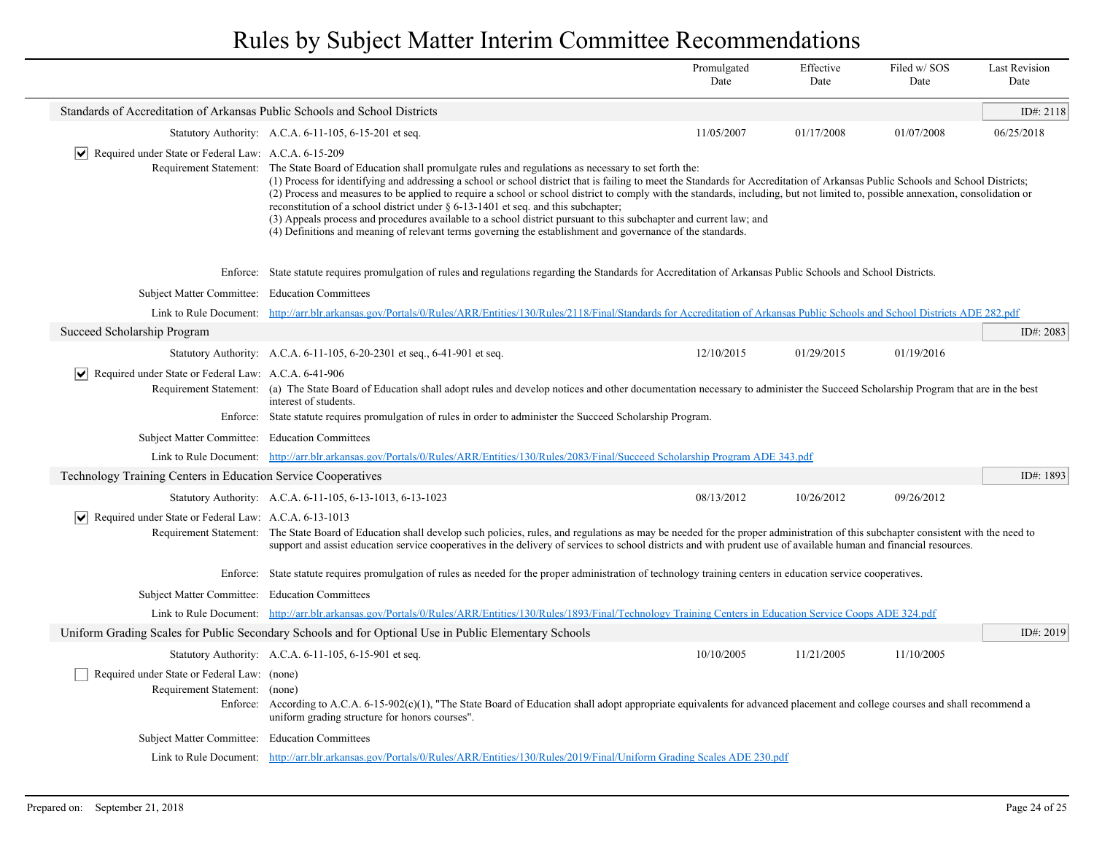|                                                                              |                                                                                                                                                                                                                                                                                                                                                                                                                                                                                                                                                                                                                                                                                                                                                                                                                               | Promulgated<br>Date | Effective<br>Date | Filed w/ SOS<br>Date | <b>Last Revision</b><br>Date |
|------------------------------------------------------------------------------|-------------------------------------------------------------------------------------------------------------------------------------------------------------------------------------------------------------------------------------------------------------------------------------------------------------------------------------------------------------------------------------------------------------------------------------------------------------------------------------------------------------------------------------------------------------------------------------------------------------------------------------------------------------------------------------------------------------------------------------------------------------------------------------------------------------------------------|---------------------|-------------------|----------------------|------------------------------|
| Standards of Accreditation of Arkansas Public Schools and School Districts   |                                                                                                                                                                                                                                                                                                                                                                                                                                                                                                                                                                                                                                                                                                                                                                                                                               |                     |                   |                      | ID#: 2118                    |
|                                                                              | Statutory Authority: A.C.A. 6-11-105, 6-15-201 et seq.                                                                                                                                                                                                                                                                                                                                                                                                                                                                                                                                                                                                                                                                                                                                                                        | 11/05/2007          | 01/17/2008        | 01/07/2008           | 06/25/2018                   |
| $ \mathbf{v} $ Required under State or Federal Law: A.C.A. 6-15-209          | Requirement Statement: The State Board of Education shall promulgate rules and regulations as necessary to set forth the:<br>(1) Process for identifying and addressing a school or school district that is failing to meet the Standards for Accreditation of Arkansas Public Schools and School Districts;<br>(2) Process and measures to be applied to require a school or school district to comply with the standards, including, but not limited to, possible annexation, consolidation or<br>reconstitution of a school district under $\S 6-13-1401$ et seq. and this subchapter;<br>(3) Appeals process and procedures available to a school district pursuant to this subchapter and current law; and<br>(4) Definitions and meaning of relevant terms governing the establishment and governance of the standards. |                     |                   |                      |                              |
|                                                                              | Enforce: State statute requires promulgation of rules and regulations regarding the Standards for Accreditation of Arkansas Public Schools and School Districts.                                                                                                                                                                                                                                                                                                                                                                                                                                                                                                                                                                                                                                                              |                     |                   |                      |                              |
| Subject Matter Committee: Education Committees                               |                                                                                                                                                                                                                                                                                                                                                                                                                                                                                                                                                                                                                                                                                                                                                                                                                               |                     |                   |                      |                              |
|                                                                              | Link to Rule Document: http://arr.blr.arkansas.gov/Portals/0/Rules/ARR/Entities/130/Rules/2118/Final/Standards for Accreditation of Arkansas Public Schools and School Districts ADE 282.pdf                                                                                                                                                                                                                                                                                                                                                                                                                                                                                                                                                                                                                                  |                     |                   |                      |                              |
| Succeed Scholarship Program                                                  |                                                                                                                                                                                                                                                                                                                                                                                                                                                                                                                                                                                                                                                                                                                                                                                                                               |                     |                   |                      | ID#: 2083                    |
|                                                                              | Statutory Authority: A.C.A. 6-11-105, 6-20-2301 et seq., 6-41-901 et seq.                                                                                                                                                                                                                                                                                                                                                                                                                                                                                                                                                                                                                                                                                                                                                     | 12/10/2015          | 01/29/2015        | 01/19/2016           |                              |
| V Required under State or Federal Law: A.C.A. 6-41-906                       | Requirement Statement: (a) The State Board of Education shall adopt rules and develop notices and other documentation necessary to administer the Succeed Scholarship Program that are in the best<br>interest of students.<br>Enforce: State statute requires promulgation of rules in order to administer the Succeed Scholarship Program.                                                                                                                                                                                                                                                                                                                                                                                                                                                                                  |                     |                   |                      |                              |
| Subject Matter Committee: Education Committees                               |                                                                                                                                                                                                                                                                                                                                                                                                                                                                                                                                                                                                                                                                                                                                                                                                                               |                     |                   |                      |                              |
|                                                                              | Link to Rule Document: http://arr.blr.arkansas.gov/Portals/0/Rules/ARR/Entities/130/Rules/2083/Final/Succeed Scholarship Program ADE 343.pdf                                                                                                                                                                                                                                                                                                                                                                                                                                                                                                                                                                                                                                                                                  |                     |                   |                      |                              |
| <b>Technology Training Centers in Education Service Cooperatives</b>         |                                                                                                                                                                                                                                                                                                                                                                                                                                                                                                                                                                                                                                                                                                                                                                                                                               |                     |                   |                      | ID#: 1893                    |
|                                                                              | Statutory Authority: A.C.A. 6-11-105, 6-13-1013, 6-13-1023                                                                                                                                                                                                                                                                                                                                                                                                                                                                                                                                                                                                                                                                                                                                                                    | 08/13/2012          | 10/26/2012        | 09/26/2012           |                              |
| $ \mathbf{v} $ Required under State or Federal Law: A.C.A. 6-13-1013         | Requirement Statement: The State Board of Education shall develop such policies, rules, and regulations as may be needed for the proper administration of this subchapter consistent with the need to<br>support and assist education service cooperatives in the delivery of services to school districts and with prudent use of available human and financial resources.                                                                                                                                                                                                                                                                                                                                                                                                                                                   |                     |                   |                      |                              |
|                                                                              | Enforce: State statute requires promulgation of rules as needed for the proper administration of technology training centers in education service cooperatives.                                                                                                                                                                                                                                                                                                                                                                                                                                                                                                                                                                                                                                                               |                     |                   |                      |                              |
| Subject Matter Committee: Education Committees                               |                                                                                                                                                                                                                                                                                                                                                                                                                                                                                                                                                                                                                                                                                                                                                                                                                               |                     |                   |                      |                              |
|                                                                              | Link to Rule Document: http://arr.blr.arkansas.gov/Portals/0/Rules/ARR/Entities/130/Rules/1893/Final/Technology Training Centers in Education Service Coops ADE 324.pdf                                                                                                                                                                                                                                                                                                                                                                                                                                                                                                                                                                                                                                                       |                     |                   |                      |                              |
|                                                                              | Uniform Grading Scales for Public Secondary Schools and for Optional Use in Public Elementary Schools                                                                                                                                                                                                                                                                                                                                                                                                                                                                                                                                                                                                                                                                                                                         |                     |                   |                      | ID#: 2019                    |
|                                                                              | Statutory Authority: A.C.A. 6-11-105, 6-15-901 et seq.                                                                                                                                                                                                                                                                                                                                                                                                                                                                                                                                                                                                                                                                                                                                                                        | 10/10/2005          | 11/21/2005        | 11/10/2005           |                              |
| Required under State or Federal Law: (none)<br>Requirement Statement: (none) | Enforce: According to A.C.A. 6-15-902(c)(1), "The State Board of Education shall adopt appropriate equivalents for advanced placement and college courses and shall recommend a<br>uniform grading structure for honors courses".                                                                                                                                                                                                                                                                                                                                                                                                                                                                                                                                                                                             |                     |                   |                      |                              |
| Subject Matter Committee: Education Committees                               |                                                                                                                                                                                                                                                                                                                                                                                                                                                                                                                                                                                                                                                                                                                                                                                                                               |                     |                   |                      |                              |
|                                                                              | Link to Rule Document: http://arr.blr.arkansas.gov/Portals/0/Rules/ARR/Entities/130/Rules/2019/Final/Uniform Grading Scales ADE 230.pdf                                                                                                                                                                                                                                                                                                                                                                                                                                                                                                                                                                                                                                                                                       |                     |                   |                      |                              |